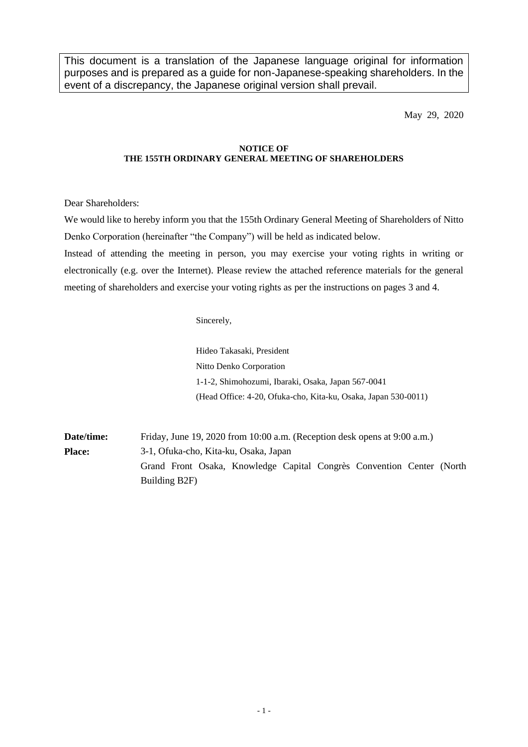This document is a translation of the Japanese language original for information purposes and is prepared as a guide for non-Japanese-speaking shareholders. In the event of a discrepancy, the Japanese original version shall prevail.

May 29, 2020

## **NOTICE OF THE 155TH ORDINARY GENERAL MEETING OF SHAREHOLDERS**

Dear Shareholders:

We would like to hereby inform you that the 155th Ordinary General Meeting of Shareholders of Nitto Denko Corporation (hereinafter "the Company") will be held as indicated below.

Instead of attending the meeting in person, you may exercise your voting rights in writing or electronically (e.g. over the Internet). Please review the attached reference materials for the general meeting of shareholders and exercise your voting rights as per the instructions on pages 3 and 4.

Sincerely,

Hideo Takasaki, President Nitto Denko Corporation 1-1-2, Shimohozumi, Ibaraki, Osaka, Japan 567-0041 (Head Office: 4-20, Ofuka-cho, Kita-ku, Osaka, Japan 530-0011)

**Date/time:** Friday, June 19, 2020 from 10:00 a.m. (Reception desk opens at 9:00 a.m.) **Place:** 3-1, Ofuka-cho, Kita-ku, Osaka, Japan Grand Front Osaka, Knowledge Capital Congrès Convention Center (North Building B2F)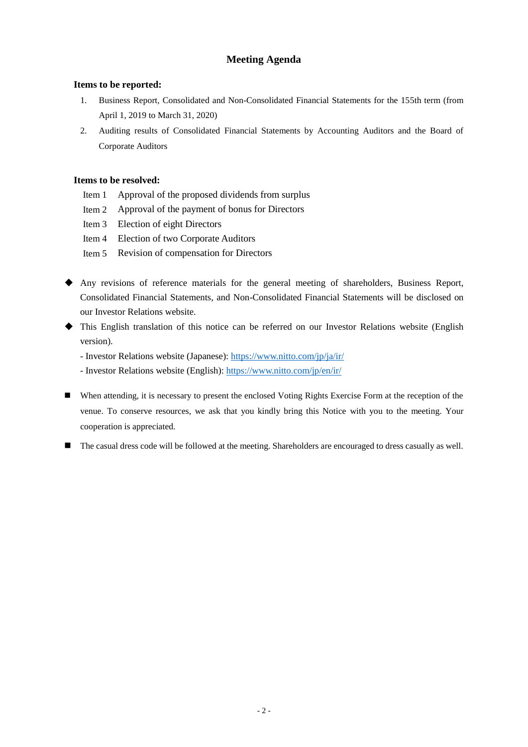# **Meeting Agenda**

## **Items to be reported:**

- 1. Business Report, Consolidated and Non-Consolidated Financial Statements for the 155th term (from April 1, 2019 to March 31, 2020)
- 2. Auditing results of Consolidated Financial Statements by Accounting Auditors and the Board of Corporate Auditors

# **Items to be resolved:**

- Item 1 Approval of the proposed dividends from surplus
- Item 2 Approval of the payment of bonus for Directors
- Item 3 Election of eight Directors
- Item 4 Election of two Corporate Auditors
- Item 5 Revision of compensation for Directors
- Any revisions of reference materials for the general meeting of shareholders, Business Report, Consolidated Financial Statements, and Non-Consolidated Financial Statements will be disclosed on our Investor Relations website.
- This English translation of this notice can be referred on our Investor Relations website (English version).
	- Investor Relations website (Japanese):<https://www.nitto.com/jp/ja/ir/>
	- Investor Relations website (English): [https://www.nitto.com/jp/en/ir/](https://www.nitto.com/jp/en/ir)
- When attending, it is necessary to present the enclosed Voting Rights Exercise Form at the reception of the venue. To conserve resources, we ask that you kindly bring this Notice with you to the meeting. Your cooperation is appreciated.
- The casual dress code will be followed at the meeting. Shareholders are encouraged to dress casually as well.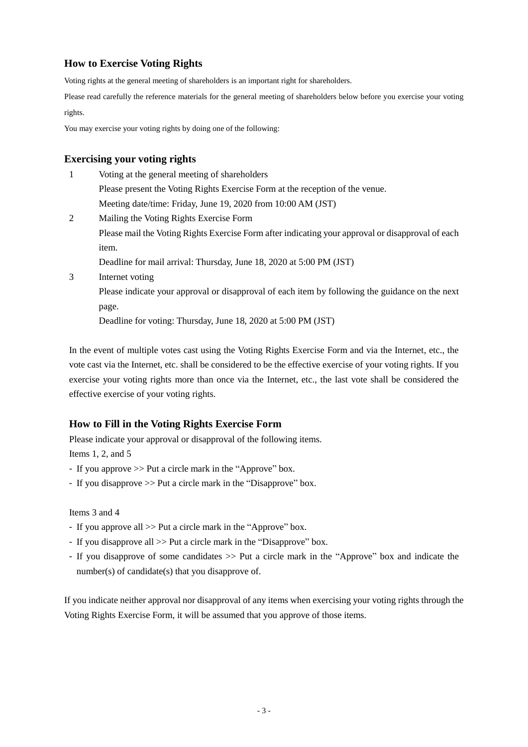# **How to Exercise Voting Rights**

Voting rights at the general meeting of shareholders is an important right for shareholders.

Please read carefully the reference materials for the general meeting of shareholders below before you exercise your voting rights.

You may exercise your voting rights by doing one of the following:

### **Exercising your voting rights** 1 Voting at the general meeting of shareholders

|   | Voting at the general meeting of shareholders                                                     |
|---|---------------------------------------------------------------------------------------------------|
|   | Please present the Voting Rights Exercise Form at the reception of the venue.                     |
|   | Meeting date/time: Friday, June 19, 2020 from 10:00 AM (JST)                                      |
| 2 | Mailing the Voting Rights Exercise Form                                                           |
|   | Please mail the Voting Rights Exercise Form after indicating your approval or disapproval of each |
|   | item.                                                                                             |
|   | Deadline for mail arrival: Thursday, June 18, 2020 at 5:00 PM (JST)                               |
| 3 | Internet voting                                                                                   |
|   | Please indicate your approval or disapproval of each item by following the guidance on the next   |
|   | page.                                                                                             |
|   | Deadline for voting: Thursday, June 18, 2020 at 5:00 PM (JST)                                     |

In the event of multiple votes cast using the Voting Rights Exercise Form and via the Internet, etc., the vote cast via the Internet, etc. shall be considered to be the effective exercise of your voting rights. If you exercise your voting rights more than once via the Internet, etc., the last vote shall be considered the effective exercise of your voting rights.

# **How to Fill in the Voting Rights Exercise Form**

Please indicate your approval or disapproval of the following items.

Items 1, 2, and 5

- If you approve >> Put a circle mark in the "Approve" box.
- If you disapprove >> Put a circle mark in the "Disapprove" box.

Items 3 and 4

- If you approve all >> Put a circle mark in the "Approve" box.
- If you disapprove all  $\gg$  Put a circle mark in the "Disapprove" box.
- If you disapprove of some candidates >> Put a circle mark in the "Approve" box and indicate the number(s) of candidate(s) that you disapprove of.

If you indicate neither approval nor disapproval of any items when exercising your voting rights through the Voting Rights Exercise Form, it will be assumed that you approve of those items.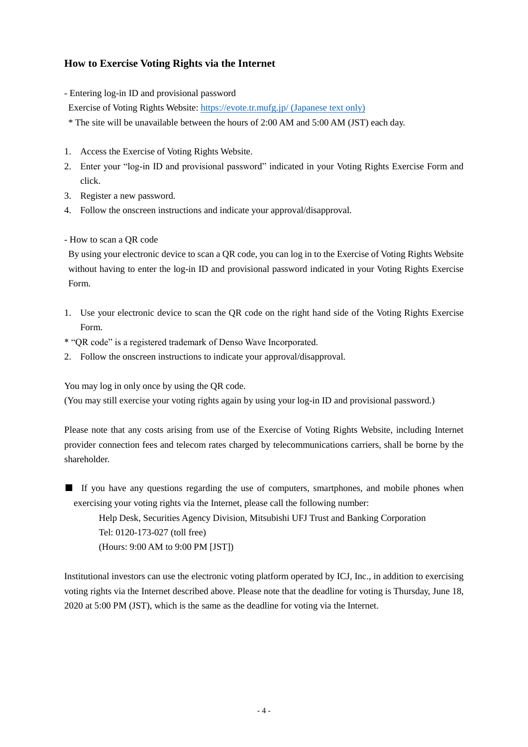# **How to Exercise Voting Rights via the Internet**

- Entering log-in ID and provisional password
- Exercise of Voting Rights Website:<https://evote.tr.mufg.jp/> (Japanese text only)
- \* The site will be unavailable between the hours of 2:00 AM and 5:00 AM (JST) each day.
- 1. Access the Exercise of Voting Rights Website.
- 2. Enter your "log-in ID and provisional password" indicated in your Voting Rights Exercise Form and click.
- 3. Register a new password.
- 4. Follow the onscreen instructions and indicate your approval/disapproval.
- How to scan a QR code

By using your electronic device to scan a QR code, you can log in to the Exercise of Voting Rights Website without having to enter the log-in ID and provisional password indicated in your Voting Rights Exercise Form.

- 1. Use your electronic device to scan the QR code on the right hand side of the Voting Rights Exercise Form.
- \* "QR code" is a registered trademark of Denso Wave Incorporated.
- 2. Follow the onscreen instructions to indicate your approval/disapproval.

You may log in only once by using the QR code.

(You may still exercise your voting rights again by using your log-in ID and provisional password.)

Please note that any costs arising from use of the Exercise of Voting Rights Website, including Internet provider connection fees and telecom rates charged by telecommunications carriers, shall be borne by the shareholder.

■ If you have any questions regarding the use of computers, smartphones, and mobile phones when exercising your voting rights via the Internet, please call the following number:

Help Desk, Securities Agency Division, Mitsubishi UFJ Trust and Banking Corporation Tel: 0120-173-027 (toll free) (Hours: 9:00 AM to 9:00 PM [JST])

Institutional investors can use the electronic voting platform operated by ICJ, Inc., in addition to exercising voting rights via the Internet described above. Please note that the deadline for voting is Thursday, June 18, 2020 at 5:00 PM (JST), which is the same as the deadline for voting via the Internet.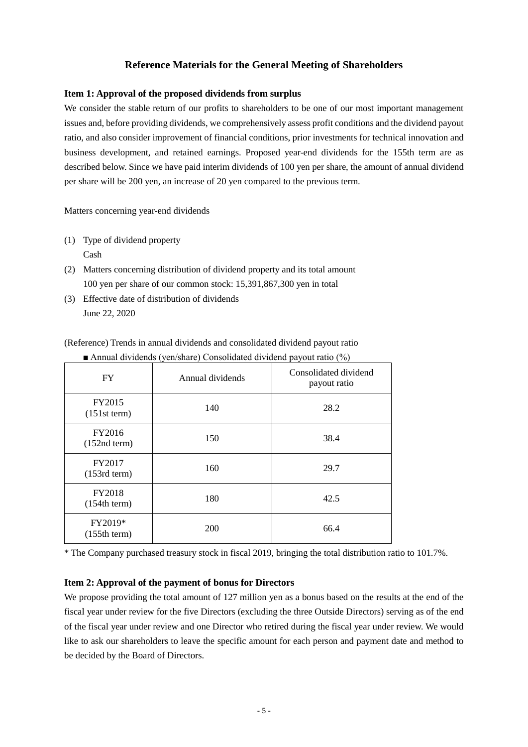# **Reference Materials for the General Meeting of Shareholders**

## **Item 1: Approval of the proposed dividends from surplus**

We consider the stable return of our profits to shareholders to be one of our most important management issues and, before providing dividends, we comprehensively assess profit conditions and the dividend payout ratio, and also consider improvement of financial conditions, prior investments for technical innovation and business development, and retained earnings. Proposed year-end dividends for the 155th term are as described below. Since we have paid interim dividends of 100 yen per share, the amount of annual dividend per share will be 200 yen, an increase of 20 yen compared to the previous term.

Matters concerning year-end dividends

- (1) Type of dividend property Cash
- (2) Matters concerning distribution of dividend property and its total amount 100 yen per share of our common stock: 15,391,867,300 yen in total
- (3) Effective date of distribution of dividends June 22, 2020

(Reference) Trends in annual dividends and consolidated dividend payout ratio

| <b>FY</b>                | Annual dividends | Consolidated dividend<br>payout ratio |
|--------------------------|------------------|---------------------------------------|
| FY2015<br>$(151st$ term) | 140              | 28.2                                  |
| FY2016<br>$(152nd$ term) | 150              | 38.4                                  |
| FY2017<br>$(153rd$ term) | 160              | 29.7                                  |
| FY2018<br>(154th term)   | 180              | 42.5                                  |
| FY2019*<br>(155th term)  | 200              | 66.4                                  |

■ Annual dividends (yen/share) Consolidated dividend payout ratio (%)

\* The Company purchased treasury stock in fiscal 2019, bringing the total distribution ratio to 101.7%.

## **Item 2: Approval of the payment of bonus for Directors**

We propose providing the total amount of 127 million yen as a bonus based on the results at the end of the fiscal year under review for the five Directors (excluding the three Outside Directors) serving as of the end of the fiscal year under review and one Director who retired during the fiscal year under review. We would like to ask our shareholders to leave the specific amount for each person and payment date and method to be decided by the Board of Directors.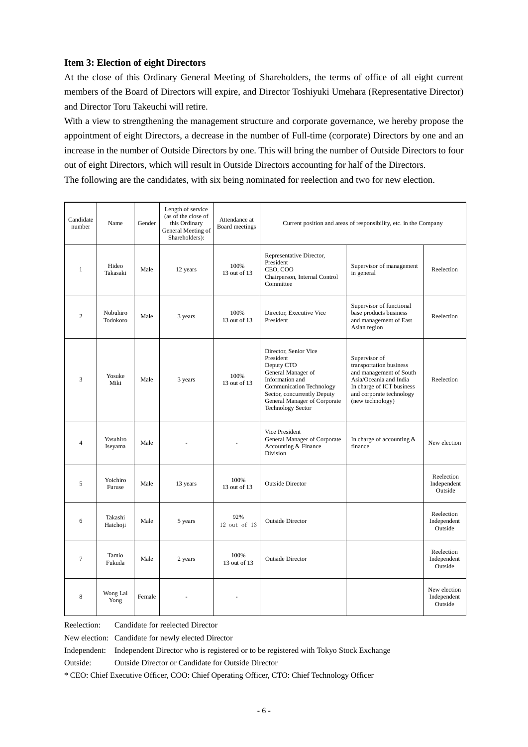## **Item 3: Election of eight Directors**

At the close of this Ordinary General Meeting of Shareholders, the terms of office of all eight current members of the Board of Directors will expire, and Director Toshiyuki Umehara (Representative Director) and Director Toru Takeuchi will retire.

With a view to strengthening the management structure and corporate governance, we hereby propose the appointment of eight Directors, a decrease in the number of Full-time (corporate) Directors by one and an increase in the number of Outside Directors by one. This will bring the number of Outside Directors to four out of eight Directors, which will result in Outside Directors accounting for half of the Directors. The following are the candidates, with six being nominated for reelection and two for new election.

| Candidate<br>number | Name                 | Gender | Length of service<br>(as of the close of<br>this Ordinary<br>General Meeting of<br>Shareholders): | Attendance at<br>Board meetings |                                                                                                                                                                                                                         | Current position and areas of responsibility, etc. in the Company                                                                                                          |                                        |
|---------------------|----------------------|--------|---------------------------------------------------------------------------------------------------|---------------------------------|-------------------------------------------------------------------------------------------------------------------------------------------------------------------------------------------------------------------------|----------------------------------------------------------------------------------------------------------------------------------------------------------------------------|----------------------------------------|
| $\mathbf{1}$        | Hideo<br>Takasaki    | Male   | 12 years                                                                                          | 100%<br>13 out of 13            | Representative Director,<br>President<br>CEO, COO<br>Chairperson, Internal Control<br>Committee                                                                                                                         | Supervisor of management<br>in general                                                                                                                                     | Reelection                             |
| $\overline{c}$      | Nobuhiro<br>Todokoro | Male   | 3 years                                                                                           | 100%<br>13 out of 13            | Director, Executive Vice<br>President                                                                                                                                                                                   | Supervisor of functional<br>base products business<br>and management of East<br>Asian region                                                                               | Reelection                             |
| 3                   | Yosuke<br>Miki       | Male   | 3 years                                                                                           | 100%<br>13 out of 13            | Director, Senior Vice<br>President<br>Deputy CTO<br>General Manager of<br>Information and<br><b>Communication Technology</b><br>Sector, concurrently Deputy<br>General Manager of Corporate<br><b>Technology Sector</b> | Supervisor of<br>transportation business<br>and management of South<br>Asia/Oceania and India<br>In charge of ICT business<br>and corporate technology<br>(new technology) | Reelection                             |
| $\overline{4}$      | Yasuhiro<br>Iseyama  | Male   |                                                                                                   |                                 | Vice President<br>General Manager of Corporate<br>Accounting & Finance<br>Division                                                                                                                                      | In charge of accounting &<br>finance                                                                                                                                       | New election                           |
| 5                   | Yoichiro<br>Furuse   | Male   | 13 years                                                                                          | 100%<br>13 out of 13            | <b>Outside Director</b>                                                                                                                                                                                                 |                                                                                                                                                                            | Reelection<br>Independent<br>Outside   |
| 6                   | Takashi<br>Hatchoji  | Male   | 5 years                                                                                           | 92%<br>12 out of 13             | <b>Outside Director</b>                                                                                                                                                                                                 |                                                                                                                                                                            | Reelection<br>Independent<br>Outside   |
| $\tau$              | Tamio<br>Fukuda      | Male   | 2 years                                                                                           | 100%<br>13 out of 13            | <b>Outside Director</b>                                                                                                                                                                                                 |                                                                                                                                                                            | Reelection<br>Independent<br>Outside   |
| 8                   | Wong Lai<br>Yong     | Female |                                                                                                   |                                 |                                                                                                                                                                                                                         |                                                                                                                                                                            | New election<br>Independent<br>Outside |

Reelection: Candidate for reelected Director

New election: Candidate for newly elected Director

Independent: Independent Director who is registered or to be registered with Tokyo Stock Exchange

Outside: Outside Director or Candidate for Outside Director

\* CEO: Chief Executive Officer, COO: Chief Operating Officer, CTO: Chief Technology Officer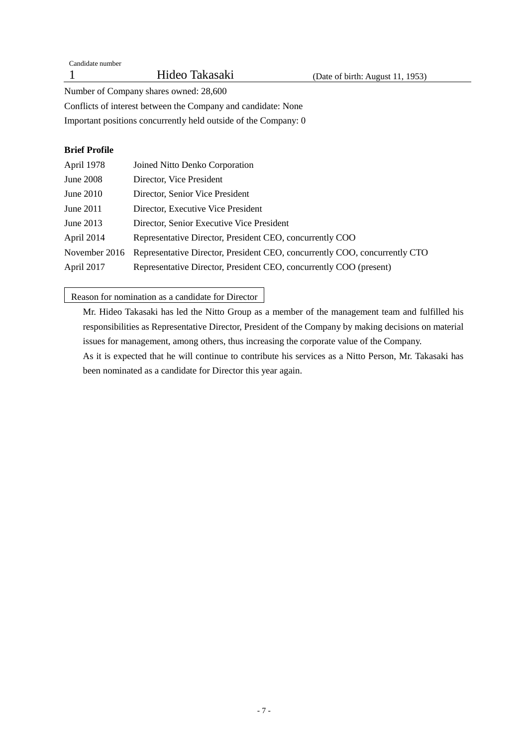Number of Company shares owned: 28,600

Conflicts of interest between the Company and candidate: None

Important positions concurrently held outside of the Company: 0

# **Brief Profile**

| April 1978    | Joined Nitto Denko Corporation                                             |
|---------------|----------------------------------------------------------------------------|
| June 2008     | Director, Vice President                                                   |
| June 2010     | Director, Senior Vice President                                            |
| June 2011     | Director, Executive Vice President                                         |
| June 2013     | Director, Senior Executive Vice President                                  |
| April 2014    | Representative Director, President CEO, concurrently COO                   |
| November 2016 | Representative Director, President CEO, concurrently COO, concurrently CTO |
| April 2017    | Representative Director, President CEO, concurrently COO (present)         |

# Reason for nomination as a candidate for Director

Mr. Hideo Takasaki has led the Nitto Group as a member of the management team and fulfilled his responsibilities as Representative Director, President of the Company by making decisions on material issues for management, among others, thus increasing the corporate value of the Company.

As it is expected that he will continue to contribute his services as a Nitto Person, Mr. Takasaki has been nominated as a candidate for Director this year again.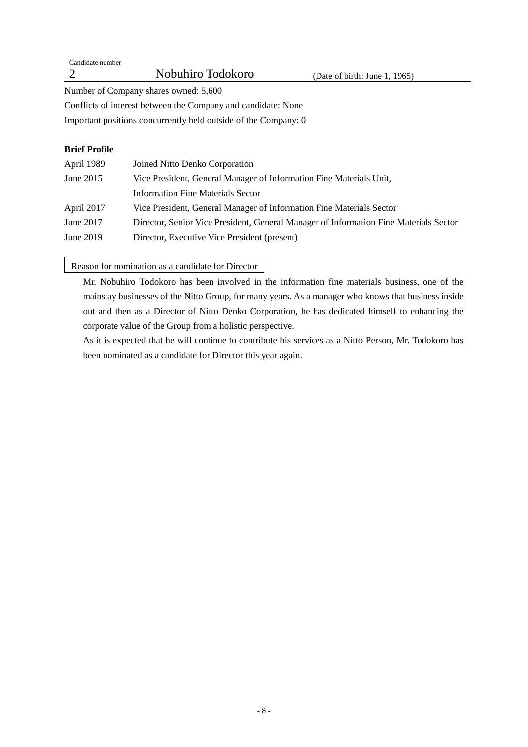| Candidate number                                                |                                                                     |                               |
|-----------------------------------------------------------------|---------------------------------------------------------------------|-------------------------------|
|                                                                 | Nobuhiro Todokoro                                                   | (Date of birth: June 1, 1965) |
|                                                                 | Number of Company shares owned: 5,600                               |                               |
|                                                                 | Conflicts of interest between the Company and candidate: None       |                               |
| Important positions concurrently held outside of the Company: 0 |                                                                     |                               |
| <b>Brief Profile</b>                                            |                                                                     |                               |
| April 1989                                                      | Joined Nitto Denko Corporation                                      |                               |
| June 2015                                                       | Vice President, General Manager of Information Fine Materials Unit, |                               |

|            | Information Fine Materials Sector                                    |
|------------|----------------------------------------------------------------------|
| April 2017 | Vice President, General Manager of Information Fine Materials Sector |

June 2017 Director, Senior Vice President, General Manager of Information Fine Materials Sector

June 2019 Director, Executive Vice President (present)

Reason for nomination as a candidate for Director

Mr. Nobuhiro Todokoro has been involved in the information fine materials business, one of the mainstay businesses of the Nitto Group, for many years. As a manager who knows that business inside out and then as a Director of Nitto Denko Corporation, he has dedicated himself to enhancing the corporate value of the Group from a holistic perspective.

As it is expected that he will continue to contribute his services as a Nitto Person, Mr. Todokoro has been nominated as a candidate for Director this year again.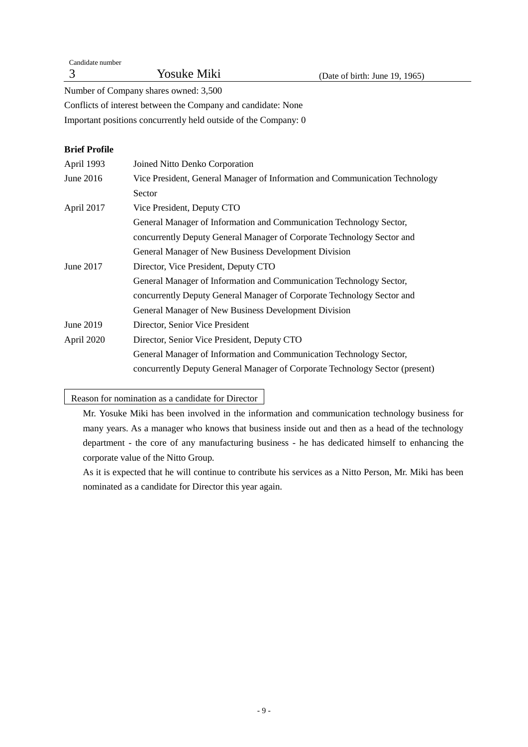| Candidate number |                    |                                |
|------------------|--------------------|--------------------------------|
|                  | <b>Yosuke Miki</b> | (Date of birth: June 19, 1965) |

Number of Company shares owned: 3,500

Conflicts of interest between the Company and candidate: None

Important positions concurrently held outside of the Company: 0

# **Brief Profile**

| April 1993 | Joined Nitto Denko Corporation                                               |
|------------|------------------------------------------------------------------------------|
| June 2016  | Vice President, General Manager of Information and Communication Technology  |
|            | Sector                                                                       |
| April 2017 | Vice President, Deputy CTO                                                   |
|            | General Manager of Information and Communication Technology Sector,          |
|            | concurrently Deputy General Manager of Corporate Technology Sector and       |
|            | General Manager of New Business Development Division                         |
| June 2017  | Director, Vice President, Deputy CTO                                         |
|            | General Manager of Information and Communication Technology Sector,          |
|            | concurrently Deputy General Manager of Corporate Technology Sector and       |
|            | General Manager of New Business Development Division                         |
| June 2019  | Director, Senior Vice President                                              |
| April 2020 | Director, Senior Vice President, Deputy CTO                                  |
|            | General Manager of Information and Communication Technology Sector,          |
|            | concurrently Deputy General Manager of Corporate Technology Sector (present) |
|            |                                                                              |

# Reason for nomination as a candidate for Director

Mr. Yosuke Miki has been involved in the information and communication technology business for many years. As a manager who knows that business inside out and then as a head of the technology department - the core of any manufacturing business - he has dedicated himself to enhancing the corporate value of the Nitto Group.

As it is expected that he will continue to contribute his services as a Nitto Person, Mr. Miki has been nominated as a candidate for Director this year again.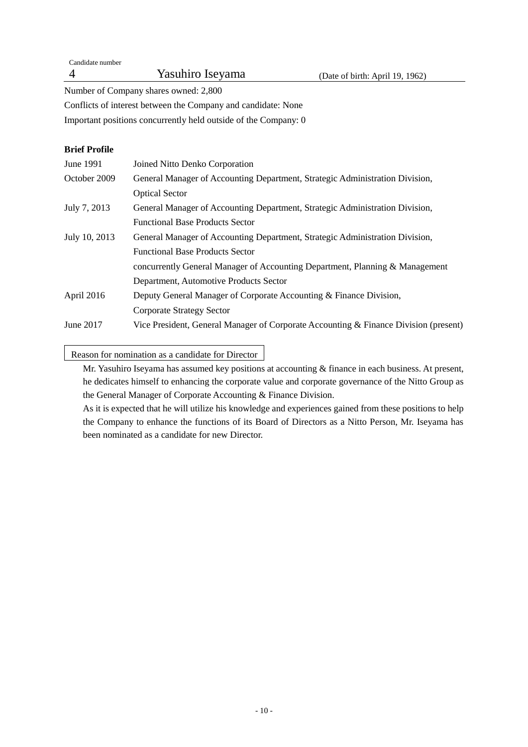Candidate number 4 Yasuhiro Iseyama (Date of birth: April 19, 1962)

Number of Company shares owned: 2,800

Conflicts of interest between the Company and candidate: None

Important positions concurrently held outside of the Company: 0

# **Brief Profile**

| June 1991     | Joined Nitto Denko Corporation                                                       |
|---------------|--------------------------------------------------------------------------------------|
| October 2009  | General Manager of Accounting Department, Strategic Administration Division,         |
|               | <b>Optical Sector</b>                                                                |
| July 7, 2013  | General Manager of Accounting Department, Strategic Administration Division,         |
|               | <b>Functional Base Products Sector</b>                                               |
| July 10, 2013 | General Manager of Accounting Department, Strategic Administration Division,         |
|               | <b>Functional Base Products Sector</b>                                               |
|               | concurrently General Manager of Accounting Department, Planning & Management         |
|               | Department, Automotive Products Sector                                               |
| April 2016    | Deputy General Manager of Corporate Accounting & Finance Division,                   |
|               | Corporate Strategy Sector                                                            |
| June 2017     | Vice President, General Manager of Corporate Accounting & Finance Division (present) |

Reason for nomination as a candidate for Director

Mr. Yasuhiro Iseyama has assumed key positions at accounting & finance in each business. At present, he dedicates himself to enhancing the corporate value and corporate governance of the Nitto Group as the General Manager of Corporate Accounting & Finance Division.

As it is expected that he will utilize his knowledge and experiences gained from these positions to help the Company to enhance the functions of its Board of Directors as a Nitto Person, Mr. Iseyama has been nominated as a candidate for new Director.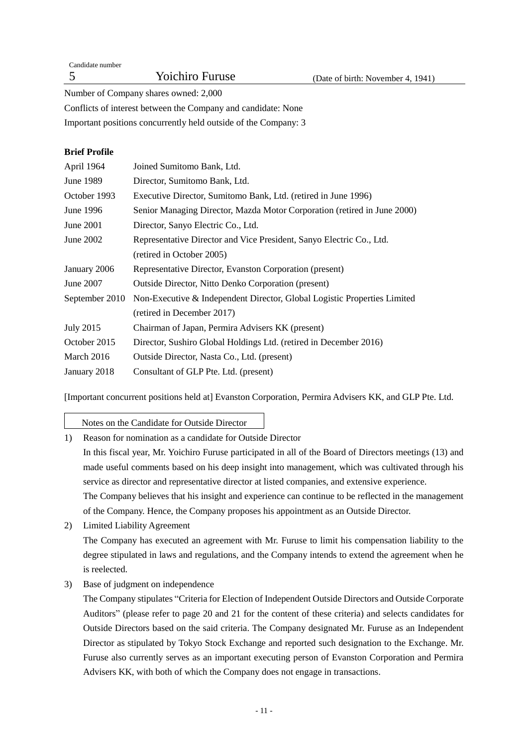| Candidate number |                        |                                   |
|------------------|------------------------|-----------------------------------|
|                  | <b>Yoichiro Furuse</b> | (Date of birth: November 4, 1941) |
|                  |                        |                                   |

Number of Company shares owned: 2,000

Conflicts of interest between the Company and candidate: None

Important positions concurrently held outside of the Company: 3

# **Brief Profile**

| June 1989<br>Director, Sumitomo Bank, Ltd.<br>October 1993<br>Executive Director, Sumitomo Bank, Ltd. (retired in June 1996)<br>June 1996<br>Senior Managing Director, Mazda Motor Corporation (retired in June 2000)<br>June 2001<br>Director, Sanyo Electric Co., Ltd.<br>June 2002<br>Representative Director and Vice President, Sanyo Electric Co., Ltd.<br>(retired in October 2005)<br>January 2006<br>Representative Director, Evanston Corporation (present)<br><b>Outside Director, Nitto Denko Corporation (present)</b><br>June 2007<br>Non-Executive & Independent Director, Global Logistic Properties Limited<br>September 2010<br>(retired in December 2017)<br><b>July 2015</b><br>Chairman of Japan, Permira Advisers KK (present)<br>October 2015<br>Director, Sushiro Global Holdings Ltd. (retired in December 2016)<br>March 2016<br>Outside Director, Nasta Co., Ltd. (present) | April 1964   | Joined Sumitomo Bank, Ltd.            |
|--------------------------------------------------------------------------------------------------------------------------------------------------------------------------------------------------------------------------------------------------------------------------------------------------------------------------------------------------------------------------------------------------------------------------------------------------------------------------------------------------------------------------------------------------------------------------------------------------------------------------------------------------------------------------------------------------------------------------------------------------------------------------------------------------------------------------------------------------------------------------------------------------------|--------------|---------------------------------------|
|                                                                                                                                                                                                                                                                                                                                                                                                                                                                                                                                                                                                                                                                                                                                                                                                                                                                                                        |              |                                       |
|                                                                                                                                                                                                                                                                                                                                                                                                                                                                                                                                                                                                                                                                                                                                                                                                                                                                                                        |              |                                       |
|                                                                                                                                                                                                                                                                                                                                                                                                                                                                                                                                                                                                                                                                                                                                                                                                                                                                                                        |              |                                       |
|                                                                                                                                                                                                                                                                                                                                                                                                                                                                                                                                                                                                                                                                                                                                                                                                                                                                                                        |              |                                       |
|                                                                                                                                                                                                                                                                                                                                                                                                                                                                                                                                                                                                                                                                                                                                                                                                                                                                                                        |              |                                       |
|                                                                                                                                                                                                                                                                                                                                                                                                                                                                                                                                                                                                                                                                                                                                                                                                                                                                                                        |              |                                       |
|                                                                                                                                                                                                                                                                                                                                                                                                                                                                                                                                                                                                                                                                                                                                                                                                                                                                                                        |              |                                       |
|                                                                                                                                                                                                                                                                                                                                                                                                                                                                                                                                                                                                                                                                                                                                                                                                                                                                                                        |              |                                       |
|                                                                                                                                                                                                                                                                                                                                                                                                                                                                                                                                                                                                                                                                                                                                                                                                                                                                                                        |              |                                       |
|                                                                                                                                                                                                                                                                                                                                                                                                                                                                                                                                                                                                                                                                                                                                                                                                                                                                                                        |              |                                       |
|                                                                                                                                                                                                                                                                                                                                                                                                                                                                                                                                                                                                                                                                                                                                                                                                                                                                                                        |              |                                       |
|                                                                                                                                                                                                                                                                                                                                                                                                                                                                                                                                                                                                                                                                                                                                                                                                                                                                                                        |              |                                       |
|                                                                                                                                                                                                                                                                                                                                                                                                                                                                                                                                                                                                                                                                                                                                                                                                                                                                                                        |              |                                       |
|                                                                                                                                                                                                                                                                                                                                                                                                                                                                                                                                                                                                                                                                                                                                                                                                                                                                                                        | January 2018 | Consultant of GLP Pte. Ltd. (present) |
|                                                                                                                                                                                                                                                                                                                                                                                                                                                                                                                                                                                                                                                                                                                                                                                                                                                                                                        |              |                                       |

[Important concurrent positions held at] Evanston Corporation, Permira Advisers KK, and GLP Pte. Ltd.

Notes on the Candidate for Outside Director

1) Reason for nomination as a candidate for Outside Director

In this fiscal year, Mr. Yoichiro Furuse participated in all of the Board of Directors meetings (13) and made useful comments based on his deep insight into management, which was cultivated through his service as director and representative director at listed companies, and extensive experience.

The Company believes that his insight and experience can continue to be reflected in the management of the Company. Hence, the Company proposes his appointment as an Outside Director.

2) Limited Liability Agreement

The Company has executed an agreement with Mr. Furuse to limit his compensation liability to the degree stipulated in laws and regulations, and the Company intends to extend the agreement when he is reelected.

3) Base of judgment on independence

The Company stipulates "Criteria for Election of Independent Outside Directors and Outside Corporate Auditors" (please refer to page 20 and 21 for the content of these criteria) and selects candidates for Outside Directors based on the said criteria. The Company designated Mr. Furuse as an Independent Director as stipulated by Tokyo Stock Exchange and reported such designation to the Exchange. Mr. Furuse also currently serves as an important executing person of Evanston Corporation and Permira Advisers KK, with both of which the Company does not engage in transactions.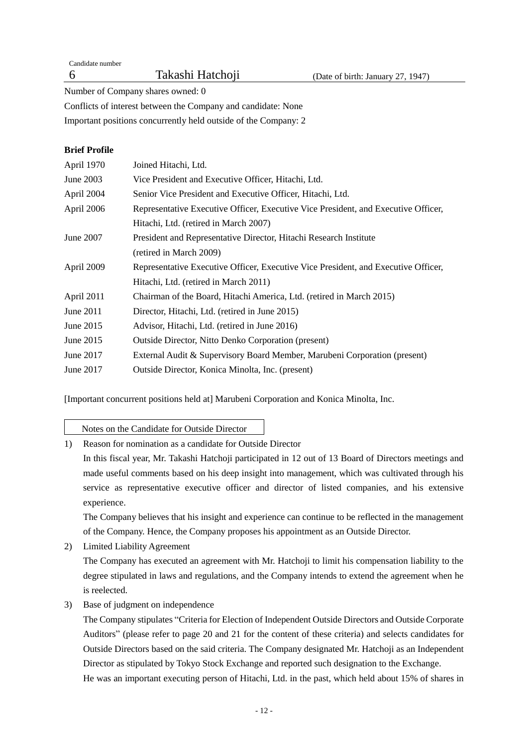Candidate number

Number of Company shares owned: 0

Conflicts of interest between the Company and candidate: None

Important positions concurrently held outside of the Company: 2

# **Brief Profile**

| April 1970 | Joined Hitachi, Ltd.                                                               |
|------------|------------------------------------------------------------------------------------|
| June 2003  | Vice President and Executive Officer, Hitachi, Ltd.                                |
| April 2004 | Senior Vice President and Executive Officer, Hitachi, Ltd.                         |
| April 2006 | Representative Executive Officer, Executive Vice President, and Executive Officer, |
|            | Hitachi, Ltd. (retired in March 2007)                                              |
| June 2007  | President and Representative Director, Hitachi Research Institute                  |
|            | (retired in March 2009)                                                            |
| April 2009 | Representative Executive Officer, Executive Vice President, and Executive Officer, |
|            | Hitachi, Ltd. (retired in March 2011)                                              |
| April 2011 | Chairman of the Board, Hitachi America, Ltd. (retired in March 2015)               |
| June 2011  | Director, Hitachi, Ltd. (retired in June 2015)                                     |
| June 2015  | Advisor, Hitachi, Ltd. (retired in June 2016)                                      |
| June 2015  | <b>Outside Director, Nitto Denko Corporation (present)</b>                         |
| June 2017  | External Audit & Supervisory Board Member, Marubeni Corporation (present)          |
| June 2017  | Outside Director, Konica Minolta, Inc. (present)                                   |
|            |                                                                                    |

[Important concurrent positions held at] Marubeni Corporation and Konica Minolta, Inc.

Notes on the Candidate for Outside Director

1) Reason for nomination as a candidate for Outside Director

In this fiscal year, Mr. Takashi Hatchoji participated in 12 out of 13 Board of Directors meetings and made useful comments based on his deep insight into management, which was cultivated through his service as representative executive officer and director of listed companies, and his extensive experience.

The Company believes that his insight and experience can continue to be reflected in the management of the Company. Hence, the Company proposes his appointment as an Outside Director.

- 2) Limited Liability Agreement The Company has executed an agreement with Mr. Hatchoji to limit his compensation liability to the degree stipulated in laws and regulations, and the Company intends to extend the agreement when he is reelected.
- 3) Base of judgment on independence

The Company stipulates "Criteria for Election of Independent Outside Directors and Outside Corporate Auditors" (please refer to page 20 and 21 for the content of these criteria) and selects candidates for Outside Directors based on the said criteria. The Company designated Mr. Hatchoji as an Independent Director as stipulated by Tokyo Stock Exchange and reported such designation to the Exchange. He was an important executing person of Hitachi, Ltd. in the past, which held about 15% of shares in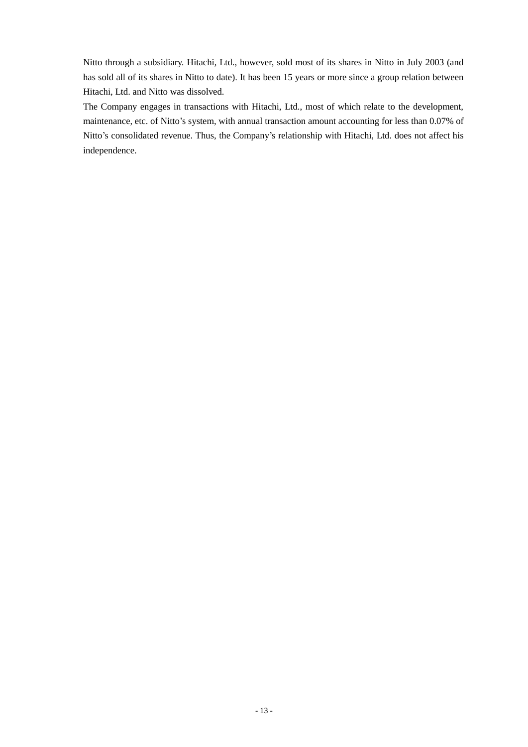Nitto through a subsidiary. Hitachi, Ltd., however, sold most of its shares in Nitto in July 2003 (and has sold all of its shares in Nitto to date). It has been 15 years or more since a group relation between Hitachi, Ltd. and Nitto was dissolved.

The Company engages in transactions with Hitachi, Ltd., most of which relate to the development, maintenance, etc. of Nitto's system, with annual transaction amount accounting for less than 0.07% of Nitto's consolidated revenue. Thus, the Company's relationship with Hitachi, Ltd. does not affect his independence.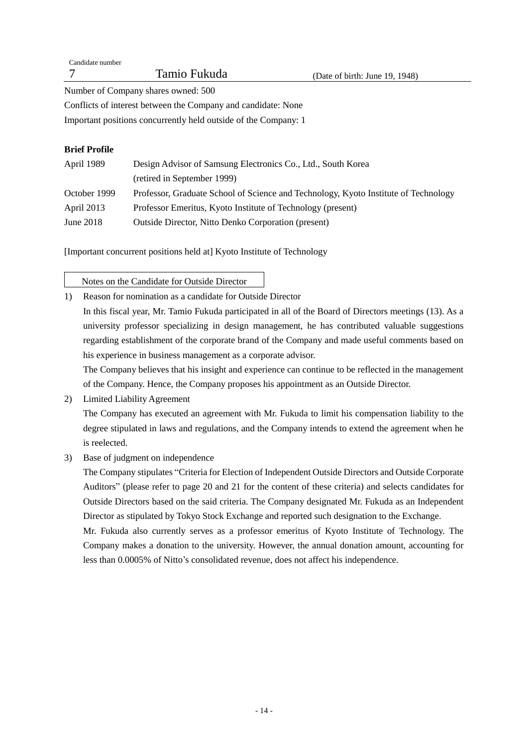| Candidate number |              |                                |
|------------------|--------------|--------------------------------|
|                  | Tamio Fukuda | (Date of birth: June 19, 1948) |
| $\mathbf{r}$ 1   | $F\cap\cap$  |                                |

Number of Company shares owned: 500

Conflicts of interest between the Company and candidate: None

Important positions concurrently held outside of the Company: 1

# **Brief Profile**

| April 1989   | Design Advisor of Samsung Electronics Co., Ltd., South Korea                        |  |  |  |
|--------------|-------------------------------------------------------------------------------------|--|--|--|
|              | (retired in September 1999)                                                         |  |  |  |
| October 1999 | Professor, Graduate School of Science and Technology, Kyoto Institute of Technology |  |  |  |
| April 2013   | Professor Emeritus, Kyoto Institute of Technology (present)                         |  |  |  |
| June $2018$  | Outside Director, Nitto Denko Corporation (present)                                 |  |  |  |

[Important concurrent positions held at] Kyoto Institute of Technology

Notes on the Candidate for Outside Director

1) Reason for nomination as a candidate for Outside Director In this fiscal year, Mr. Tamio Fukuda participated in all of the Board of Directors meetings (13). As a university professor specializing in design management, he has contributed valuable suggestions regarding establishment of the corporate brand of the Company and made useful comments based on his experience in business management as a corporate advisor.

The Company believes that his insight and experience can continue to be reflected in the management of the Company. Hence, the Company proposes his appointment as an Outside Director.

2) Limited Liability Agreement

The Company has executed an agreement with Mr. Fukuda to limit his compensation liability to the degree stipulated in laws and regulations, and the Company intends to extend the agreement when he is reelected.

3) Base of judgment on independence

The Company stipulates "Criteria for Election of Independent Outside Directors and Outside Corporate Auditors" (please refer to page 20 and 21 for the content of these criteria) and selects candidates for Outside Directors based on the said criteria. The Company designated Mr. Fukuda as an Independent Director as stipulated by Tokyo Stock Exchange and reported such designation to the Exchange.

Mr. Fukuda also currently serves as a professor emeritus of Kyoto Institute of Technology. The Company makes a donation to the university. However, the annual donation amount, accounting for less than 0.0005% of Nitto's consolidated revenue, does not affect his independence.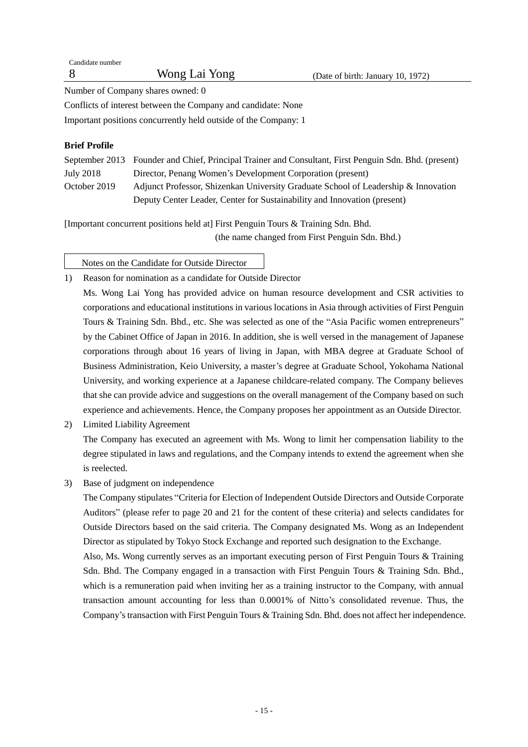| Candidate number |               |             |
|------------------|---------------|-------------|
|                  | Wong Lai Yong | (Date of bi |

Number of Company shares owned: 0

Conflicts of interest between the Company and candidate: None

Important positions concurrently held outside of the Company: 1

# **Brief Profile**

|              | September 2013 Founder and Chief, Principal Trainer and Consultant, First Penguin Sdn. Bhd. (present) |
|--------------|-------------------------------------------------------------------------------------------------------|
| July 2018    | Director, Penang Women's Development Corporation (present)                                            |
| October 2019 | Adjunct Professor, Shizenkan University Graduate School of Leadership & Innovation                    |
|              | Deputy Center Leader, Center for Sustainability and Innovation (present)                              |

[Important concurrent positions held at] First Penguin Tours & Training Sdn. Bhd. (the name changed from First Penguin Sdn. Bhd.)

Notes on the Candidate for Outside Director

1) Reason for nomination as a candidate for Outside Director

Ms. Wong Lai Yong has provided advice on human resource development and CSR activities to corporations and educational institutions in various locations in Asia through activities of First Penguin Tours & Training Sdn. Bhd., etc. She was selected as one of the "Asia Pacific women entrepreneurs" by the Cabinet Office of Japan in 2016. In addition, she is well versed in the management of Japanese corporations through about 16 years of living in Japan, with MBA degree at Graduate School of Business Administration, Keio University, a master's degree at Graduate School, Yokohama National University, and working experience at a Japanese childcare-related company. The Company believes that she can provide advice and suggestions on the overall management of the Company based on such experience and achievements. Hence, the Company proposes her appointment as an Outside Director.

- 2) Limited Liability Agreement The Company has executed an agreement with Ms. Wong to limit her compensation liability to the degree stipulated in laws and regulations, and the Company intends to extend the agreement when she is reelected.
- 3) Base of judgment on independence

The Company stipulates "Criteria for Election of Independent Outside Directors and Outside Corporate Auditors" (please refer to page 20 and 21 for the content of these criteria) and selects candidates for Outside Directors based on the said criteria. The Company designated Ms. Wong as an Independent Director as stipulated by Tokyo Stock Exchange and reported such designation to the Exchange.

Also, Ms. Wong currently serves as an important executing person of First Penguin Tours & Training Sdn. Bhd. The Company engaged in a transaction with First Penguin Tours & Training Sdn. Bhd., which is a remuneration paid when inviting her as a training instructor to the Company, with annual transaction amount accounting for less than 0.0001% of Nitto's consolidated revenue. Thus, the Company's transaction with First Penguin Tours & Training Sdn. Bhd. does not affect her independence.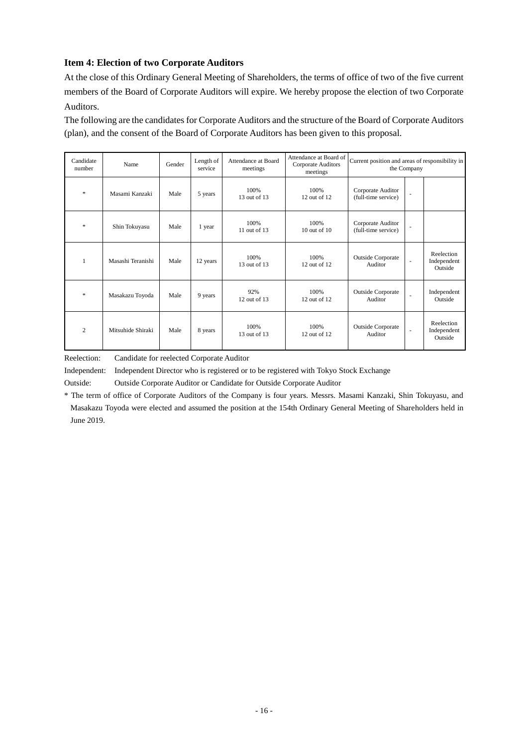# **Item 4: Election of two Corporate Auditors**

At the close of this Ordinary General Meeting of Shareholders, the terms of office of two of the five current members of the Board of Corporate Auditors will expire. We hereby propose the election of two Corporate Auditors.

The following are the candidates for Corporate Auditors and the structure of the Board of Corporate Auditors (plan), and the consent of the Board of Corporate Auditors has been given to this proposal.

| Candidate<br>number | Name              | Gender | Length of<br>service | Attendance at Board<br>meetings | Attendance at Board of<br>Corporate Auditors<br>meetings | Current position and areas of responsibility in<br>the Company |                          |                                      |
|---------------------|-------------------|--------|----------------------|---------------------------------|----------------------------------------------------------|----------------------------------------------------------------|--------------------------|--------------------------------------|
| $\mathcal{R}$       | Masami Kanzaki    | Male   | 5 years              | 100%<br>13 out of 13            | 100%<br>$12$ out of $12$                                 | Corporate Auditor<br>(full-time service)                       | ٠                        |                                      |
| $\gg$               | Shin Tokuyasu     | Male   | 1 year               | 100%<br>11 out of 13            | 100%<br>$10$ out of $10$                                 | Corporate Auditor<br>(full-time service)                       | $\overline{\phantom{a}}$ |                                      |
| $\mathbf{1}$        | Masashi Teranishi | Male   | 12 years             | 100%<br>13 out of 13            | 100%<br>12 out of 12                                     | <b>Outside Corporate</b><br>Auditor                            | $\blacksquare$           | Reelection<br>Independent<br>Outside |
| $\mathcal{R}$       | Masakazu Toyoda   | Male   | 9 years              | 92%<br>$12$ out of $13$         | 100%<br>12 out of 12                                     | <b>Outside Corporate</b><br>Auditor                            | ÷.                       | Independent<br>Outside               |
| $\overline{c}$      | Mitsuhide Shiraki | Male   | 8 years              | 100%<br>13 out of 13            | 100%<br>12 out of 12                                     | <b>Outside Corporate</b><br>Auditor                            | $\overline{\phantom{a}}$ | Reelection<br>Independent<br>Outside |

Reelection: Candidate for reelected Corporate Auditor

Independent: Independent Director who is registered or to be registered with Tokyo Stock Exchange

Outside: Outside Corporate Auditor or Candidate for Outside Corporate Auditor

\* The term of office of Corporate Auditors of the Company is four years. Messrs. Masami Kanzaki, Shin Tokuyasu, and Masakazu Toyoda were elected and assumed the position at the 154th Ordinary General Meeting of Shareholders held in June 2019.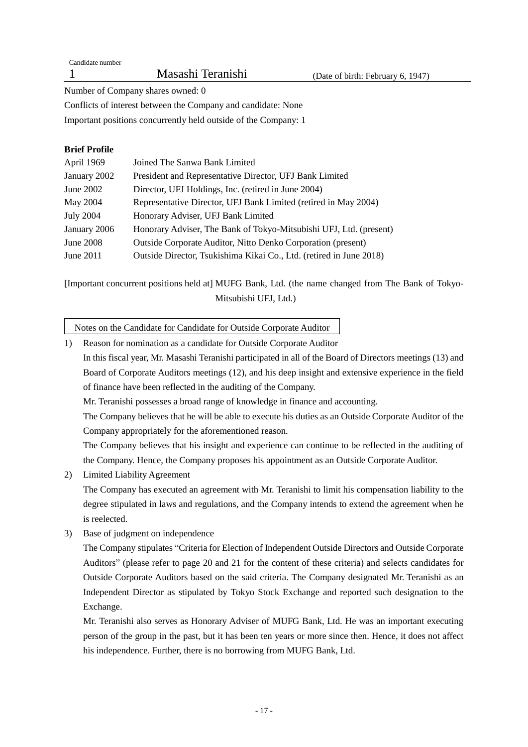Candidate number

Number of Company shares owned: 0

Conflicts of interest between the Company and candidate: None

Important positions concurrently held outside of the Company: 1

# **Brief Profile**

| April 1969       | Joined The Sanwa Bank Limited                                       |
|------------------|---------------------------------------------------------------------|
| January 2002     | President and Representative Director, UFJ Bank Limited             |
| June 2002        | Director, UFJ Holdings, Inc. (retired in June 2004)                 |
| May 2004         | Representative Director, UFJ Bank Limited (retired in May 2004)     |
| <b>July 2004</b> | Honorary Adviser, UFJ Bank Limited                                  |
| January 2006     | Honorary Adviser, The Bank of Tokyo-Mitsubishi UFJ, Ltd. (present)  |
| June 2008        | Outside Corporate Auditor, Nitto Denko Corporation (present)        |
| June $2011$      | Outside Director, Tsukishima Kikai Co., Ltd. (retired in June 2018) |

[Important concurrent positions held at] MUFG Bank, Ltd. (the name changed from The Bank of Tokyo-Mitsubishi UFJ, Ltd.)

Notes on the Candidate for Candidate for Outside Corporate Auditor

1) Reason for nomination as a candidate for Outside Corporate Auditor In this fiscal year, Mr. Masashi Teranishi participated in all of the Board of Directors meetings (13) and Board of Corporate Auditors meetings (12), and his deep insight and extensive experience in the field of finance have been reflected in the auditing of the Company.

Mr. Teranishi possesses a broad range of knowledge in finance and accounting.

The Company believes that he will be able to execute his duties as an Outside Corporate Auditor of the Company appropriately for the aforementioned reason.

The Company believes that his insight and experience can continue to be reflected in the auditing of the Company. Hence, the Company proposes his appointment as an Outside Corporate Auditor.

2) Limited Liability Agreement

The Company has executed an agreement with Mr. Teranishi to limit his compensation liability to the degree stipulated in laws and regulations, and the Company intends to extend the agreement when he is reelected.

3) Base of judgment on independence

The Company stipulates "Criteria for Election of Independent Outside Directors and Outside Corporate Auditors" (please refer to page 20 and 21 for the content of these criteria) and selects candidates for Outside Corporate Auditors based on the said criteria. The Company designated Mr. Teranishi as an Independent Director as stipulated by Tokyo Stock Exchange and reported such designation to the Exchange.

Mr. Teranishi also serves as Honorary Adviser of MUFG Bank, Ltd. He was an important executing person of the group in the past, but it has been ten years or more since then. Hence, it does not affect his independence. Further, there is no borrowing from MUFG Bank, Ltd.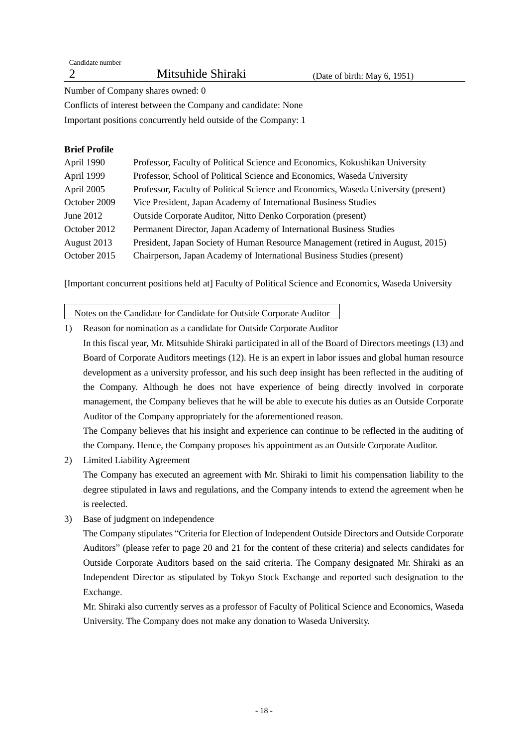Candidate number

## Number of Company shares owned: 0

Conflicts of interest between the Company and candidate: None

Important positions concurrently held outside of the Company: 1

## **Brief Profile**

| April 1990   | Professor, Faculty of Political Science and Economics, Kokushikan University       |
|--------------|------------------------------------------------------------------------------------|
| April 1999   | Professor, School of Political Science and Economics, Waseda University            |
| April 2005   | Professor, Faculty of Political Science and Economics, Waseda University (present) |
| October 2009 | Vice President, Japan Academy of International Business Studies                    |
| June $2012$  | Outside Corporate Auditor, Nitto Denko Corporation (present)                       |
| October 2012 | Permanent Director, Japan Academy of International Business Studies                |
| August 2013  | President, Japan Society of Human Resource Management (retired in August, 2015)    |
| October 2015 | Chairperson, Japan Academy of International Business Studies (present)             |

[Important concurrent positions held at] Faculty of Political Science and Economics, Waseda University

Notes on the Candidate for Candidate for Outside Corporate Auditor

- 1) Reason for nomination as a candidate for Outside Corporate Auditor
- In this fiscal year, Mr. Mitsuhide Shiraki participated in all of the Board of Directors meetings (13) and Board of Corporate Auditors meetings (12). He is an expert in labor issues and global human resource development as a university professor, and his such deep insight has been reflected in the auditing of the Company. Although he does not have experience of being directly involved in corporate management, the Company believes that he will be able to execute his duties as an Outside Corporate Auditor of the Company appropriately for the aforementioned reason.

The Company believes that his insight and experience can continue to be reflected in the auditing of the Company. Hence, the Company proposes his appointment as an Outside Corporate Auditor.

- 2) Limited Liability Agreement The Company has executed an agreement with Mr. Shiraki to limit his compensation liability to the degree stipulated in laws and regulations, and the Company intends to extend the agreement when he is reelected.
- 3) Base of judgment on independence

The Company stipulates "Criteria for Election of Independent Outside Directors and Outside Corporate Auditors" (please refer to page 20 and 21 for the content of these criteria) and selects candidates for Outside Corporate Auditors based on the said criteria. The Company designated Mr. Shiraki as an Independent Director as stipulated by Tokyo Stock Exchange and reported such designation to the Exchange.

Mr. Shiraki also currently serves as a professor of Faculty of Political Science and Economics, Waseda University. The Company does not make any donation to Waseda University.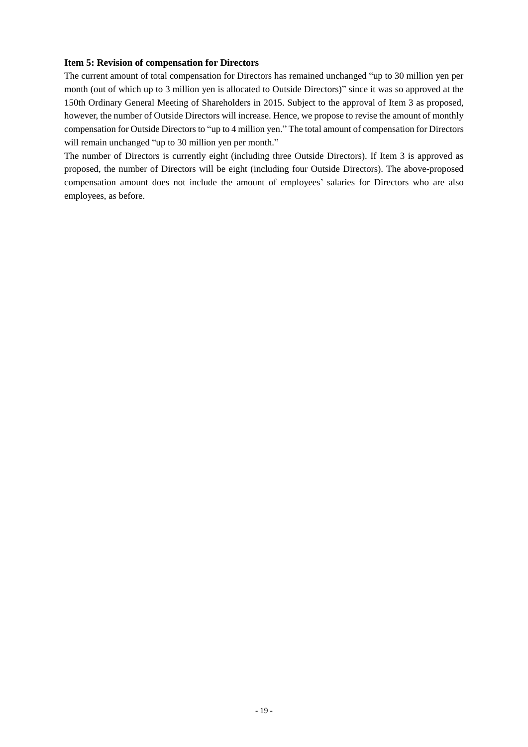## **Item 5: Revision of compensation for Directors**

The current amount of total compensation for Directors has remained unchanged "up to 30 million yen per month (out of which up to 3 million yen is allocated to Outside Directors)" since it was so approved at the 150th Ordinary General Meeting of Shareholders in 2015. Subject to the approval of Item 3 as proposed, however, the number of Outside Directors will increase. Hence, we propose to revise the amount of monthly compensation for Outside Directors to "up to 4 million yen." The total amount of compensation for Directors will remain unchanged "up to 30 million yen per month."

The number of Directors is currently eight (including three Outside Directors). If Item 3 is approved as proposed, the number of Directors will be eight (including four Outside Directors). The above-proposed compensation amount does not include the amount of employees' salaries for Directors who are also employees, as before.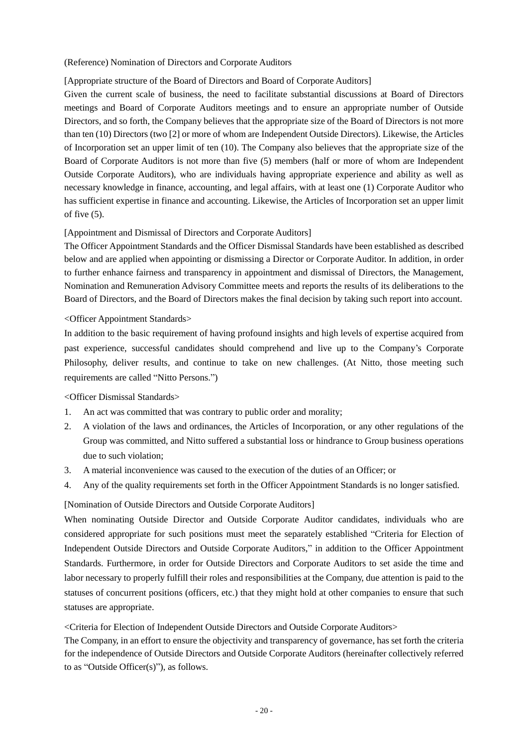## (Reference) Nomination of Directors and Corporate Auditors

# [Appropriate structure of the Board of Directors and Board of Corporate Auditors]

Given the current scale of business, the need to facilitate substantial discussions at Board of Directors meetings and Board of Corporate Auditors meetings and to ensure an appropriate number of Outside Directors, and so forth, the Company believes that the appropriate size of the Board of Directors is not more than ten (10) Directors (two [2] or more of whom are Independent Outside Directors). Likewise, the Articles of Incorporation set an upper limit of ten (10). The Company also believes that the appropriate size of the Board of Corporate Auditors is not more than five (5) members (half or more of whom are Independent Outside Corporate Auditors), who are individuals having appropriate experience and ability as well as necessary knowledge in finance, accounting, and legal affairs, with at least one (1) Corporate Auditor who has sufficient expertise in finance and accounting. Likewise, the Articles of Incorporation set an upper limit of five (5).

# [Appointment and Dismissal of Directors and Corporate Auditors]

The Officer Appointment Standards and the Officer Dismissal Standards have been established as described below and are applied when appointing or dismissing a Director or Corporate Auditor. In addition, in order to further enhance fairness and transparency in appointment and dismissal of Directors, the Management, Nomination and Remuneration Advisory Committee meets and reports the results of its deliberations to the Board of Directors, and the Board of Directors makes the final decision by taking such report into account.

## <Officer Appointment Standards>

In addition to the basic requirement of having profound insights and high levels of expertise acquired from past experience, successful candidates should comprehend and live up to the Company's Corporate Philosophy, deliver results, and continue to take on new challenges. (At Nitto, those meeting such requirements are called "Nitto Persons.")

## <Officer Dismissal Standards>

- 1. An act was committed that was contrary to public order and morality;
- 2. A violation of the laws and ordinances, the Articles of Incorporation, or any other regulations of the Group was committed, and Nitto suffered a substantial loss or hindrance to Group business operations due to such violation;
- 3. A material inconvenience was caused to the execution of the duties of an Officer; or
- 4. Any of the quality requirements set forth in the Officer Appointment Standards is no longer satisfied.

## [Nomination of Outside Directors and Outside Corporate Auditors]

When nominating Outside Director and Outside Corporate Auditor candidates, individuals who are considered appropriate for such positions must meet the separately established "Criteria for Election of Independent Outside Directors and Outside Corporate Auditors," in addition to the Officer Appointment Standards. Furthermore, in order for Outside Directors and Corporate Auditors to set aside the time and labor necessary to properly fulfill their roles and responsibilities at the Company, due attention is paid to the statuses of concurrent positions (officers, etc.) that they might hold at other companies to ensure that such statuses are appropriate.

<Criteria for Election of Independent Outside Directors and Outside Corporate Auditors>

The Company, in an effort to ensure the objectivity and transparency of governance, has set forth the criteria for the independence of Outside Directors and Outside Corporate Auditors (hereinafter collectively referred to as "Outside Officer(s)"), as follows.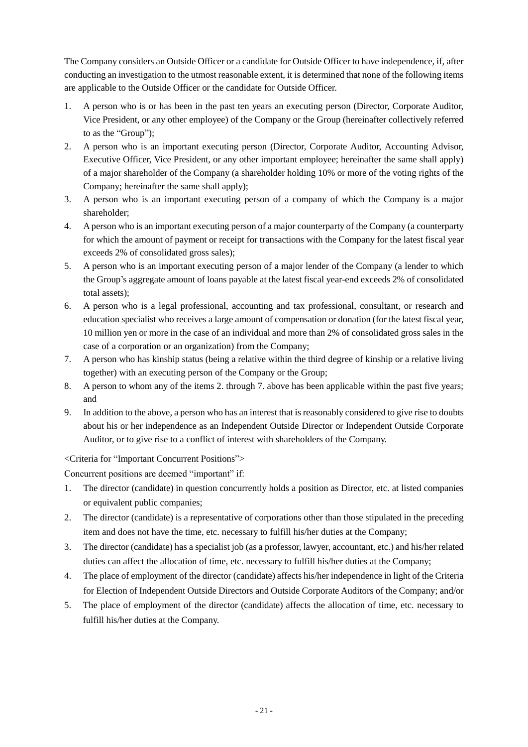The Company considers an Outside Officer or a candidate for Outside Officer to have independence, if, after conducting an investigation to the utmost reasonable extent, it is determined that none of the following items are applicable to the Outside Officer or the candidate for Outside Officer.

- 1. A person who is or has been in the past ten years an executing person (Director, Corporate Auditor, Vice President, or any other employee) of the Company or the Group (hereinafter collectively referred to as the "Group");
- 2. A person who is an important executing person (Director, Corporate Auditor, Accounting Advisor, Executive Officer, Vice President, or any other important employee; hereinafter the same shall apply) of a major shareholder of the Company (a shareholder holding 10% or more of the voting rights of the Company; hereinafter the same shall apply);
- 3. A person who is an important executing person of a company of which the Company is a major shareholder;
- 4. A person who is an important executing person of a major counterparty of the Company (a counterparty for which the amount of payment or receipt for transactions with the Company for the latest fiscal year exceeds 2% of consolidated gross sales);
- 5. A person who is an important executing person of a major lender of the Company (a lender to which the Group's aggregate amount of loans payable at the latest fiscal year-end exceeds 2% of consolidated total assets);
- 6. A person who is a legal professional, accounting and tax professional, consultant, or research and education specialist who receives a large amount of compensation or donation (for the latest fiscal year, 10 million yen or more in the case of an individual and more than 2% of consolidated gross sales in the case of a corporation or an organization) from the Company;
- 7. A person who has kinship status (being a relative within the third degree of kinship or a relative living together) with an executing person of the Company or the Group;
- 8. A person to whom any of the items 2. through 7. above has been applicable within the past five years; and
- 9. In addition to the above, a person who has an interest that is reasonably considered to give rise to doubts about his or her independence as an Independent Outside Director or Independent Outside Corporate Auditor, or to give rise to a conflict of interest with shareholders of the Company.

<Criteria for "Important Concurrent Positions">

Concurrent positions are deemed "important" if:

- 1. The director (candidate) in question concurrently holds a position as Director, etc. at listed companies or equivalent public companies;
- 2. The director (candidate) is a representative of corporations other than those stipulated in the preceding item and does not have the time, etc. necessary to fulfill his/her duties at the Company;
- 3. The director (candidate) has a specialist job (as a professor, lawyer, accountant, etc.) and his/her related duties can affect the allocation of time, etc. necessary to fulfill his/her duties at the Company;
- 4. The place of employment of the director (candidate) affects his/her independence in light of the Criteria for Election of Independent Outside Directors and Outside Corporate Auditors of the Company; and/or
- 5. The place of employment of the director (candidate) affects the allocation of time, etc. necessary to fulfill his/her duties at the Company.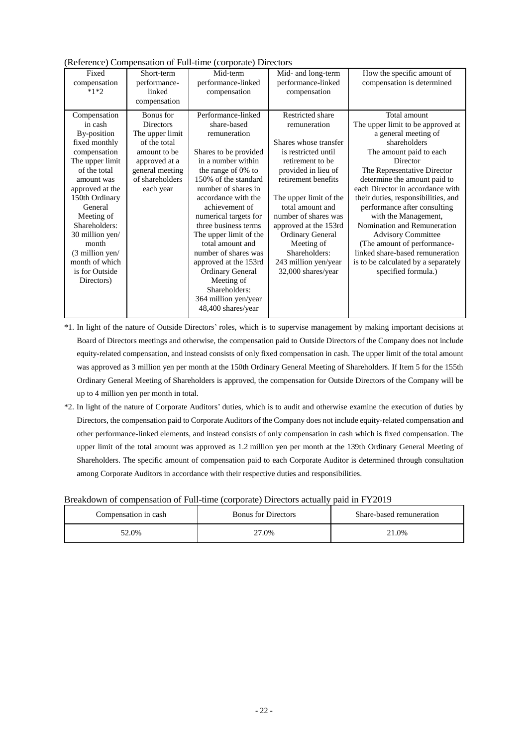|                                 |                                      | Reference) Compensation of Fun-time (corporate) Directors |                                                          |                                                          |
|---------------------------------|--------------------------------------|-----------------------------------------------------------|----------------------------------------------------------|----------------------------------------------------------|
| Fixed<br>compensation<br>$*1*2$ | Short-term<br>performance-<br>linked | Mid-term<br>performance-linked<br>compensation            | Mid- and long-term<br>performance-linked<br>compensation | How the specific amount of<br>compensation is determined |
|                                 | compensation                         |                                                           |                                                          |                                                          |
| Compensation                    | Bonus for                            | Performance-linked                                        | Restricted share                                         | Total amount                                             |
| in cash                         | <b>Directors</b>                     | share-based                                               | remuneration                                             | The upper limit to be approved at                        |
| By-position                     | The upper limit                      | remuneration                                              |                                                          | a general meeting of                                     |
| fixed monthly                   | of the total                         |                                                           | Shares whose transfer                                    | shareholders                                             |
| compensation                    | amount to be                         | Shares to be provided                                     | is restricted until                                      | The amount paid to each                                  |
| The upper limit                 | approved at a                        | in a number within                                        | retirement to be                                         | Director                                                 |
| of the total                    | general meeting                      | the range of 0% to                                        | provided in lieu of                                      | The Representative Director                              |
| amount was                      | of shareholders                      | 150% of the standard                                      | retirement benefits                                      | determine the amount paid to                             |
| approved at the                 | each year                            | number of shares in                                       |                                                          | each Director in accordance with                         |
| 150th Ordinary                  |                                      | accordance with the                                       | The upper limit of the                                   | their duties, responsibilities, and                      |
| General                         |                                      | achievement of                                            | total amount and                                         | performance after consulting                             |
| Meeting of                      |                                      | numerical targets for                                     | number of shares was                                     | with the Management,                                     |
| Shareholders:                   |                                      | three business terms                                      | approved at the 153rd                                    | Nomination and Remuneration                              |
| 30 million yen/                 |                                      | The upper limit of the                                    | <b>Ordinary General</b>                                  | <b>Advisory Committee</b>                                |
| month                           |                                      | total amount and                                          | Meeting of                                               | (The amount of performance-                              |
| $(3 \text{ million yen}/)$      |                                      | number of shares was                                      | Shareholders:                                            | linked share-based remuneration                          |
| month of which                  |                                      | approved at the 153rd                                     | 243 million yen/year                                     | is to be calculated by a separately                      |
| is for Outside                  |                                      | <b>Ordinary General</b>                                   | 32,000 shares/year                                       | specified formula.)                                      |
| Directors)                      |                                      | Meeting of                                                |                                                          |                                                          |
|                                 |                                      | Shareholders:                                             |                                                          |                                                          |
|                                 |                                      | 364 million yen/year                                      |                                                          |                                                          |
|                                 |                                      | 48,400 shares/year                                        |                                                          |                                                          |

(Reference) Compensation of Full-time (corporate) Directors

\*1. In light of the nature of Outside Directors' roles, which is to supervise management by making important decisions at Board of Directors meetings and otherwise, the compensation paid to Outside Directors of the Company does not include equity-related compensation, and instead consists of only fixed compensation in cash. The upper limit of the total amount was approved as 3 million yen per month at the 150th Ordinary General Meeting of Shareholders. If Item 5 for the 155th Ordinary General Meeting of Shareholders is approved, the compensation for Outside Directors of the Company will be up to 4 million yen per month in total.

\*2. In light of the nature of Corporate Auditors' duties, which is to audit and otherwise examine the execution of duties by Directors, the compensation paid to Corporate Auditors of the Company does not include equity-related compensation and other performance-linked elements, and instead consists of only compensation in cash which is fixed compensation. The upper limit of the total amount was approved as 1.2 million yen per month at the 139th Ordinary General Meeting of Shareholders. The specific amount of compensation paid to each Corporate Auditor is determined through consultation among Corporate Auditors in accordance with their respective duties and responsibilities.

| Breakdown of compensation of Full-time (corporate) Directors actually paid in FY2019 |  |  |  |  |
|--------------------------------------------------------------------------------------|--|--|--|--|
|--------------------------------------------------------------------------------------|--|--|--|--|

| Compensation in cash | <b>Bonus for Directors</b> | Share-based remuneration |  |
|----------------------|----------------------------|--------------------------|--|
| 52.0%                | 27.0%                      | 21.0%                    |  |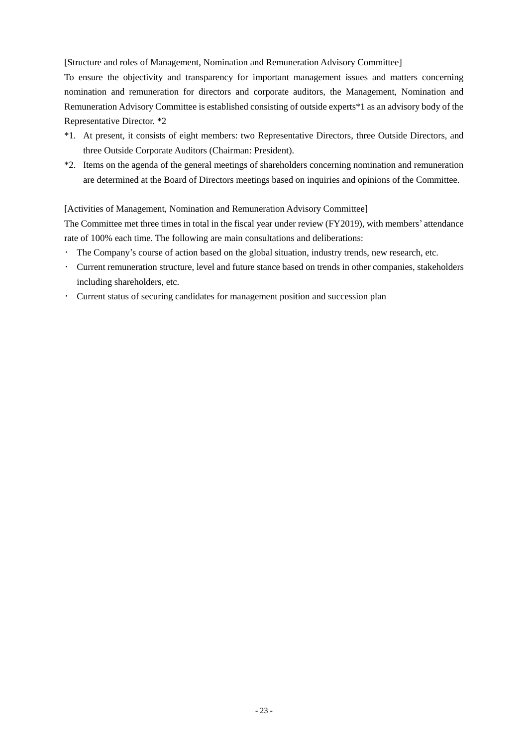[Structure and roles of Management, Nomination and Remuneration Advisory Committee]

To ensure the objectivity and transparency for important management issues and matters concerning nomination and remuneration for directors and corporate auditors, the Management, Nomination and Remuneration Advisory Committee is established consisting of outside experts\*1 as an advisory body of the Representative Director. \*2

- \*1. At present, it consists of eight members: two Representative Directors, three Outside Directors, and three Outside Corporate Auditors (Chairman: President).
- \*2. Items on the agenda of the general meetings of shareholders concerning nomination and remuneration are determined at the Board of Directors meetings based on inquiries and opinions of the Committee.

[Activities of Management, Nomination and Remuneration Advisory Committee]

The Committee met three times in total in the fiscal year under review (FY2019), with members' attendance rate of 100% each time. The following are main consultations and deliberations:

- ・ The Company's course of action based on the global situation, industry trends, new research, etc.
- ・ Current remuneration structure, level and future stance based on trends in other companies, stakeholders including shareholders, etc.
- ・ Current status of securing candidates for management position and succession plan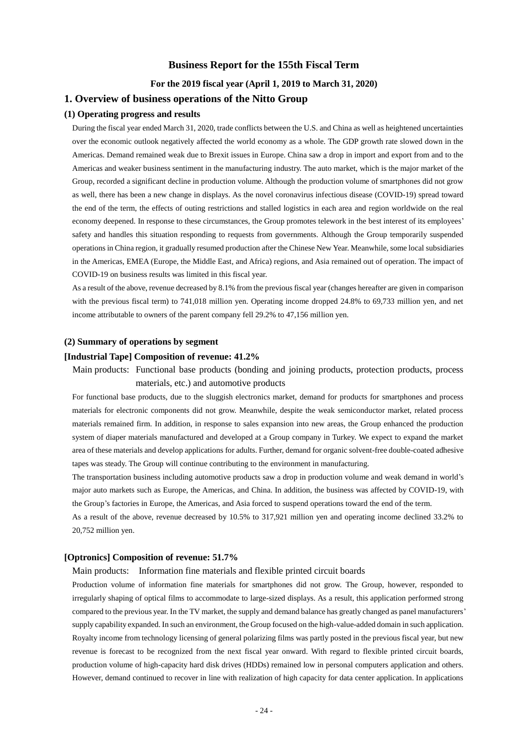## **Business Report for the 155th Fiscal Term**

## **For the 2019 fiscal year (April 1, 2019 to March 31, 2020)**

## **1. Overview of business operations of the Nitto Group**

## **(1) Operating progress and results**

During the fiscal year ended March 31, 2020, trade conflicts between the U.S. and China as well as heightened uncertainties over the economic outlook negatively affected the world economy as a whole. The GDP growth rate slowed down in the Americas. Demand remained weak due to Brexit issues in Europe. China saw a drop in import and export from and to the Americas and weaker business sentiment in the manufacturing industry. The auto market, which is the major market of the Group, recorded a significant decline in production volume. Although the production volume of smartphones did not grow as well, there has been a new change in displays. As the novel coronavirus infectious disease (COVID-19) spread toward the end of the term, the effects of outing restrictions and stalled logistics in each area and region worldwide on the real economy deepened. In response to these circumstances, the Group promotes telework in the best interest of its employees' safety and handles this situation responding to requests from governments. Although the Group temporarily suspended operations in China region, it gradually resumed production after the Chinese New Year. Meanwhile, some local subsidiaries in the Americas, EMEA (Europe, the Middle East, and Africa) regions, and Asia remained out of operation. The impact of COVID-19 on business results was limited in this fiscal year.

As a result of the above, revenue decreased by 8.1% from the previous fiscal year (changes hereafter are given in comparison with the previous fiscal term) to 741,018 million yen. Operating income dropped 24.8% to 69,733 million yen, and net income attributable to owners of the parent company fell 29.2% to 47,156 million yen.

#### **(2) Summary of operations by segment**

## **[Industrial Tape] Composition of revenue: 41.2%**

Main products: Functional base products (bonding and joining products, protection products, process materials, etc.) and automotive products

For functional base products, due to the sluggish electronics market, demand for products for smartphones and process materials for electronic components did not grow. Meanwhile, despite the weak semiconductor market, related process materials remained firm. In addition, in response to sales expansion into new areas, the Group enhanced the production system of diaper materials manufactured and developed at a Group company in Turkey. We expect to expand the market area of these materials and develop applications for adults. Further, demand for organic solvent-free double-coated adhesive tapes was steady. The Group will continue contributing to the environment in manufacturing.

The transportation business including automotive products saw a drop in production volume and weak demand in world's major auto markets such as Europe, the Americas, and China. In addition, the business was affected by COVID-19, with the Group's factories in Europe, the Americas, and Asia forced to suspend operations toward the end of the term.

As a result of the above, revenue decreased by 10.5% to 317,921 million yen and operating income declined 33.2% to 20,752 million yen.

### **[Optronics] Composition of revenue: 51.7%**

#### Main products: Information fine materials and flexible printed circuit boards

Production volume of information fine materials for smartphones did not grow. The Group, however, responded to irregularly shaping of optical films to accommodate to large-sized displays. As a result, this application performed strong compared to the previous year. In the TV market, the supply and demand balance has greatly changed as panel manufacturers' supply capability expanded. In such an environment, the Group focused on the high-value-added domain in such application. Royalty income from technology licensing of general polarizing films was partly posted in the previous fiscal year, but new revenue is forecast to be recognized from the next fiscal year onward. With regard to flexible printed circuit boards, production volume of high-capacity hard disk drives (HDDs) remained low in personal computers application and others. However, demand continued to recover in line with realization of high capacity for data center application. In applications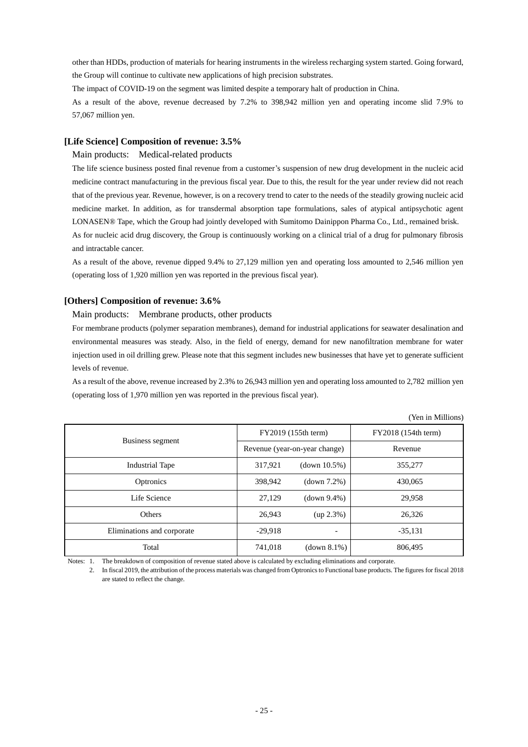other than HDDs, production of materials for hearing instruments in the wireless recharging system started. Going forward, the Group will continue to cultivate new applications of high precision substrates.

The impact of COVID-19 on the segment was limited despite a temporary halt of production in China.

As a result of the above, revenue decreased by 7.2% to 398,942 million yen and operating income slid 7.9% to 57,067 million yen.

## **[Life Science] Composition of revenue: 3.5%**

## Main products: Medical-related products

The life science business posted final revenue from a customer's suspension of new drug development in the nucleic acid medicine contract manufacturing in the previous fiscal year. Due to this, the result for the year under review did not reach that of the previous year. Revenue, however, is on a recovery trend to cater to the needs of the steadily growing nucleic acid medicine market. In addition, as for transdermal absorption tape formulations, sales of atypical antipsychotic agent LONASEN® Tape, which the Group had jointly developed with Sumitomo Dainippon Pharma Co., Ltd., remained brisk. As for nucleic acid drug discovery, the Group is continuously working on a clinical trial of a drug for pulmonary fibrosis and intractable cancer.

As a result of the above, revenue dipped 9.4% to 27,129 million yen and operating loss amounted to 2,546 million yen (operating loss of 1,920 million yen was reported in the previous fiscal year).

## **[Others] Composition of revenue: 3.6%**

Main products: Membrane products, other products

For membrane products (polymer separation membranes), demand for industrial applications for seawater desalination and environmental measures was steady. Also, in the field of energy, demand for new nanofiltration membrane for water injection used in oil drilling grew. Please note that this segment includes new businesses that have yet to generate sufficient levels of revenue.

As a result of the above, revenue increased by 2.3% to 26,943 million yen and operating loss amounted to 2,782 million yen (operating loss of 1,970 million yen was reported in the previous fiscal year).

|                            |                               |              | (Yen in Millions)   |
|----------------------------|-------------------------------|--------------|---------------------|
|                            | FY2019 (155th term)           |              | FY2018 (154th term) |
| Business segment           | Revenue (year-on-year change) |              | Revenue             |
| <b>Industrial Tape</b>     | 317,921                       | (down 10.5%) | 355,277             |
| Optronics                  | 398,942                       | (down 7.2%)  | 430,065             |
| Life Science               | 27,129                        | (down 9.4%)  | 29,958              |
| Others                     | 26,943                        | (up 2.3%)    | 26.326              |
| Eliminations and corporate | $-29,918$                     |              | $-35,131$           |
| Total                      | 741,018                       | (down 8.1%)  | 806,495             |

Notes: 1. The breakdown of composition of revenue stated above is calculated by excluding eliminations and corporate.

2. In fiscal 2019, the attribution of the process materials was changed from Optronics to Functional base products. The figures for fiscal 2018 are stated to reflect the change.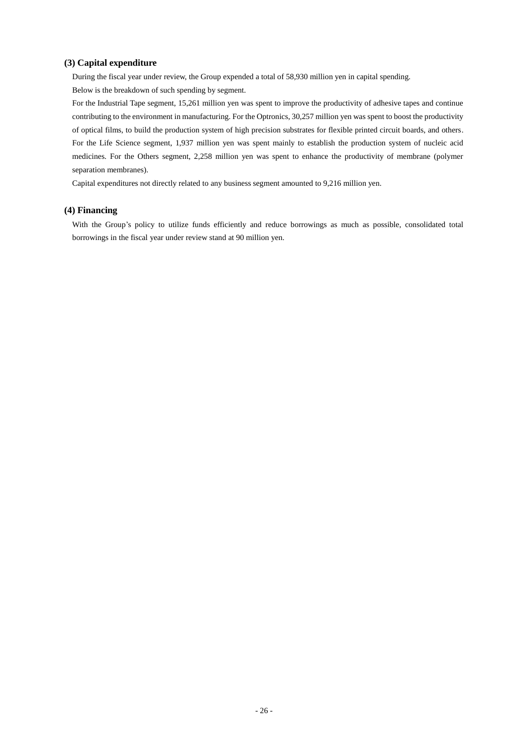## **(3) Capital expenditure**

During the fiscal year under review, the Group expended a total of 58,930 million yen in capital spending. Below is the breakdown of such spending by segment.

For the Industrial Tape segment, 15,261 million yen was spent to improve the productivity of adhesive tapes and continue contributing to the environment in manufacturing. For the Optronics, 30,257 million yen was spent to boost the productivity of optical films, to build the production system of high precision substrates for flexible printed circuit boards, and others. For the Life Science segment, 1,937 million yen was spent mainly to establish the production system of nucleic acid medicines. For the Others segment, 2,258 million yen was spent to enhance the productivity of membrane (polymer separation membranes).

Capital expenditures not directly related to any business segment amounted to 9,216 million yen.

## **(4) Financing**

With the Group's policy to utilize funds efficiently and reduce borrowings as much as possible, consolidated total borrowings in the fiscal year under review stand at 90 million yen.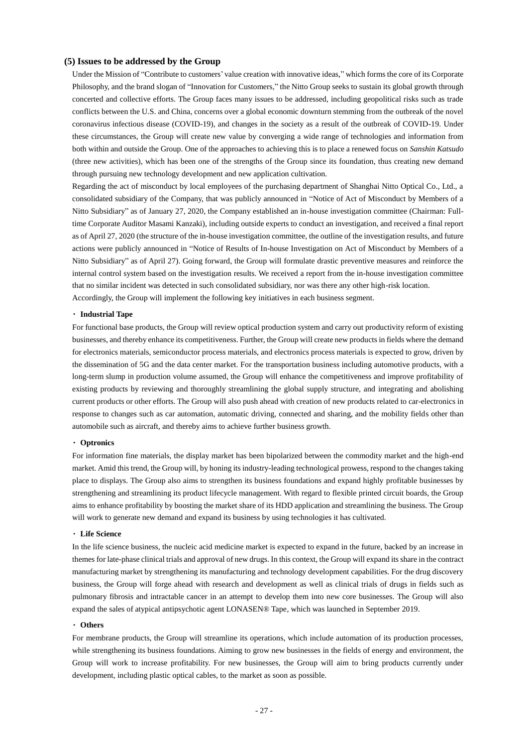#### **(5) Issues to be addressed by the Group**

Under the Mission of "Contribute to customers' value creation with innovative ideas," which forms the core of its Corporate Philosophy, and the brand slogan of "Innovation for Customers," the Nitto Group seeks to sustain its global growth through concerted and collective efforts. The Group faces many issues to be addressed, including geopolitical risks such as trade conflicts between the U.S. and China, concerns over a global economic downturn stemming from the outbreak of the novel coronavirus infectious disease (COVID-19), and changes in the society as a result of the outbreak of COVID-19. Under these circumstances, the Group will create new value by converging a wide range of technologies and information from both within and outside the Group. One of the approaches to achieving this is to place a renewed focus on *Sanshin Katsudo* (three new activities), which has been one of the strengths of the Group since its foundation, thus creating new demand through pursuing new technology development and new application cultivation.

Regarding the act of misconduct by local employees of the purchasing department of Shanghai Nitto Optical Co., Ltd., a consolidated subsidiary of the Company, that was publicly announced in "Notice of Act of Misconduct by Members of a Nitto Subsidiary" as of January 27, 2020, the Company established an in-house investigation committee (Chairman: Fulltime Corporate Auditor Masami Kanzaki), including outside experts to conduct an investigation, and received a final report as of April 27, 2020 (the structure of the in-house investigation committee, the outline of the investigation results, and future actions were publicly announced in "Notice of Results of In-house Investigation on Act of Misconduct by Members of a Nitto Subsidiary" as of April 27). Going forward, the Group will formulate drastic preventive measures and reinforce the internal control system based on the investigation results. We received a report from the in-house investigation committee that no similar incident was detected in such consolidated subsidiary, nor was there any other high-risk location. Accordingly, the Group will implement the following key initiatives in each business segment.

#### ・ **Industrial Tape**

For functional base products, the Group will review optical production system and carry out productivity reform of existing businesses, and thereby enhance its competitiveness. Further, the Group will create new products in fields where the demand for electronics materials, semiconductor process materials, and electronics process materials is expected to grow, driven by the dissemination of 5G and the data center market. For the transportation business including automotive products, with a long-term slump in production volume assumed, the Group will enhance the competitiveness and improve profitability of existing products by reviewing and thoroughly streamlining the global supply structure, and integrating and abolishing current products or other efforts. The Group will also push ahead with creation of new products related to car-electronics in response to changes such as car automation, automatic driving, connected and sharing, and the mobility fields other than automobile such as aircraft, and thereby aims to achieve further business growth.

#### ・ **Optronics**

For information fine materials, the display market has been bipolarized between the commodity market and the high-end market. Amid this trend, the Group will, by honing its industry-leading technological prowess, respond to the changes taking place to displays. The Group also aims to strengthen its business foundations and expand highly profitable businesses by strengthening and streamlining its product lifecycle management. With regard to flexible printed circuit boards, the Group aims to enhance profitability by boosting the market share of its HDD application and streamlining the business. The Group will work to generate new demand and expand its business by using technologies it has cultivated.

#### ・ **Life Science**

In the life science business, the nucleic acid medicine market is expected to expand in the future, backed by an increase in themes for late-phase clinical trials and approval of new drugs. In this context, the Group will expand its share in the contract manufacturing market by strengthening its manufacturing and technology development capabilities. For the drug discovery business, the Group will forge ahead with research and development as well as clinical trials of drugs in fields such as pulmonary fibrosis and intractable cancer in an attempt to develop them into new core businesses. The Group will also expand the sales of atypical antipsychotic agent LONASEN® Tape, which was launched in September 2019.

## ・ **Others**

For membrane products, the Group will streamline its operations, which include automation of its production processes, while strengthening its business foundations. Aiming to grow new businesses in the fields of energy and environment, the Group will work to increase profitability. For new businesses, the Group will aim to bring products currently under development, including plastic optical cables, to the market as soon as possible.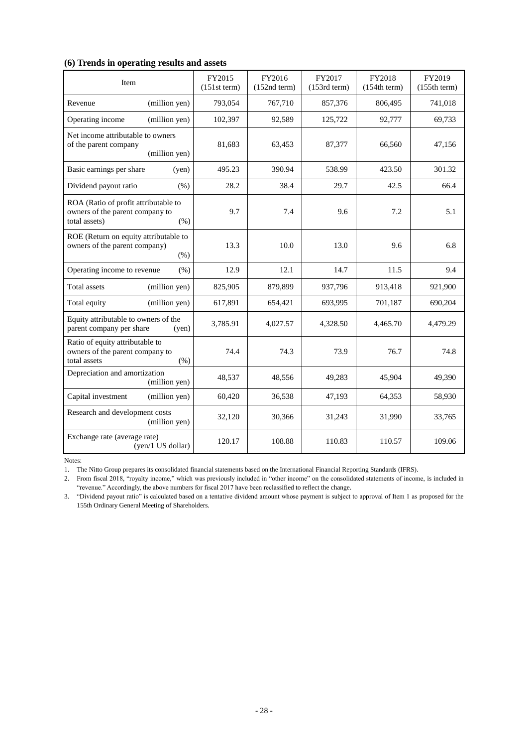## **(6) Trends in operating results and assets**

| Item                                                                                             | FY2015<br>$(151st$ term) | FY2016<br>$(152nd$ term $)$ | FY2017<br>$(153rd$ term $)$ | FY2018<br>(154th term) | FY2019<br>(155th term) |
|--------------------------------------------------------------------------------------------------|--------------------------|-----------------------------|-----------------------------|------------------------|------------------------|
| (million yen)<br>Revenue                                                                         | 793,054                  | 767,710                     | 857,376                     | 806,495                | 741,018                |
| (million yen)<br>Operating income                                                                | 102,397                  | 92,589                      | 125,722                     | 92,777                 | 69,733                 |
| Net income attributable to owners<br>of the parent company<br>(million yen)                      | 81.683                   | 63,453                      | 87,377                      | 66.560                 | 47,156                 |
| Basic earnings per share<br>(yen)                                                                | 495.23                   | 390.94                      | 538.99                      | 423.50                 | 301.32                 |
| Dividend payout ratio<br>(% )                                                                    | 28.2                     | 38.4                        | 29.7                        | 42.5                   | 66.4                   |
| ROA (Ratio of profit attributable to<br>owners of the parent company to<br>total assets)<br>(% ) | 9.7                      | 7.4                         | 9.6                         | 7.2                    | 5.1                    |
| ROE (Return on equity attributable to<br>owners of the parent company)<br>$(\% )$                | 13.3                     | 10.0                        | 13.0                        | 9.6                    | 6.8                    |
| Operating income to revenue<br>(% )                                                              | 12.9                     | 12.1                        | 14.7                        | 11.5                   | 9.4                    |
| (million yen)<br><b>Total</b> assets                                                             | 825,905                  | 879,899                     | 937,796                     | 913,418                | 921,900                |
| Total equity<br>(million yen)                                                                    | 617,891                  | 654,421                     | 693,995                     | 701,187                | 690,204                |
| Equity attributable to owners of the<br>parent company per share<br>(yen)                        | 3,785.91                 | 4,027.57                    | 4,328.50                    | 4,465.70               | 4,479.29               |
| Ratio of equity attributable to<br>owners of the parent company to<br>total assets<br>(% )       | 74.4                     | 74.3                        | 73.9                        | 76.7                   | 74.8                   |
| Depreciation and amortization<br>(million yen)                                                   | 48,537                   | 48,556                      | 49,283                      | 45,904                 | 49,390                 |
| Capital investment<br>(million yen)                                                              | 60,420                   | 36,538                      | 47,193                      | 64,353                 | 58,930                 |
| Research and development costs<br>(million yen)                                                  | 32,120                   | 30,366                      | 31,243                      | 31,990                 | 33,765                 |
| Exchange rate (average rate)<br>(yen/1 US dollar)                                                | 120.17                   | 108.88                      | 110.83                      | 110.57                 | 109.06                 |

Notes:

1. The Nitto Group prepares its consolidated financial statements based on the International Financial Reporting Standards (IFRS).

2. From fiscal 2018, "royalty income," which was previously included in "other income" on the consolidated statements of income, is included in "revenue." Accordingly, the above numbers for fiscal 2017 have been reclassified to reflect the change.

3. "Dividend payout ratio" is calculated based on a tentative dividend amount whose payment is subject to approval of Item 1 as proposed for the 155th Ordinary General Meeting of Shareholders.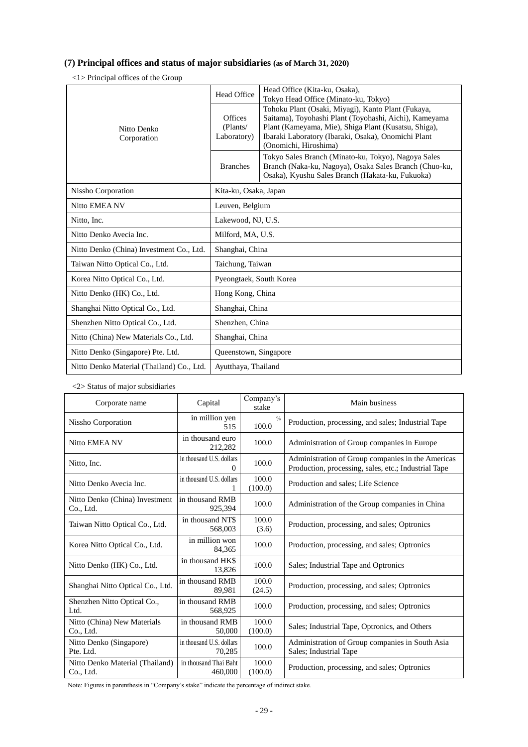## **(7) Principal offices and status of major subsidiaries (as of March 31, 2020)**

<1> Principal offices of the Group

|                                           | Head Office (Kita-ku, Osaka),<br>Head Office<br>Tokyo Head Office (Minato-ku, Tokyo) |                                                                                                                                                                                                                                                      |
|-------------------------------------------|--------------------------------------------------------------------------------------|------------------------------------------------------------------------------------------------------------------------------------------------------------------------------------------------------------------------------------------------------|
| Nitto Denko<br>Corporation                | <b>Offices</b><br>(Plants/<br>Laboratory)                                            | Tohoku Plant (Osaki, Miyagi), Kanto Plant (Fukaya,<br>Saitama), Toyohashi Plant (Toyohashi, Aichi), Kameyama<br>Plant (Kameyama, Mie), Shiga Plant (Kusatsu, Shiga),<br>Ibaraki Laboratory (Ibaraki, Osaka), Onomichi Plant<br>(Onomichi, Hiroshima) |
|                                           | <b>Branches</b>                                                                      | Tokyo Sales Branch (Minato-ku, Tokyo), Nagoya Sales<br>Branch (Naka-ku, Nagoya), Osaka Sales Branch (Chuo-ku,<br>Osaka), Kyushu Sales Branch (Hakata-ku, Fukuoka)                                                                                    |
| Nissho Corporation                        | Kita-ku, Osaka, Japan                                                                |                                                                                                                                                                                                                                                      |
| Nitto EMEA NV                             | Leuven, Belgium                                                                      |                                                                                                                                                                                                                                                      |
| Nitto, Inc.                               | Lakewood, NJ, U.S.                                                                   |                                                                                                                                                                                                                                                      |
| Nitto Denko Avecia Inc.                   | Milford, MA, U.S.                                                                    |                                                                                                                                                                                                                                                      |
| Nitto Denko (China) Investment Co., Ltd.  | Shanghai, China                                                                      |                                                                                                                                                                                                                                                      |
| Taiwan Nitto Optical Co., Ltd.            | Taichung, Taiwan                                                                     |                                                                                                                                                                                                                                                      |
| Korea Nitto Optical Co., Ltd.             | Pyeongtaek, South Korea                                                              |                                                                                                                                                                                                                                                      |
| Nitto Denko (HK) Co., Ltd.                | Hong Kong, China                                                                     |                                                                                                                                                                                                                                                      |
| Shanghai Nitto Optical Co., Ltd.          | Shanghai, China                                                                      |                                                                                                                                                                                                                                                      |
| Shenzhen Nitto Optical Co., Ltd.          | Shenzhen, China                                                                      |                                                                                                                                                                                                                                                      |
| Nitto (China) New Materials Co., Ltd.     | Shanghai, China                                                                      |                                                                                                                                                                                                                                                      |
| Nitto Denko (Singapore) Pte. Ltd.         | Queenstown, Singapore                                                                |                                                                                                                                                                                                                                                      |
| Nitto Denko Material (Thailand) Co., Ltd. | Ayutthaya, Thailand                                                                  |                                                                                                                                                                                                                                                      |

<2> Status of major subsidiaries

| Corporate name                               | Capital                              | Company's<br>stake     | Main business                                                                                             |
|----------------------------------------------|--------------------------------------|------------------------|-----------------------------------------------------------------------------------------------------------|
| Nissho Corporation                           | in million yen<br>515                | $\frac{0}{0}$<br>100.0 | Production, processing, and sales; Industrial Tape                                                        |
| <b>Nitto EMEA NV</b>                         | in thousand euro<br>212,282          | 100.0                  | Administration of Group companies in Europe                                                               |
| Nitto, Inc.                                  | in thousand U.S. dollars<br>$\Omega$ | 100.0                  | Administration of Group companies in the Americas<br>Production, processing, sales, etc.; Industrial Tape |
| Nitto Denko Avecia Inc.                      | in thousand U.S. dollars             | 100.0<br>(100.0)       | Production and sales; Life Science                                                                        |
| Nitto Denko (China) Investment<br>Co., Ltd.  | in thousand RMB<br>925,394           | 100.0                  | Administration of the Group companies in China                                                            |
| Taiwan Nitto Optical Co., Ltd.               | in thousand NT\$<br>568,003          | 100.0<br>(3.6)         | Production, processing, and sales; Optronics                                                              |
| Korea Nitto Optical Co., Ltd.                | in million won<br>84,365             | 100.0                  | Production, processing, and sales; Optronics                                                              |
| Nitto Denko (HK) Co., Ltd.                   | in thousand HK\$<br>13,826           | 100.0                  | Sales; Industrial Tape and Optronics                                                                      |
| Shanghai Nitto Optical Co., Ltd.             | in thousand RMB<br>89.981            | 100.0<br>(24.5)        | Production, processing, and sales; Optronics                                                              |
| Shenzhen Nitto Optical Co.,<br>Ltd.          | in thousand RMB<br>568,925           | 100.0                  | Production, processing, and sales; Optronics                                                              |
| Nitto (China) New Materials<br>Co., Ltd.     | in thousand RMB<br>50,000            | 100.0<br>(100.0)       | Sales; Industrial Tape, Optronics, and Others                                                             |
| Nitto Denko (Singapore)<br>Pte. Ltd.         | in thousand U.S. dollars<br>70,285   | 100.0                  | Administration of Group companies in South Asia<br>Sales; Industrial Tape                                 |
| Nitto Denko Material (Thailand)<br>Co., Ltd. | in thousand Thai Baht<br>460,000     | 100.0<br>(100.0)       | Production, processing, and sales; Optronics                                                              |

Note: Figures in parenthesis in "Company's stake" indicate the percentage of indirect stake.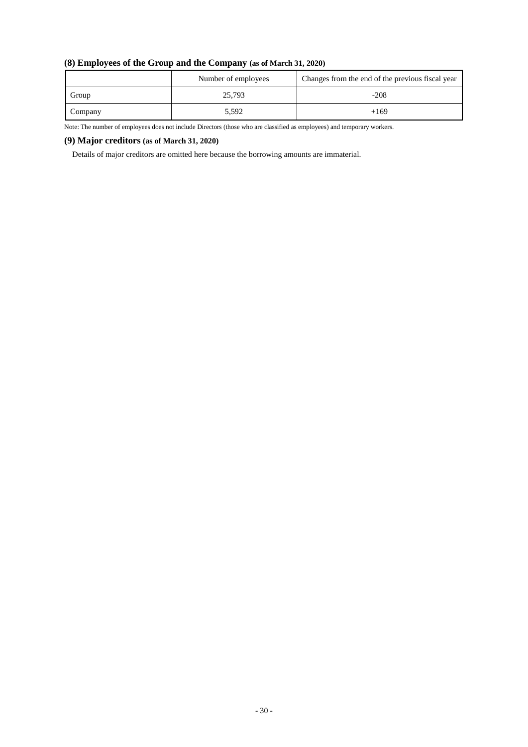|  |  |  |  | (8) Employees of the Group and the Company (as of March 31, 2020) |
|--|--|--|--|-------------------------------------------------------------------|
|--|--|--|--|-------------------------------------------------------------------|

|         | Number of employees | Changes from the end of the previous fiscal year |
|---------|---------------------|--------------------------------------------------|
| Group   | 25,793              | $-208$                                           |
| Company | 5,592               | $+169$                                           |

Note: The number of employees does not include Directors (those who are classified as employees) and temporary workers.

## **(9) Major creditors (as of March 31, 2020)**

Details of major creditors are omitted here because the borrowing amounts are immaterial.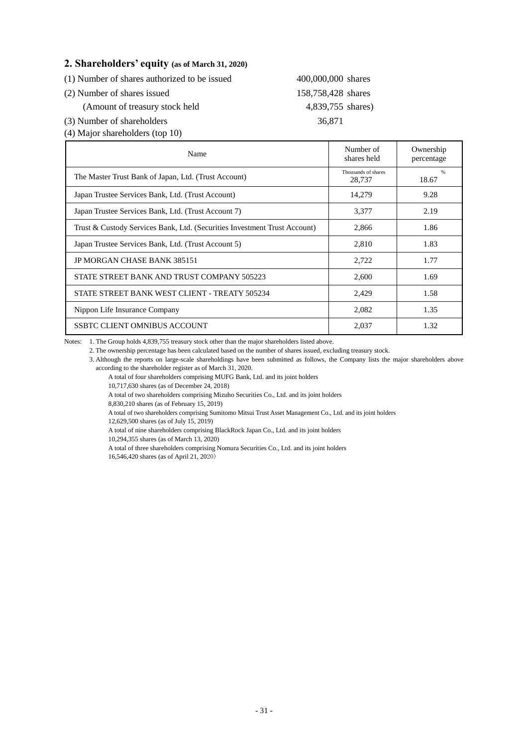## **2. Shareholders' equity (as of March 31, 2020)**

| (1) Number of shares authorized to be issued | 400,000,000 shares |  |
|----------------------------------------------|--------------------|--|
| (2) Number of shares issued                  | 158,758,428 shares |  |
| (Amount of treasury stock held               | 4,839,755 shares)  |  |

(3) Number of shareholders 36,871 (4) Major shareholders (top 10)

| Name                                                                      | Number of<br>shares held      | Ownership<br>percentage |
|---------------------------------------------------------------------------|-------------------------------|-------------------------|
| The Master Trust Bank of Japan, Ltd. (Trust Account)                      | Thousands of shares<br>28,737 | %<br>18.67              |
| Japan Trustee Services Bank, Ltd. (Trust Account)                         | 14,279                        | 9.28                    |
| Japan Trustee Services Bank, Ltd. (Trust Account 7)                       | 3,377                         | 2.19                    |
| Trust & Custody Services Bank, Ltd. (Securities Investment Trust Account) | 2,866                         | 1.86                    |
| Japan Trustee Services Bank, Ltd. (Trust Account 5)                       | 2,810                         | 1.83                    |
| <b>JP MORGAN CHASE BANK 385151</b>                                        | 2,722                         | 1.77                    |
| STATE STREET BANK AND TRUST COMPANY 505223                                | 2,600                         | 1.69                    |
| STATE STREET BANK WEST CLIENT - TREATY 505234                             | 2,429                         | 1.58                    |
| Nippon Life Insurance Company                                             | 2,082                         | 1.35                    |
| SSBTC CLIENT OMNIBUS ACCOUNT                                              | 2.037                         | 1.32                    |

Notes: 1. The Group holds 4,839,755 treasury stock other than the major shareholders listed above.

2. The ownership percentage has been calculated based on the number of shares issued, excluding treasury stock.

3. Although the reports on large-scale shareholdings have been submitted as follows, the Company lists the major shareholders above according to the shareholder register as of March 31, 2020.

A total of four shareholders comprising MUFG Bank, Ltd. and its joint holders

10,717,630 shares (as of December 24, 2018)

A total of two shareholders comprising Mizuho Securities Co., Ltd. and its joint holders

8,830,210 shares (as of February 15, 2019)

A total of two shareholders comprising Sumitomo Mitsui Trust Asset Management Co., Ltd. and its joint holders

12,629,500 shares (as of July 15, 2019)

A total of nine shareholders comprising BlackRock Japan Co., Ltd. and its joint holders

10,294,355 shares (as of March 13, 2020)

A total of three shareholders comprising Nomura Securities Co., Ltd. and its joint holders 16,546,420 shares (as of April 21, 2020)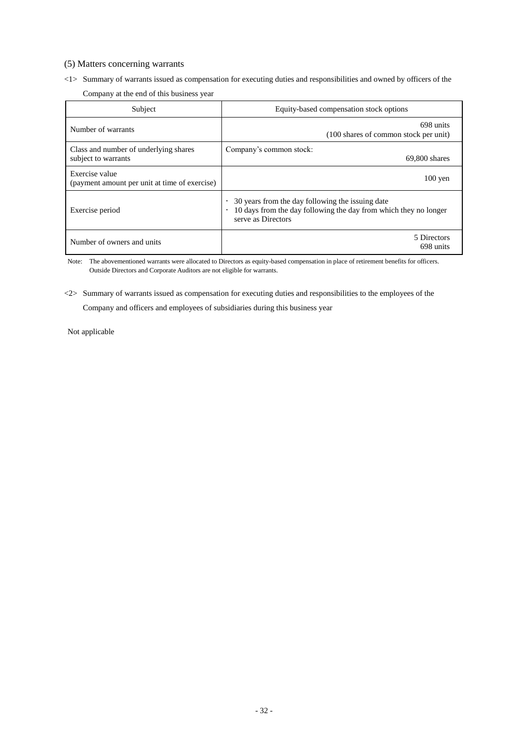## (5) Matters concerning warrants

## <1> Summary of warrants issued as compensation for executing duties and responsibilities and owned by officers of the

Company at the end of this business year

| Subject                                                         | Equity-based compensation stock options                                                                                                                 |
|-----------------------------------------------------------------|---------------------------------------------------------------------------------------------------------------------------------------------------------|
| Number of warrants                                              | 698 units<br>(100 shares of common stock per unit)                                                                                                      |
| Class and number of underlying shares<br>subject to warrants    | Company's common stock:<br>$69,800$ shares                                                                                                              |
| Exercise value<br>(payment amount per unit at time of exercise) | $100$ yen                                                                                                                                               |
| Exercise period                                                 | 30 years from the day following the issuing date<br>10 days from the day following the day from which they no longer<br>$\bullet$<br>serve as Directors |
| Number of owners and units                                      | 5 Directors<br>698 units                                                                                                                                |

Note: The abovementioned warrants were allocated to Directors as equity-based compensation in place of retirement benefits for officers. Outside Directors and Corporate Auditors are not eligible for warrants.

<2> Summary of warrants issued as compensation for executing duties and responsibilities to the employees of the

Company and officers and employees of subsidiaries during this business year

Not applicable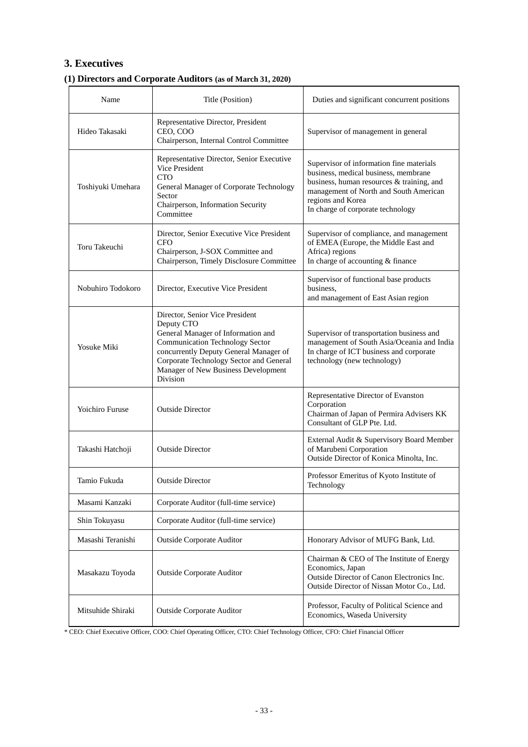# **3. Executives**

# **(1) Directors and Corporate Auditors (as of March 31, 2020)**

| Name                   | Title (Position)                                                                                                                                                                                                                                                      | Duties and significant concurrent positions                                                                                                                                                                                       |
|------------------------|-----------------------------------------------------------------------------------------------------------------------------------------------------------------------------------------------------------------------------------------------------------------------|-----------------------------------------------------------------------------------------------------------------------------------------------------------------------------------------------------------------------------------|
| Hideo Takasaki         | Representative Director, President<br>CEO, COO<br>Chairperson, Internal Control Committee                                                                                                                                                                             | Supervisor of management in general                                                                                                                                                                                               |
| Toshiyuki Umehara      | Representative Director, Senior Executive<br>Vice President<br><b>CTO</b><br>General Manager of Corporate Technology<br>Sector<br>Chairperson, Information Security<br>Committee                                                                                      | Supervisor of information fine materials<br>business, medical business, membrane<br>business, human resources & training, and<br>management of North and South American<br>regions and Korea<br>In charge of corporate technology |
| Toru Takeuchi          | Director, Senior Executive Vice President<br><b>CFO</b><br>Chairperson, J-SOX Committee and<br>Chairperson, Timely Disclosure Committee                                                                                                                               | Supervisor of compliance, and management<br>of EMEA (Europe, the Middle East and<br>Africa) regions<br>In charge of accounting & finance                                                                                          |
| Nobuhiro Todokoro      | Director, Executive Vice President                                                                                                                                                                                                                                    | Supervisor of functional base products<br>business.<br>and management of East Asian region                                                                                                                                        |
| Yosuke Miki            | Director, Senior Vice President<br>Deputy CTO<br>General Manager of Information and<br><b>Communication Technology Sector</b><br>concurrently Deputy General Manager of<br>Corporate Technology Sector and General<br>Manager of New Business Development<br>Division | Supervisor of transportation business and<br>management of South Asia/Oceania and India<br>In charge of ICT business and corporate<br>technology (new technology)                                                                 |
| <b>Yoichiro Furuse</b> | <b>Outside Director</b>                                                                                                                                                                                                                                               | Representative Director of Evanston<br>Corporation<br>Chairman of Japan of Permira Advisers KK<br>Consultant of GLP Pte. Ltd.                                                                                                     |
| Takashi Hatchoji       | <b>Outside Director</b>                                                                                                                                                                                                                                               | External Audit & Supervisory Board Member<br>of Marubeni Corporation<br>Outside Director of Konica Minolta, Inc.                                                                                                                  |
| Tamio Fukuda           | <b>Outside Director</b>                                                                                                                                                                                                                                               | Professor Emeritus of Kyoto Institute of<br>Technology                                                                                                                                                                            |
| Masami Kanzaki         | Corporate Auditor (full-time service)                                                                                                                                                                                                                                 |                                                                                                                                                                                                                                   |
| Shin Tokuyasu          | Corporate Auditor (full-time service)                                                                                                                                                                                                                                 |                                                                                                                                                                                                                                   |
| Masashi Teranishi      | <b>Outside Corporate Auditor</b>                                                                                                                                                                                                                                      | Honorary Advisor of MUFG Bank, Ltd.                                                                                                                                                                                               |
| Masakazu Toyoda        | <b>Outside Corporate Auditor</b>                                                                                                                                                                                                                                      | Chairman & CEO of The Institute of Energy<br>Economics, Japan<br>Outside Director of Canon Electronics Inc.<br>Outside Director of Nissan Motor Co., Ltd.                                                                         |
| Mitsuhide Shiraki      | <b>Outside Corporate Auditor</b>                                                                                                                                                                                                                                      | Professor, Faculty of Political Science and<br>Economics, Waseda University                                                                                                                                                       |

\* CEO: Chief Executive Officer, COO: Chief Operating Officer, CTO: Chief Technology Officer, CFO: Chief Financial Officer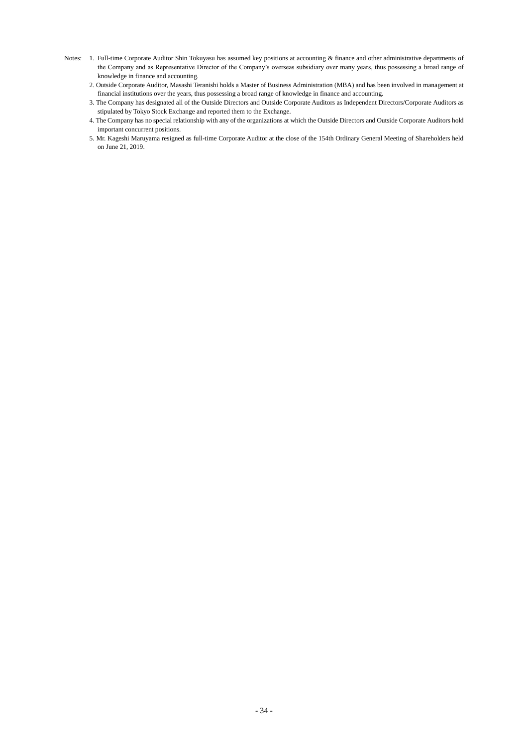- Notes: 1. Full-time Corporate Auditor Shin Tokuyasu has assumed key positions at accounting & finance and other administrative departments of the Company and as Representative Director of the Company's overseas subsidiary over many years, thus possessing a broad range of knowledge in finance and accounting.
	- 2. Outside Corporate Auditor, Masashi Teranishi holds a Master of Business Administration (MBA) and has been involved in management at financial institutions over the years, thus possessing a broad range of knowledge in finance and accounting.
	- 3. The Company has designated all of the Outside Directors and Outside Corporate Auditors as Independent Directors/Corporate Auditors as stipulated by Tokyo Stock Exchange and reported them to the Exchange.
	- 4. The Company has no special relationship with any of the organizations at which the Outside Directors and Outside Corporate Auditors hold important concurrent positions.
	- 5. Mr. Kageshi Maruyama resigned as full-time Corporate Auditor at the close of the 154th Ordinary General Meeting of Shareholders held on June 21, 2019.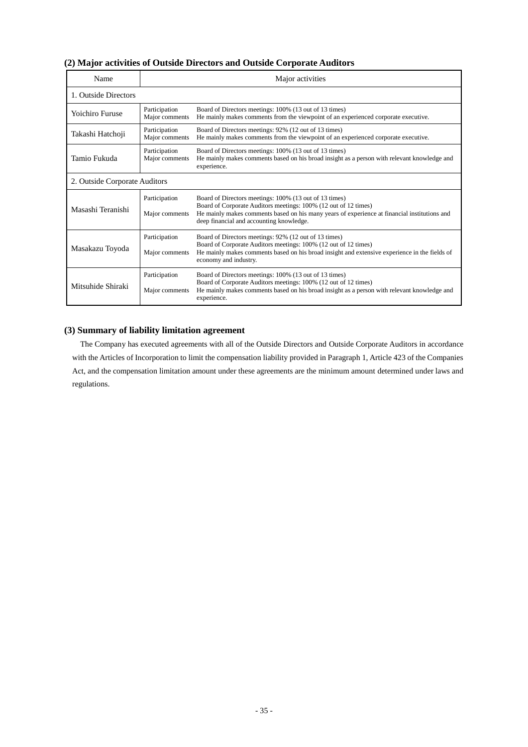## **(2) Major activities of Outside Directors and Outside Corporate Auditors**

| Name                          | Major activities                |                                                                                                                                                                                                                                                                       |  |
|-------------------------------|---------------------------------|-----------------------------------------------------------------------------------------------------------------------------------------------------------------------------------------------------------------------------------------------------------------------|--|
| 1. Outside Directors          |                                 |                                                                                                                                                                                                                                                                       |  |
| <b>Yoichiro Furuse</b>        | Participation<br>Major comments | Board of Directors meetings: 100% (13 out of 13 times)<br>He mainly makes comments from the viewpoint of an experienced corporate executive.                                                                                                                          |  |
| Takashi Hatchoji              | Participation<br>Major comments | Board of Directors meetings: 92% (12 out of 13 times)<br>He mainly makes comments from the viewpoint of an experienced corporate executive.                                                                                                                           |  |
| Tamio Fukuda                  | Participation<br>Major comments | Board of Directors meetings: 100% (13 out of 13 times)<br>He mainly makes comments based on his broad insight as a person with relevant knowledge and<br>experience.                                                                                                  |  |
| 2. Outside Corporate Auditors |                                 |                                                                                                                                                                                                                                                                       |  |
| Masashi Teranishi             | Participation<br>Major comments | Board of Directors meetings: 100% (13 out of 13 times)<br>Board of Corporate Auditors meetings: 100% (12 out of 12 times)<br>He mainly makes comments based on his many years of experience at financial institutions and<br>deep financial and accounting knowledge. |  |
| Masakazu Toyoda               | Participation<br>Major comments | Board of Directors meetings: 92% (12 out of 13 times)<br>Board of Corporate Auditors meetings: 100% (12 out of 12 times)<br>He mainly makes comments based on his broad insight and extensive experience in the fields of<br>economy and industry.                    |  |
| Mitsuhide Shiraki             | Participation<br>Major comments | Board of Directors meetings: 100% (13 out of 13 times)<br>Board of Corporate Auditors meetings: 100% (12 out of 12 times)<br>He mainly makes comments based on his broad insight as a person with relevant knowledge and<br>experience.                               |  |

## **(3) Summary of liability limitation agreement**

The Company has executed agreements with all of the Outside Directors and Outside Corporate Auditors in accordance with the Articles of Incorporation to limit the compensation liability provided in Paragraph 1, Article 423 of the Companies Act, and the compensation limitation amount under these agreements are the minimum amount determined under laws and regulations.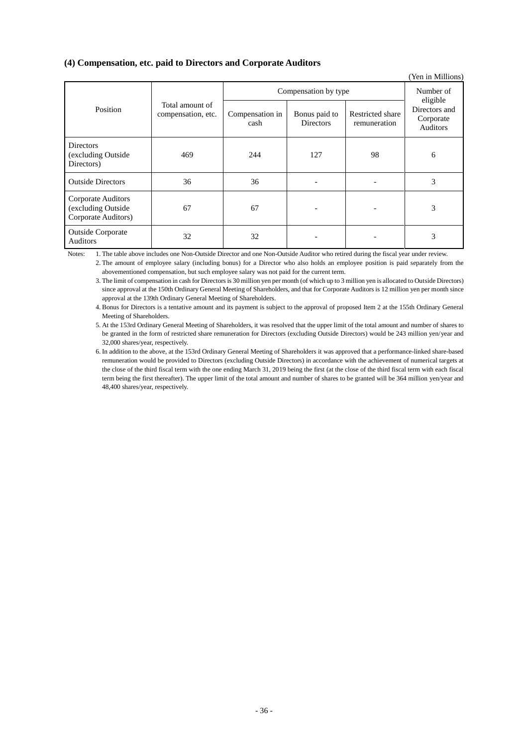## **(4) Compensation, etc. paid to Directors and Corporate Auditors**

|                                                                 |                                       |                         |                                   |                                  | (Yen in Millions)                                  |
|-----------------------------------------------------------------|---------------------------------------|-------------------------|-----------------------------------|----------------------------------|----------------------------------------------------|
|                                                                 |                                       | Compensation by type    | Number of                         |                                  |                                                    |
| Position                                                        | Total amount of<br>compensation, etc. | Compensation in<br>cash | Bonus paid to<br><b>Directors</b> | Restricted share<br>remuneration | eligible<br>Directors and<br>Corporate<br>Auditors |
| <b>Directors</b><br>(excluding Outside<br>Directors)            | 469                                   | 244                     | 127                               | 98                               | 6                                                  |
| <b>Outside Directors</b>                                        | 36                                    | 36                      |                                   |                                  | 3                                                  |
| Corporate Auditors<br>(excluding Outside<br>Corporate Auditors) | 67                                    | 67                      |                                   |                                  | 3                                                  |
| <b>Outside Corporate</b><br><b>Auditors</b>                     | 32                                    | 32                      |                                   |                                  | 3                                                  |

Notes: 1. The table above includes one Non-Outside Director and one Non-Outside Auditor who retired during the fiscal year under review.

2. The amount of employee salary (including bonus) for a Director who also holds an employee position is paid separately from the abovementioned compensation, but such employee salary was not paid for the current term.

3. The limit of compensation in cash for Directors is 30 million yen per month (of which up to 3 million yen is allocated to Outside Directors) since approval at the 150th Ordinary General Meeting of Shareholders, and that for Corporate Auditors is 12 million yen per month since approval at the 139th Ordinary General Meeting of Shareholders.

4. Bonus for Directors is a tentative amount and its payment is subject to the approval of proposed Item 2 at the 155th Ordinary General Meeting of Shareholders.

5. At the 153rd Ordinary General Meeting of Shareholders, it was resolved that the upper limit of the total amount and number of shares to be granted in the form of restricted share remuneration for Directors (excluding Outside Directors) would be 243 million yen/year and 32,000 shares/year, respectively.

6. In addition to the above, at the 153rd Ordinary General Meeting of Shareholders it was approved that a performance-linked share-based remuneration would be provided to Directors (excluding Outside Directors) in accordance with the achievement of numerical targets at the close of the third fiscal term with the one ending March 31, 2019 being the first (at the close of the third fiscal term with each fiscal term being the first thereafter). The upper limit of the total amount and number of shares to be granted will be 364 million yen/year and 48,400 shares/year, respectively.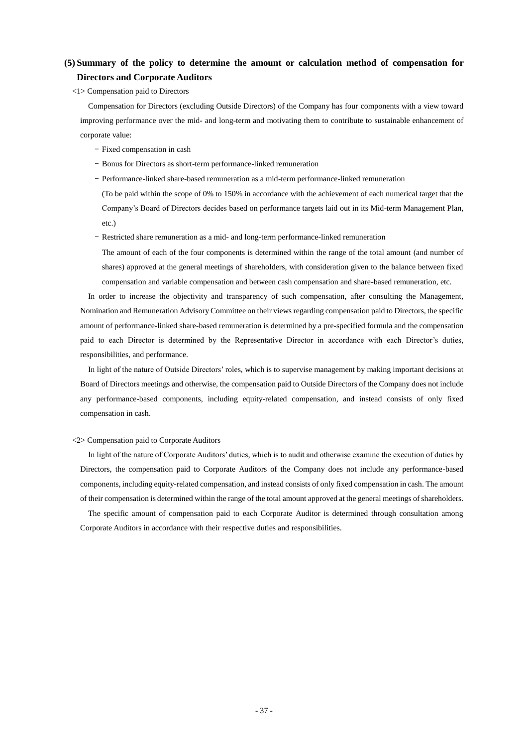# **(5) Summary of the policy to determine the amount or calculation method of compensation for Directors and Corporate Auditors**

<1> Compensation paid to Directors

Compensation for Directors (excluding Outside Directors) of the Company has four components with a view toward improving performance over the mid- and long-term and motivating them to contribute to sustainable enhancement of corporate value:

- Fixed compensation in cash
- Bonus for Directors as short-term performance-linked remuneration
- Performance-linked share-based remuneration as a mid-term performance-linked remuneration

(To be paid within the scope of 0% to 150% in accordance with the achievement of each numerical target that the Company's Board of Directors decides based on performance targets laid out in its Mid-term Management Plan, etc.)

- Restricted share remuneration as a mid- and long-term performance-linked remuneration

The amount of each of the four components is determined within the range of the total amount (and number of shares) approved at the general meetings of shareholders, with consideration given to the balance between fixed compensation and variable compensation and between cash compensation and share-based remuneration, etc.

In order to increase the objectivity and transparency of such compensation, after consulting the Management, Nomination and Remuneration Advisory Committee on their views regarding compensation paid to Directors, the specific amount of performance-linked share-based remuneration is determined by a pre-specified formula and the compensation paid to each Director is determined by the Representative Director in accordance with each Director's duties, responsibilities, and performance.

In light of the nature of Outside Directors' roles, which is to supervise management by making important decisions at Board of Directors meetings and otherwise, the compensation paid to Outside Directors of the Company does not include any performance-based components, including equity-related compensation, and instead consists of only fixed compensation in cash.

#### <2> Compensation paid to Corporate Auditors

In light of the nature of Corporate Auditors' duties, which is to audit and otherwise examine the execution of duties by Directors, the compensation paid to Corporate Auditors of the Company does not include any performance-based components, including equity-related compensation, and instead consists of only fixed compensation in cash. The amount of their compensation is determined within the range of the total amount approved at the general meetings of shareholders.

The specific amount of compensation paid to each Corporate Auditor is determined through consultation among Corporate Auditors in accordance with their respective duties and responsibilities.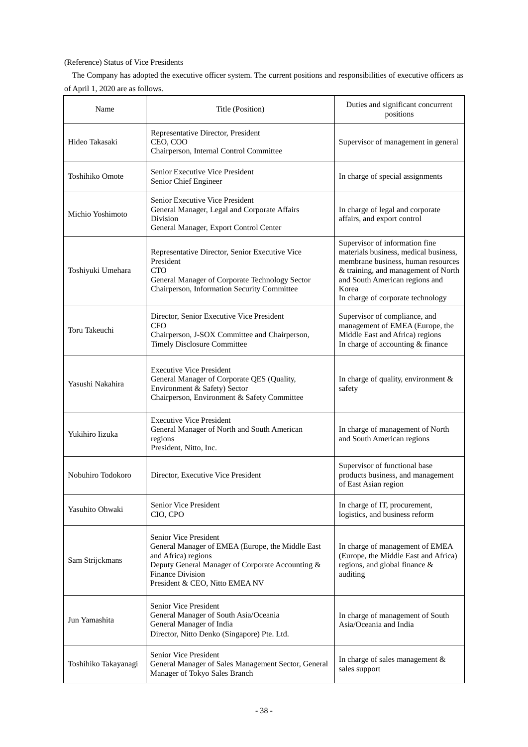## (Reference) Status of Vice Presidents

The Company has adopted the executive officer system. The current positions and responsibilities of executive officers as of April 1, 2020 are as follows.

| Name                 | Title (Position)                                                                                                                                                                                                  | Duties and significant concurrent<br>positions                                                                                                                                                                                       |
|----------------------|-------------------------------------------------------------------------------------------------------------------------------------------------------------------------------------------------------------------|--------------------------------------------------------------------------------------------------------------------------------------------------------------------------------------------------------------------------------------|
| Hideo Takasaki       | Representative Director, President<br>CEO, COO<br>Chairperson, Internal Control Committee                                                                                                                         | Supervisor of management in general                                                                                                                                                                                                  |
| Toshihiko Omote      | Senior Executive Vice President<br>Senior Chief Engineer                                                                                                                                                          | In charge of special assignments                                                                                                                                                                                                     |
| Michio Yoshimoto     | Senior Executive Vice President<br>General Manager, Legal and Corporate Affairs<br>Division<br>General Manager, Export Control Center                                                                             | In charge of legal and corporate<br>affairs, and export control                                                                                                                                                                      |
| Toshiyuki Umehara    | Representative Director, Senior Executive Vice<br>President<br><b>CTO</b><br>General Manager of Corporate Technology Sector<br>Chairperson, Information Security Committee                                        | Supervisor of information fine<br>materials business, medical business,<br>membrane business, human resources<br>& training, and management of North<br>and South American regions and<br>Korea<br>In charge of corporate technology |
| Toru Takeuchi        | Director, Senior Executive Vice President<br><b>CFO</b><br>Chairperson, J-SOX Committee and Chairperson,<br><b>Timely Disclosure Committee</b>                                                                    | Supervisor of compliance, and<br>management of EMEA (Europe, the<br>Middle East and Africa) regions<br>In charge of accounting & finance                                                                                             |
| Yasushi Nakahira     | <b>Executive Vice President</b><br>General Manager of Corporate QES (Quality,<br>Environment & Safety) Sector<br>Chairperson, Environment & Safety Committee                                                      | In charge of quality, environment &<br>safety                                                                                                                                                                                        |
| Yukihiro Iizuka      | <b>Executive Vice President</b><br>General Manager of North and South American<br>regions<br>President, Nitto, Inc.                                                                                               | In charge of management of North<br>and South American regions                                                                                                                                                                       |
| Nobuhiro Todokoro    | Director, Executive Vice President                                                                                                                                                                                | Supervisor of functional base<br>products business, and management<br>of East Asian region                                                                                                                                           |
| Yasuhito Ohwaki      | Senior Vice President<br>CIO, CPO                                                                                                                                                                                 | In charge of IT, procurement,<br>logistics, and business reform                                                                                                                                                                      |
| Sam Strijckmans      | Senior Vice President<br>General Manager of EMEA (Europe, the Middle East<br>and Africa) regions<br>Deputy General Manager of Corporate Accounting &<br><b>Finance Division</b><br>President & CEO, Nitto EMEA NV | In charge of management of EMEA<br>(Europe, the Middle East and Africa)<br>regions, and global finance &<br>auditing                                                                                                                 |
| Jun Yamashita        | Senior Vice President<br>General Manager of South Asia/Oceania<br>General Manager of India<br>Director, Nitto Denko (Singapore) Pte. Ltd.                                                                         | In charge of management of South<br>Asia/Oceania and India                                                                                                                                                                           |
| Toshihiko Takayanagi | Senior Vice President<br>General Manager of Sales Management Sector, General<br>Manager of Tokyo Sales Branch                                                                                                     | In charge of sales management $\&$<br>sales support                                                                                                                                                                                  |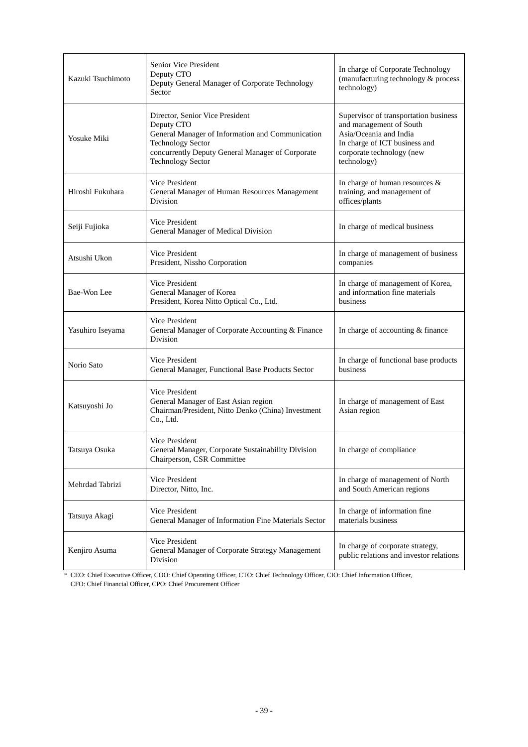| Kazuki Tsuchimoto | Senior Vice President<br>Deputy CTO<br>Deputy General Manager of Corporate Technology<br>Sector                                                                                                               | In charge of Corporate Technology<br>(manufacturing technology & process<br>technology)                                                                                 |
|-------------------|---------------------------------------------------------------------------------------------------------------------------------------------------------------------------------------------------------------|-------------------------------------------------------------------------------------------------------------------------------------------------------------------------|
| Yosuke Miki       | Director, Senior Vice President<br>Deputy CTO<br>General Manager of Information and Communication<br><b>Technology Sector</b><br>concurrently Deputy General Manager of Corporate<br><b>Technology Sector</b> | Supervisor of transportation business<br>and management of South<br>Asia/Oceania and India<br>In charge of ICT business and<br>corporate technology (new<br>technology) |
| Hiroshi Fukuhara  | Vice President<br>General Manager of Human Resources Management<br>Division                                                                                                                                   | In charge of human resources &<br>training, and management of<br>offices/plants                                                                                         |
| Seiji Fujioka     | Vice President<br>General Manager of Medical Division                                                                                                                                                         | In charge of medical business                                                                                                                                           |
| Atsushi Ukon      | Vice President<br>President, Nissho Corporation                                                                                                                                                               | In charge of management of business<br>companies                                                                                                                        |
| Bae-Won Lee       | <b>Vice President</b><br>General Manager of Korea<br>President, Korea Nitto Optical Co., Ltd.                                                                                                                 | In charge of management of Korea,<br>and information fine materials<br>business                                                                                         |
| Yasuhiro Iseyama  | Vice President<br>General Manager of Corporate Accounting & Finance<br>Division                                                                                                                               | In charge of accounting & finance                                                                                                                                       |
| Norio Sato        | <b>Vice President</b><br>General Manager, Functional Base Products Sector                                                                                                                                     | In charge of functional base products<br>business                                                                                                                       |
| Katsuyoshi Jo     | Vice President<br>General Manager of East Asian region<br>Chairman/President, Nitto Denko (China) Investment<br>Co., Ltd.                                                                                     | In charge of management of East<br>Asian region                                                                                                                         |
| Tatsuya Osuka     | Vice President<br>General Manager, Corporate Sustainability Division<br>Chairperson, CSR Committee                                                                                                            | In charge of compliance                                                                                                                                                 |
| Mehrdad Tabrizi   | Vice President<br>Director, Nitto, Inc.                                                                                                                                                                       | In charge of management of North<br>and South American regions                                                                                                          |
| Tatsuya Akagi     | Vice President<br>General Manager of Information Fine Materials Sector                                                                                                                                        | In charge of information fine<br>materials business                                                                                                                     |
| Kenjiro Asuma     | Vice President<br>General Manager of Corporate Strategy Management<br>Division                                                                                                                                | In charge of corporate strategy,<br>public relations and investor relations                                                                                             |

\* CEO: Chief Executive Officer, COO: Chief Operating Officer, CTO: Chief Technology Officer, CIO: Chief Information Officer, CFO: Chief Financial Officer, CPO: Chief Procurement Officer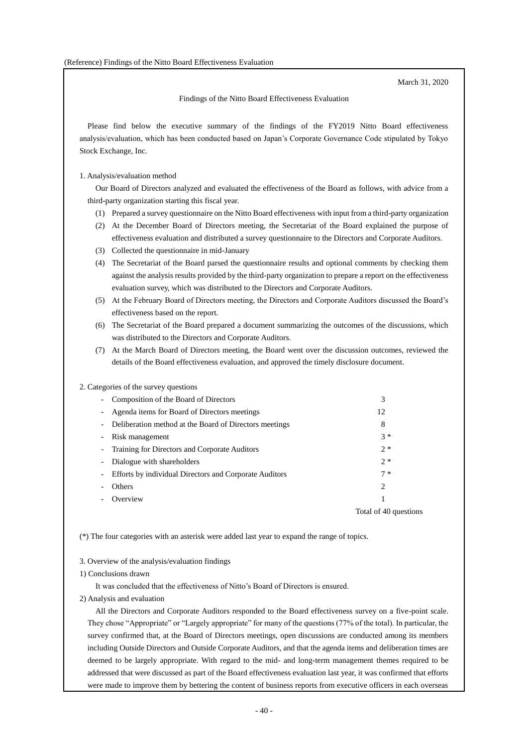March 31, 2020

Findings of the Nitto Board Effectiveness Evaluation

Please find below the executive summary of the findings of the FY2019 Nitto Board effectiveness analysis/evaluation, which has been conducted based on Japan's Corporate Governance Code stipulated by Tokyo Stock Exchange, Inc.

#### 1. Analysis/evaluation method

Our Board of Directors analyzed and evaluated the effectiveness of the Board as follows, with advice from a third-party organization starting this fiscal year.

- (1) Prepared a survey questionnaire on the Nitto Board effectiveness with input from a third-party organization
- (2) At the December Board of Directors meeting, the Secretariat of the Board explained the purpose of effectiveness evaluation and distributed a survey questionnaire to the Directors and Corporate Auditors.
- (3) Collected the questionnaire in mid-January
- (4) The Secretariat of the Board parsed the questionnaire results and optional comments by checking them against the analysis results provided by the third-party organization to prepare a report on the effectiveness evaluation survey, which was distributed to the Directors and Corporate Auditors.
- (5) At the February Board of Directors meeting, the Directors and Corporate Auditors discussed the Board's effectiveness based on the report.
- (6) The Secretariat of the Board prepared a document summarizing the outcomes of the discussions, which was distributed to the Directors and Corporate Auditors.
- (7) At the March Board of Directors meeting, the Board went over the discussion outcomes, reviewed the details of the Board effectiveness evaluation, and approved the timely disclosure document.

#### 2. Categories of the survey questions

|                          | - Composition of the Board of Directors                | 3                     |
|--------------------------|--------------------------------------------------------|-----------------------|
| $\overline{\phantom{a}}$ | Agenda items for Board of Directors meetings           | 12                    |
| $\blacksquare$           | Deliberation method at the Board of Directors meetings | 8                     |
| $\overline{\phantom{a}}$ | Risk management                                        | $3 *$                 |
|                          | - Training for Directors and Corporate Auditors        | $2*$                  |
| $\overline{\phantom{a}}$ | Dialogue with shareholders                             | $2*$                  |
| $\overline{\phantom{a}}$ | Efforts by individual Directors and Corporate Auditors | $7 *$                 |
| $\overline{\phantom{a}}$ | Others                                                 | 2                     |
| $\blacksquare$           | Overview                                               |                       |
|                          |                                                        | Total of 40 questions |

(\*) The four categories with an asterisk were added last year to expand the range of topics.

#### 3. Overview of the analysis/evaluation findings

#### 1) Conclusions drawn

It was concluded that the effectiveness of Nitto's Board of Directors is ensured.

2) Analysis and evaluation

All the Directors and Corporate Auditors responded to the Board effectiveness survey on a five-point scale. They chose "Appropriate" or "Largely appropriate" for many of the questions (77% of the total). In particular, the survey confirmed that, at the Board of Directors meetings, open discussions are conducted among its members including Outside Directors and Outside Corporate Auditors, and that the agenda items and deliberation times are deemed to be largely appropriate. With regard to the mid- and long-term management themes required to be addressed that were discussed as part of the Board effectiveness evaluation last year, it was confirmed that efforts were made to improve them by bettering the content of business reports from executive officers in each overseas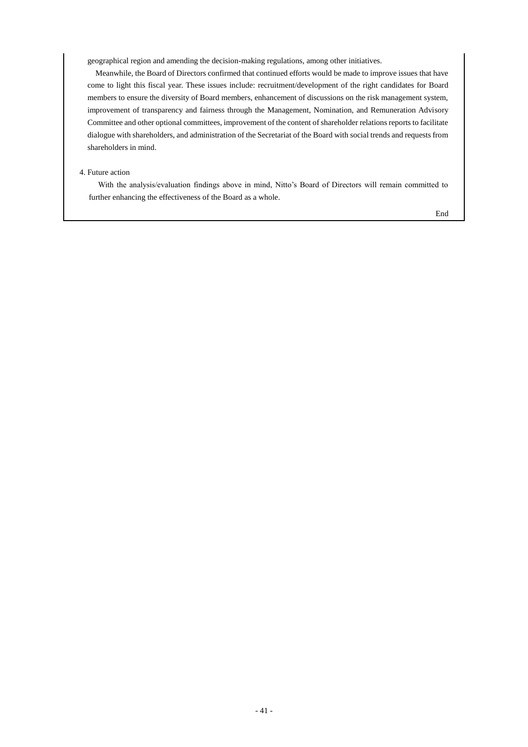geographical region and amending the decision-making regulations, among other initiatives.

Meanwhile, the Board of Directors confirmed that continued efforts would be made to improve issues that have come to light this fiscal year. These issues include: recruitment/development of the right candidates for Board members to ensure the diversity of Board members, enhancement of discussions on the risk management system, improvement of transparency and fairness through the Management, Nomination, and Remuneration Advisory Committee and other optional committees, improvement of the content of shareholder relations reports to facilitate dialogue with shareholders, and administration of the Secretariat of the Board with social trends and requests from shareholders in mind.

## 4. Future action

With the analysis/evaluation findings above in mind, Nitto's Board of Directors will remain committed to further enhancing the effectiveness of the Board as a whole.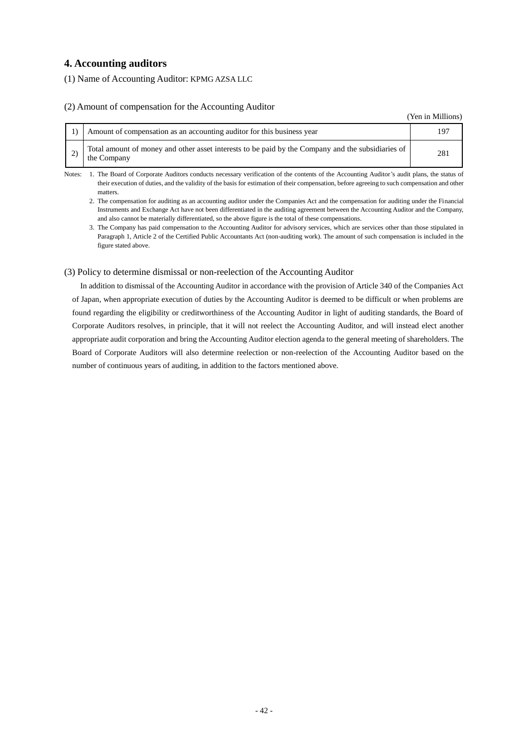# **4. Accounting auditors**

(1) Name of Accounting Auditor: KPMG AZSA LLC

## (2) Amount of compensation for the Accounting Auditor

(Yen in Millions)

| Amount of compensation as an accounting auditor for this business year                                           | 197 |
|------------------------------------------------------------------------------------------------------------------|-----|
| Total amount of money and other asset interests to be paid by the Company and the subsidiaries of<br>the Company |     |

Notes: 1. The Board of Corporate Auditors conducts necessary verification of the contents of the Accounting Auditor's audit plans, the status of their execution of duties, and the validity of the basis for estimation of their compensation, before agreeing to such compensation and other matters.

2. The compensation for auditing as an accounting auditor under the Companies Act and the compensation for auditing under the Financial Instruments and Exchange Act have not been differentiated in the auditing agreement between the Accounting Auditor and the Company, and also cannot be materially differentiated, so the above figure is the total of these compensations.

3. The Company has paid compensation to the Accounting Auditor for advisory services, which are services other than those stipulated in Paragraph 1, Article 2 of the Certified Public Accountants Act (non-auditing work). The amount of such compensation is included in the figure stated above.

### (3) Policy to determine dismissal or non-reelection of the Accounting Auditor

In addition to dismissal of the Accounting Auditor in accordance with the provision of Article 340 of the Companies Act of Japan, when appropriate execution of duties by the Accounting Auditor is deemed to be difficult or when problems are found regarding the eligibility or creditworthiness of the Accounting Auditor in light of auditing standards, the Board of Corporate Auditors resolves, in principle, that it will not reelect the Accounting Auditor, and will instead elect another appropriate audit corporation and bring the Accounting Auditor election agenda to the general meeting of shareholders. The Board of Corporate Auditors will also determine reelection or non-reelection of the Accounting Auditor based on the number of continuous years of auditing, in addition to the factors mentioned above.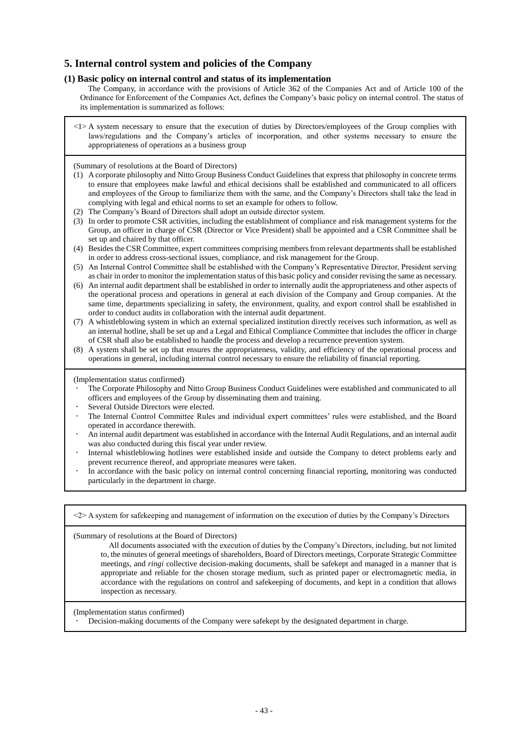# **5. Internal control system and policies of the Company**

## **(1) Basic policy on internal control and status of its implementation**

The Company, in accordance with the provisions of Article 362 of the Companies Act and of Article 100 of the Ordinance for Enforcement of the Companies Act, defines the Company's basic policy on internal control. The status of its implementation is summarized as follows:

<1> A system necessary to ensure that the execution of duties by Directors/employees of the Group complies with laws/regulations and the Company's articles of incorporation, and other systems necessary to ensure the appropriateness of operations as a business group

(Summary of resolutions at the Board of Directors)

- (1) A corporate philosophy and Nitto Group Business Conduct Guidelines that express that philosophy in concrete terms to ensure that employees make lawful and ethical decisions shall be established and communicated to all officers and employees of the Group to familiarize them with the same, and the Company's Directors shall take the lead in complying with legal and ethical norms to set an example for others to follow.
- (2) The Company's Board of Directors shall adopt an outside director system.
- (3) In order to promote CSR activities, including the establishment of compliance and risk management systems for the Group, an officer in charge of CSR (Director or Vice President) shall be appointed and a CSR Committee shall be set up and chaired by that officer.
- (4) Besides the CSR Committee, expert committees comprising members from relevant departments shall be established in order to address cross-sectional issues, compliance, and risk management for the Group.
- (5) An Internal Control Committee shall be established with the Company's Representative Director, President serving as chair in order to monitor the implementation status of this basic policy and consider revising the same as necessary.
- (6) An internal audit department shall be established in order to internally audit the appropriateness and other aspects of the operational process and operations in general at each division of the Company and Group companies. At the same time, departments specializing in safety, the environment, quality, and export control shall be established in order to conduct audits in collaboration with the internal audit department.
- (7) A whistleblowing system in which an external specialized institution directly receives such information, as well as an internal hotline, shall be set up and a Legal and Ethical Compliance Committee that includes the officer in charge of CSR shall also be established to handle the process and develop a recurrence prevention system.
- (8) A system shall be set up that ensures the appropriateness, validity, and efficiency of the operational process and operations in general, including internal control necessary to ensure the reliability of financial reporting.

(Implementation status confirmed)

- The Corporate Philosophy and Nitto Group Business Conduct Guidelines were established and communicated to all officers and employees of the Group by disseminating them and training.
- Several Outside Directors were elected.
- The Internal Control Committee Rules and individual expert committees' rules were established, and the Board operated in accordance therewith.
- An internal audit department was established in accordance with the Internal Audit Regulations, and an internal audit was also conducted during this fiscal year under review.
- Internal whistleblowing hotlines were established inside and outside the Company to detect problems early and prevent recurrence thereof, and appropriate measures were taken.
- In accordance with the basic policy on internal control concerning financial reporting, monitoring was conducted particularly in the department in charge.

<2> A system for safekeeping and management of information on the execution of duties by the Company's Directors

(Summary of resolutions at the Board of Directors)

All documents associated with the execution of duties by the Company's Directors, including, but not limited to, the minutes of general meetings of shareholders, Board of Directors meetings, Corporate Strategic Committee meetings, and *ringi* collective decision-making documents, shall be safekept and managed in a manner that is appropriate and reliable for the chosen storage medium, such as printed paper or electromagnetic media, in accordance with the regulations on control and safekeeping of documents, and kept in a condition that allows inspection as necessary.

(Implementation status confirmed)

Decision-making documents of the Company were safekept by the designated department in charge.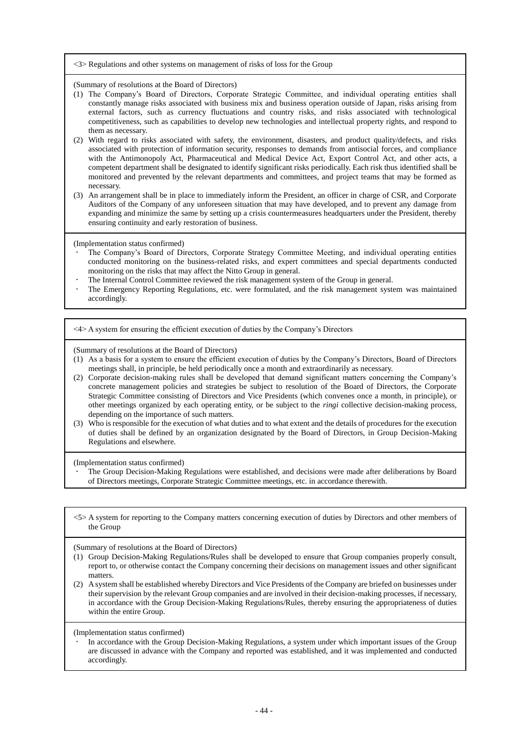#### <3> Regulations and other systems on management of risks of loss for the Group

(Summary of resolutions at the Board of Directors)

- (1) The Company's Board of Directors, Corporate Strategic Committee, and individual operating entities shall constantly manage risks associated with business mix and business operation outside of Japan, risks arising from external factors, such as currency fluctuations and country risks, and risks associated with technological competitiveness, such as capabilities to develop new technologies and intellectual property rights, and respond to them as necessary.
- (2) With regard to risks associated with safety, the environment, disasters, and product quality/defects, and risks associated with protection of information security, responses to demands from antisocial forces, and compliance with the Antimonopoly Act, Pharmaceutical and Medical Device Act, Export Control Act, and other acts, a competent department shall be designated to identify significant risks periodically. Each risk thus identified shall be monitored and prevented by the relevant departments and committees, and project teams that may be formed as necessary.
- (3) An arrangement shall be in place to immediately inform the President, an officer in charge of CSR, and Corporate Auditors of the Company of any unforeseen situation that may have developed, and to prevent any damage from expanding and minimize the same by setting up a crisis countermeasures headquarters under the President, thereby ensuring continuity and early restoration of business.

(Implementation status confirmed)

- The Company's Board of Directors, Corporate Strategy Committee Meeting, and individual operating entities conducted monitoring on the business-related risks, and expert committees and special departments conducted monitoring on the risks that may affect the Nitto Group in general.
- The Internal Control Committee reviewed the risk management system of the Group in general.
- The Emergency Reporting Regulations, etc. were formulated, and the risk management system was maintained accordingly.

<4> A system for ensuring the efficient execution of duties by the Company's Directors

(Summary of resolutions at the Board of Directors)

- (1) As a basis for a system to ensure the efficient execution of duties by the Company's Directors, Board of Directors meetings shall, in principle, be held periodically once a month and extraordinarily as necessary.
- (2) Corporate decision-making rules shall be developed that demand significant matters concerning the Company's concrete management policies and strategies be subject to resolution of the Board of Directors, the Corporate Strategic Committee consisting of Directors and Vice Presidents (which convenes once a month, in principle), or other meetings organized by each operating entity, or be subject to the *ringi* collective decision-making process, depending on the importance of such matters.
- (3) Who is responsible for the execution of what duties and to what extent and the details of procedures for the execution of duties shall be defined by an organization designated by the Board of Directors, in Group Decision-Making Regulations and elsewhere.

(Implementation status confirmed)

- The Group Decision-Making Regulations were established, and decisions were made after deliberations by Board of Directors meetings, Corporate Strategic Committee meetings, etc. in accordance therewith.
- <5> A system for reporting to the Company matters concerning execution of duties by Directors and other members of the Group

(Summary of resolutions at the Board of Directors)

- (1) Group Decision-Making Regulations/Rules shall be developed to ensure that Group companies properly consult, report to, or otherwise contact the Company concerning their decisions on management issues and other significant matters.
- (2) A system shall be established whereby Directors and Vice Presidents of the Company are briefed on businesses under their supervision by the relevant Group companies and are involved in their decision-making processes, if necessary, in accordance with the Group Decision-Making Regulations/Rules, thereby ensuring the appropriateness of duties within the entire Group.

(Implementation status confirmed)

 In accordance with the Group Decision-Making Regulations, a system under which important issues of the Group are discussed in advance with the Company and reported was established, and it was implemented and conducted accordingly.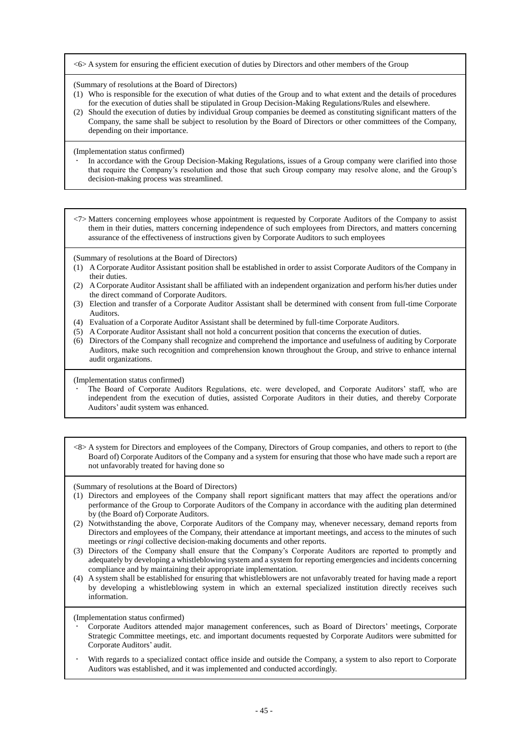<6> A system for ensuring the efficient execution of duties by Directors and other members of the Group

(Summary of resolutions at the Board of Directors)

- (1) Who is responsible for the execution of what duties of the Group and to what extent and the details of procedures for the execution of duties shall be stipulated in Group Decision-Making Regulations/Rules and elsewhere.
- (2) Should the execution of duties by individual Group companies be deemed as constituting significant matters of the Company, the same shall be subject to resolution by the Board of Directors or other committees of the Company, depending on their importance.

(Implementation status confirmed)

 In accordance with the Group Decision-Making Regulations, issues of a Group company were clarified into those that require the Company's resolution and those that such Group company may resolve alone, and the Group's decision-making process was streamlined.

<7> Matters concerning employees whose appointment is requested by Corporate Auditors of the Company to assist them in their duties, matters concerning independence of such employees from Directors, and matters concerning assurance of the effectiveness of instructions given by Corporate Auditors to such employees

(Summary of resolutions at the Board of Directors)

- (1) A Corporate Auditor Assistant position shall be established in order to assist Corporate Auditors of the Company in their duties.
- (2) A Corporate Auditor Assistant shall be affiliated with an independent organization and perform his/her duties under the direct command of Corporate Auditors.
- (3) Election and transfer of a Corporate Auditor Assistant shall be determined with consent from full-time Corporate Auditors.
- (4) Evaluation of a Corporate Auditor Assistant shall be determined by full-time Corporate Auditors.
- (5) A Corporate Auditor Assistant shall not hold a concurrent position that concerns the execution of duties.
- (6) Directors of the Company shall recognize and comprehend the importance and usefulness of auditing by Corporate Auditors, make such recognition and comprehension known throughout the Group, and strive to enhance internal audit organizations.

(Implementation status confirmed)

- The Board of Corporate Auditors Regulations, etc. were developed, and Corporate Auditors' staff, who are independent from the execution of duties, assisted Corporate Auditors in their duties, and thereby Corporate Auditors' audit system was enhanced.
- <8> A system for Directors and employees of the Company, Directors of Group companies, and others to report to (the Board of) Corporate Auditors of the Company and a system for ensuring that those who have made such a report are not unfavorably treated for having done so

(Summary of resolutions at the Board of Directors)

- (1) Directors and employees of the Company shall report significant matters that may affect the operations and/or performance of the Group to Corporate Auditors of the Company in accordance with the auditing plan determined by (the Board of) Corporate Auditors.
- (2) Notwithstanding the above, Corporate Auditors of the Company may, whenever necessary, demand reports from Directors and employees of the Company, their attendance at important meetings, and access to the minutes of such meetings or *ringi* collective decision-making documents and other reports.
- (3) Directors of the Company shall ensure that the Company's Corporate Auditors are reported to promptly and adequately by developing a whistleblowing system and a system for reporting emergencies and incidents concerning compliance and by maintaining their appropriate implementation.
- (4) A system shall be established for ensuring that whistleblowers are not unfavorably treated for having made a report by developing a whistleblowing system in which an external specialized institution directly receives such information.

(Implementation status confirmed)

- Corporate Auditors attended major management conferences, such as Board of Directors' meetings, Corporate Strategic Committee meetings, etc. and important documents requested by Corporate Auditors were submitted for Corporate Auditors' audit.
- With regards to a specialized contact office inside and outside the Company, a system to also report to Corporate Auditors was established, and it was implemented and conducted accordingly.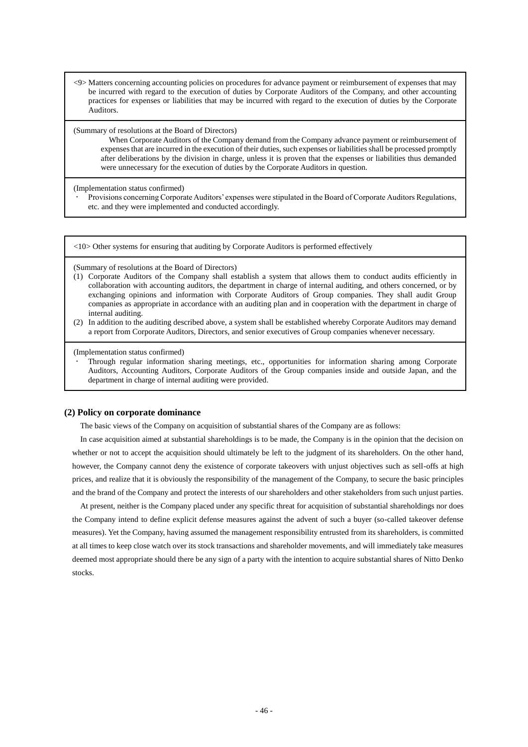<9> Matters concerning accounting policies on procedures for advance payment or reimbursement of expenses that may be incurred with regard to the execution of duties by Corporate Auditors of the Company, and other accounting practices for expenses or liabilities that may be incurred with regard to the execution of duties by the Corporate Auditors.

(Summary of resolutions at the Board of Directors)

When Corporate Auditors of the Company demand from the Company advance payment or reimbursement of expenses that are incurred in the execution of their duties, such expenses or liabilities shall be processed promptly after deliberations by the division in charge, unless it is proven that the expenses or liabilities thus demanded were unnecessary for the execution of duties by the Corporate Auditors in question.

(Implementation status confirmed)

 Provisions concerning Corporate Auditors' expenses were stipulated in the Board of Corporate Auditors Regulations, etc. and they were implemented and conducted accordingly.

<10> Other systems for ensuring that auditing by Corporate Auditors is performed effectively

(Summary of resolutions at the Board of Directors)

- (1) Corporate Auditors of the Company shall establish a system that allows them to conduct audits efficiently in collaboration with accounting auditors, the department in charge of internal auditing, and others concerned, or by exchanging opinions and information with Corporate Auditors of Group companies. They shall audit Group companies as appropriate in accordance with an auditing plan and in cooperation with the department in charge of internal auditing.
- (2) In addition to the auditing described above, a system shall be established whereby Corporate Auditors may demand a report from Corporate Auditors, Directors, and senior executives of Group companies whenever necessary.

(Implementation status confirmed)

 Through regular information sharing meetings, etc., opportunities for information sharing among Corporate Auditors, Accounting Auditors, Corporate Auditors of the Group companies inside and outside Japan, and the department in charge of internal auditing were provided.

#### **(2) Policy on corporate dominance**

The basic views of the Company on acquisition of substantial shares of the Company are as follows:

In case acquisition aimed at substantial shareholdings is to be made, the Company is in the opinion that the decision on whether or not to accept the acquisition should ultimately be left to the judgment of its shareholders. On the other hand, however, the Company cannot deny the existence of corporate takeovers with unjust objectives such as sell-offs at high prices, and realize that it is obviously the responsibility of the management of the Company, to secure the basic principles and the brand of the Company and protect the interests of our shareholders and other stakeholders from such unjust parties.

At present, neither is the Company placed under any specific threat for acquisition of substantial shareholdings nor does the Company intend to define explicit defense measures against the advent of such a buyer (so-called takeover defense measures). Yet the Company, having assumed the management responsibility entrusted from its shareholders, is committed at all times to keep close watch over its stock transactions and shareholder movements, and will immediately take measures deemed most appropriate should there be any sign of a party with the intention to acquire substantial shares of Nitto Denko stocks.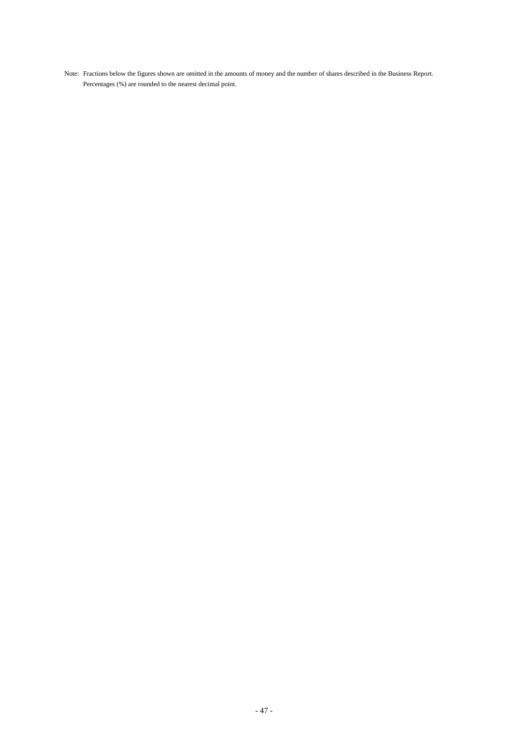Note: Fractions below the figures shown are omitted in the amounts of money and the number of shares described in the Business Report. Percentages (%) are rounded to the nearest decimal point.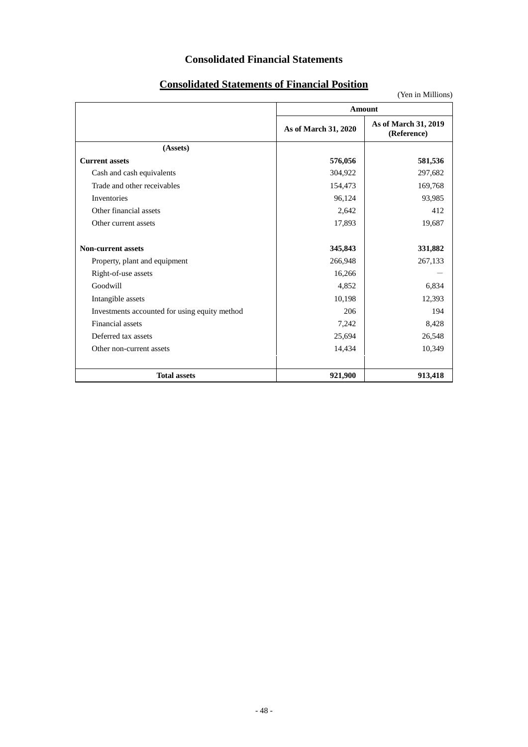# **Consolidated Financial Statements**

(Yen in Millions) **Amount As of March 31, 2020 As of March 31, 2019 (Reference) (Assets) Current assets 576,056 581,536** Cash and cash equivalents  $304,922$   $297,682$ Trade and other receivables 154,473 169,768 Inventories 96,124 93,985 Other financial assets 2,642 412 Other current assets 17,893 19,687 **Non-current assets 345,843 331,882** Property, plant and equipment 266,948 267,133  $Right-of-use assets$   $16,266$   $-$ Goodwill 6,834 6,834 Intangible assets 10,198 12,393 Investments accounted for using equity method 206 206 194 Financial assets  $7,242$  8,428 Deferred tax assets 25,694 26,548 Other non-current assets 14,434 10,349 **Total assets 921,900 913,418**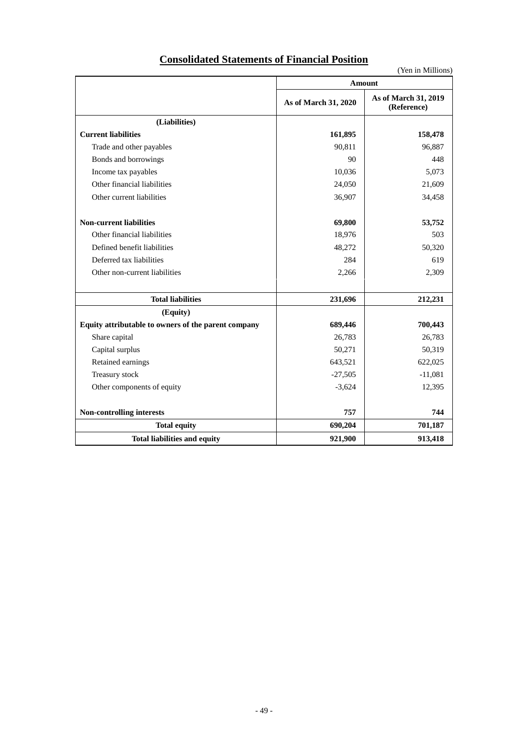| <b>Consolidated Statements of Financial Position</b> |
|------------------------------------------------------|
|------------------------------------------------------|

|                                                     | <b>Amount</b>        |                                     |
|-----------------------------------------------------|----------------------|-------------------------------------|
|                                                     | As of March 31, 2020 | As of March 31, 2019<br>(Reference) |
| (Liabilities)                                       |                      |                                     |
| <b>Current liabilities</b>                          | 161,895              | 158,478                             |
| Trade and other payables                            | 90,811               | 96,887                              |
| Bonds and borrowings                                | 90                   | 448                                 |
| Income tax payables                                 | 10,036               | 5.073                               |
| Other financial liabilities                         | 24,050               | 21,609                              |
| Other current liabilities                           | 36,907               | 34,458                              |
| <b>Non-current liabilities</b>                      | 69,800               | 53,752                              |
| Other financial liabilities                         | 18,976               | 503                                 |
| Defined benefit liabilities                         | 48,272               | 50,320                              |
| Deferred tax liabilities                            | 284                  | 619                                 |
| Other non-current liabilities                       | 2,266                | 2,309                               |
| <b>Total liabilities</b>                            | 231,696              | 212,231                             |
| (Equity)                                            |                      |                                     |
| Equity attributable to owners of the parent company | 689,446              | 700,443                             |
| Share capital                                       | 26,783               | 26,783                              |
| Capital surplus                                     | 50,271               | 50,319                              |
| Retained earnings                                   | 643,521              | 622,025                             |
| Treasury stock                                      | $-27,505$            | $-11,081$                           |
| Other components of equity                          | $-3,624$             | 12,395                              |
| Non-controlling interests                           | 757                  | 744                                 |
| <b>Total equity</b>                                 | 690,204              | 701,187                             |
| <b>Total liabilities and equity</b>                 | 921,900              | 913,418                             |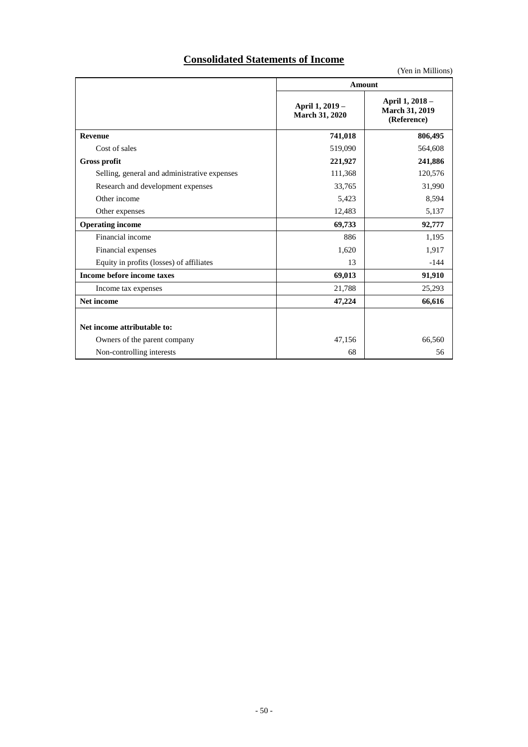# **Consolidated Statements of Income**

|                                              |                                          | , теп пі імпінопа <i>)</i>                       |  |
|----------------------------------------------|------------------------------------------|--------------------------------------------------|--|
|                                              | <b>Amount</b>                            |                                                  |  |
|                                              | April 1, 2019 -<br><b>March 31, 2020</b> | April 1, 2018 -<br>March 31, 2019<br>(Reference) |  |
| <b>Revenue</b>                               | 741,018                                  | 806,495                                          |  |
| Cost of sales                                | 519,090                                  | 564,608                                          |  |
| <b>Gross profit</b>                          | 221,927                                  | 241,886                                          |  |
| Selling, general and administrative expenses | 111,368                                  | 120,576                                          |  |
| Research and development expenses            | 33,765                                   | 31,990                                           |  |
| Other income                                 | 5,423                                    | 8,594                                            |  |
| Other expenses                               | 12,483                                   | 5,137                                            |  |
| <b>Operating income</b>                      | 69,733                                   | 92,777                                           |  |
| Financial income                             | 886                                      | 1,195                                            |  |
| Financial expenses                           | 1,620                                    | 1,917                                            |  |
| Equity in profits (losses) of affiliates     | 13                                       | $-144$                                           |  |
| Income before income taxes                   | 69,013                                   | 91,910                                           |  |
| Income tax expenses                          | 21,788                                   | 25,293                                           |  |
| Net income                                   | 47,224                                   | 66,616                                           |  |
| Net income attributable to:                  |                                          |                                                  |  |
| Owners of the parent company                 | 47,156                                   | 66,560                                           |  |
| Non-controlling interests                    | 68                                       | 56                                               |  |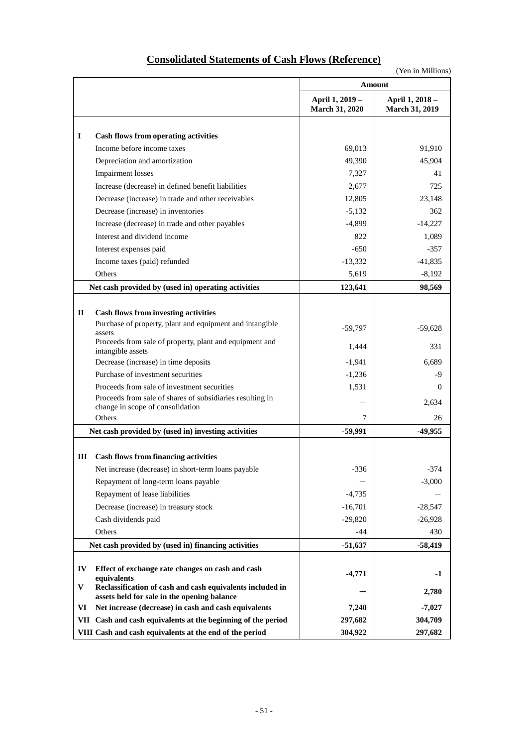# **Consolidated Statements of Cash Flows (Reference)**

| <b>Amount</b>                                                                                                      |                                          |
|--------------------------------------------------------------------------------------------------------------------|------------------------------------------|
| April 1, 2019 -<br><b>March 31, 2020</b>                                                                           | April 1, 2018 -<br><b>March 31, 2019</b> |
| $\bf{I}$<br>Cash flows from operating activities                                                                   |                                          |
| Income before income taxes<br>69,013                                                                               | 91,910                                   |
| Depreciation and amortization<br>49,390                                                                            | 45,904                                   |
| <b>Impairment</b> losses<br>7,327                                                                                  | 41                                       |
| Increase (decrease) in defined benefit liabilities<br>2,677                                                        | 725                                      |
| Decrease (increase) in trade and other receivables<br>12,805                                                       | 23,148                                   |
| Decrease (increase) in inventories<br>$-5,132$                                                                     | 362                                      |
| Increase (decrease) in trade and other payables<br>$-4,899$                                                        | $-14,227$                                |
| Interest and dividend income<br>822                                                                                | 1,089                                    |
| $-650$<br>Interest expenses paid                                                                                   | $-357$                                   |
| Income taxes (paid) refunded<br>$-13,332$                                                                          | $-41,835$                                |
| Others<br>5,619                                                                                                    | $-8,192$                                 |
| Net cash provided by (used in) operating activities<br>123,641                                                     | 98,569                                   |
|                                                                                                                    |                                          |
| $\mathbf{I}$<br><b>Cash flows from investing activities</b>                                                        |                                          |
| Purchase of property, plant and equipment and intangible<br>$-59,797$                                              | $-59,628$                                |
| assets<br>Proceeds from sale of property, plant and equipment and                                                  |                                          |
| 1,444<br>intangible assets                                                                                         | 331                                      |
| Decrease (increase) in time deposits<br>$-1,941$                                                                   | 6,689                                    |
| Purchase of investment securities<br>$-1,236$                                                                      | -9                                       |
| Proceeds from sale of investment securities<br>1,531                                                               | $\Omega$                                 |
| Proceeds from sale of shares of subsidiaries resulting in<br>change in scope of consolidation                      | 2,634                                    |
| Others<br>7                                                                                                        | 26                                       |
| $-59,991$<br>Net cash provided by (used in) investing activities                                                   | -49,955                                  |
|                                                                                                                    |                                          |
| <b>Cash flows from financing activities</b><br>Ш                                                                   |                                          |
| $-336$<br>Net increase (decrease) in short-term loans payable                                                      | $-374$                                   |
| Repayment of long-term loans payable                                                                               | $-3,000$                                 |
| Repayment of lease liabilities<br>$-4,735$                                                                         |                                          |
| Decrease (increase) in treasury stock<br>$-16,701$                                                                 | $-28,547$                                |
| Cash dividends paid<br>$-29,820$                                                                                   | $-26,928$                                |
| Others<br>-44                                                                                                      | 430                                      |
| Net cash provided by (used in) financing activities<br>$-51,637$                                                   | $-58,419$                                |
|                                                                                                                    |                                          |
| IV<br>Effect of exchange rate changes on cash and cash<br>$-4,771$<br>equivalents                                  | $-1$                                     |
| V<br>Reclassification of cash and cash equivalents included in                                                     | 2,780                                    |
| assets held for sale in the opening balance<br>Net increase (decrease) in cash and cash equivalents<br>7,240<br>VI | $-7,027$                                 |
| 297,682<br>VII Cash and cash equivalents at the beginning of the period                                            | 304,709                                  |
| 304,922<br>VIII Cash and cash equivalents at the end of the period                                                 | 297,682                                  |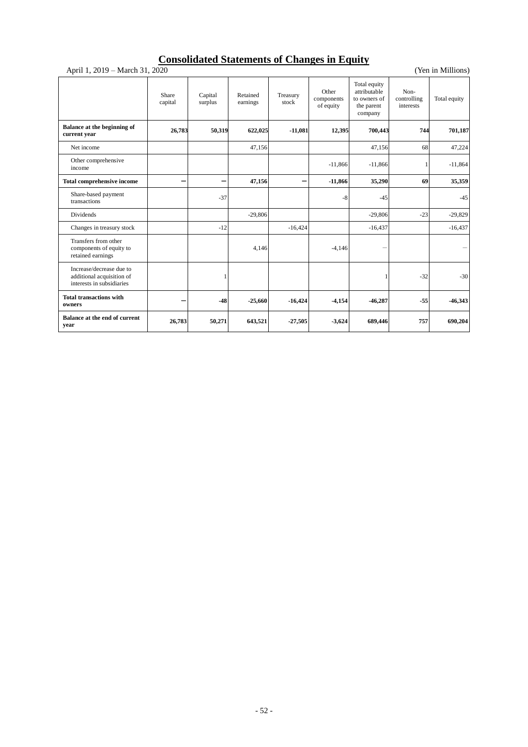# **Consolidated Statements of Changes in Equity**

| April 1, 2019 – March 31, 2020<br>(Yen in Millions)                                |                          |                    |                      |                   |                                  |                                                                       |                                  |              |
|------------------------------------------------------------------------------------|--------------------------|--------------------|----------------------|-------------------|----------------------------------|-----------------------------------------------------------------------|----------------------------------|--------------|
|                                                                                    | Share<br>capital         | Capital<br>surplus | Retained<br>earnings | Treasury<br>stock | Other<br>components<br>of equity | Total equity<br>attributable<br>to owners of<br>the parent<br>company | Non-<br>controlling<br>interests | Total equity |
| Balance at the beginning of<br>current year                                        | 26,783                   | 50,319             | 622,025              | $-11,081$         | 12,395                           | 700,443                                                               | 744                              | 701,187      |
| Net income                                                                         |                          |                    | 47,156               |                   |                                  | 47,156                                                                | 68                               | 47,224       |
| Other comprehensive<br>income                                                      |                          |                    |                      |                   | $-11,866$                        | $-11,866$                                                             |                                  | $-11,864$    |
| <b>Total comprehensive income</b>                                                  | $\overline{\phantom{0}}$ |                    | 47,156               |                   | $-11,866$                        | 35,290                                                                | 69                               | 35,359       |
| Share-based payment<br>transactions                                                |                          | $-37$              |                      |                   | $-8$                             | $-45$                                                                 |                                  | $-45$        |
| Dividends                                                                          |                          |                    | $-29,806$            |                   |                                  | $-29,806$                                                             | $-23$                            | $-29,829$    |
| Changes in treasury stock                                                          |                          | $-12$              |                      | $-16,424$         |                                  | $-16,437$                                                             |                                  | $-16,437$    |
| Transfers from other<br>components of equity to<br>retained earnings               |                          |                    | 4,146                |                   | $-4,146$                         |                                                                       |                                  |              |
| Increase/decrease due to<br>additional acquisition of<br>interests in subsidiaries |                          |                    |                      |                   |                                  |                                                                       | $-32$                            | $-30$        |
| <b>Total transactions with</b><br>owners                                           |                          | $-48$              | $-25,660$            | $-16,424$         | $-4,154$                         | $-46,287$                                                             | $-55$                            | $-46,343$    |
| <b>Balance at the end of current</b><br>year                                       | 26,783                   | 50,271             | 643,521              | $-27,505$         | $-3,624$                         | 689,446                                                               | 757                              | 690,204      |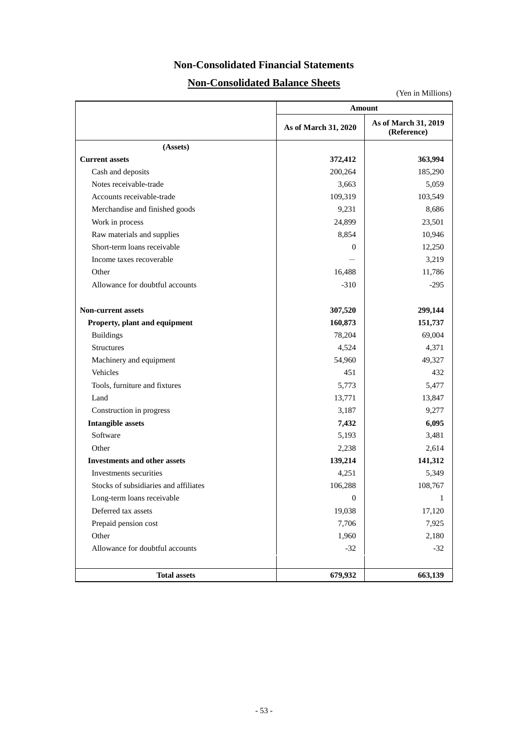# **Non-Consolidated Financial Statements**

# **Non-Consolidated Balance Sheets**

|                                       | Amount               |                                     |  |  |  |
|---------------------------------------|----------------------|-------------------------------------|--|--|--|
|                                       | As of March 31, 2020 | As of March 31, 2019<br>(Reference) |  |  |  |
| (Assets)                              |                      |                                     |  |  |  |
| <b>Current assets</b>                 | 372,412              | 363,994                             |  |  |  |
| Cash and deposits                     | 200,264              | 185,290                             |  |  |  |
| Notes receivable-trade                | 3,663                | 5,059                               |  |  |  |
| Accounts receivable-trade             | 109,319              | 103,549                             |  |  |  |
| Merchandise and finished goods        | 9,231                | 8,686                               |  |  |  |
| Work in process                       | 24,899               | 23,501                              |  |  |  |
| Raw materials and supplies            | 8,854                | 10,946                              |  |  |  |
| Short-term loans receivable           | $\Omega$             | 12,250                              |  |  |  |
| Income taxes recoverable              |                      | 3,219                               |  |  |  |
| Other                                 | 16,488               | 11,786                              |  |  |  |
| Allowance for doubtful accounts       | $-310$               | $-295$                              |  |  |  |
| <b>Non-current assets</b>             | 307,520              | 299,144                             |  |  |  |
| Property, plant and equipment         | 160,873              | 151,737                             |  |  |  |
| <b>Buildings</b>                      | 78,204               | 69,004                              |  |  |  |
| <b>Structures</b>                     | 4,524                | 4,371                               |  |  |  |
| Machinery and equipment               | 54,960               | 49,327                              |  |  |  |
| Vehicles                              | 451                  | 432                                 |  |  |  |
| Tools, furniture and fixtures         | 5,773                | 5,477                               |  |  |  |
| Land                                  | 13,771               | 13,847                              |  |  |  |
| Construction in progress              | 3,187                | 9,277                               |  |  |  |
| <b>Intangible assets</b>              | 7,432                | 6,095                               |  |  |  |
| Software                              | 5,193                | 3,481                               |  |  |  |
| Other                                 | 2,238                | 2,614                               |  |  |  |
| <b>Investments and other assets</b>   | 139,214              | 141,312                             |  |  |  |
| Investments securities                | 4,251                | 5,349                               |  |  |  |
| Stocks of subsidiaries and affiliates | 106,288              | 108,767                             |  |  |  |
| Long-term loans receivable            | $\mathbf{0}$         |                                     |  |  |  |
| Deferred tax assets                   | 19,038               | 17,120                              |  |  |  |
| Prepaid pension cost                  | 7,706                | 7,925                               |  |  |  |
| Other                                 | 1,960                | 2,180                               |  |  |  |
| Allowance for doubtful accounts       | $-32$                | $-32$                               |  |  |  |
| <b>Total assets</b>                   | 679,932              | 663,139                             |  |  |  |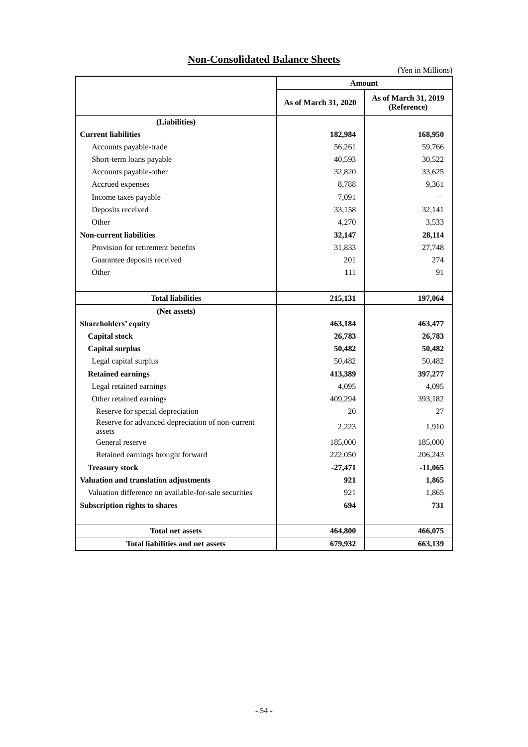# **Non-Consolidated Balance Sheets**

|                                                            | Amount               |                                     |  |  |  |
|------------------------------------------------------------|----------------------|-------------------------------------|--|--|--|
|                                                            | As of March 31, 2020 | As of March 31, 2019<br>(Reference) |  |  |  |
| (Liabilities)                                              |                      |                                     |  |  |  |
| <b>Current liabilities</b>                                 | 182,984              | 168,950                             |  |  |  |
| Accounts payable-trade                                     | 56,261               | 59,766                              |  |  |  |
| Short-term loans payable                                   | 40,593               | 30,522                              |  |  |  |
| Accounts payable-other                                     | 32,820               | 33,625                              |  |  |  |
| Accrued expenses                                           | 8,788                | 9,361                               |  |  |  |
| Income taxes payable                                       | 7,091                |                                     |  |  |  |
| Deposits received                                          | 33,158               | 32,141                              |  |  |  |
| Other                                                      | 4,270                | 3,533                               |  |  |  |
| <b>Non-current liabilities</b>                             | 32,147               | 28,114                              |  |  |  |
| Provision for retirement benefits                          | 31,833               | 27,748                              |  |  |  |
| Guarantee deposits received                                | 201                  | 274                                 |  |  |  |
| Other                                                      | 111                  | 91                                  |  |  |  |
| <b>Total liabilities</b>                                   | 215,131              | 197,064                             |  |  |  |
| (Net assets)                                               |                      |                                     |  |  |  |
| Shareholders' equity                                       | 463,184              | 463,477                             |  |  |  |
| <b>Capital stock</b>                                       | 26,783               | 26,783                              |  |  |  |
| <b>Capital surplus</b>                                     | 50,482               | 50,482                              |  |  |  |
| Legal capital surplus                                      | 50,482               | 50,482                              |  |  |  |
| <b>Retained earnings</b>                                   | 413,389              | 397,277                             |  |  |  |
| Legal retained earnings                                    | 4,095                | 4,095                               |  |  |  |
| Other retained earnings                                    | 409,294              | 393,182                             |  |  |  |
| Reserve for special depreciation                           | 20                   | 27                                  |  |  |  |
| Reserve for advanced depreciation of non-current<br>assets | 2,223                | 1,910                               |  |  |  |
| General reserve                                            | 185,000              | 185,000                             |  |  |  |
| Retained earnings brought forward                          | 222,050              | 206,243                             |  |  |  |
| <b>Treasury stock</b>                                      | $-27,471$            | $-11,065$                           |  |  |  |
| Valuation and translation adjustments                      | 921                  | 1,865                               |  |  |  |
| Valuation difference on available-for-sale securities      | 921                  | 1,865                               |  |  |  |
| Subscription rights to shares                              | 694                  | 731                                 |  |  |  |
| <b>Total net assets</b>                                    | 464,800              | 466,075                             |  |  |  |
| <b>Total liabilities and net assets</b>                    | 679,932              | 663,139                             |  |  |  |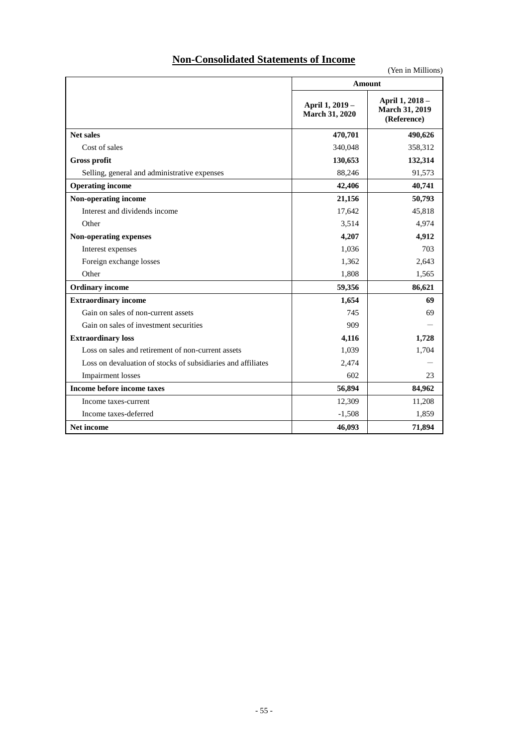# **Non-Consolidated Statements of Income**

|                                                              | TOU IN INTHRONG<br>Amount         |                                                  |  |  |  |
|--------------------------------------------------------------|-----------------------------------|--------------------------------------------------|--|--|--|
|                                                              |                                   |                                                  |  |  |  |
|                                                              | April 1, 2019 -<br>March 31, 2020 | April 1, 2018 -<br>March 31, 2019<br>(Reference) |  |  |  |
| <b>Net sales</b>                                             | 470,701                           | 490,626                                          |  |  |  |
| Cost of sales                                                | 340,048                           | 358,312                                          |  |  |  |
| <b>Gross profit</b>                                          | 130,653                           | 132,314                                          |  |  |  |
| Selling, general and administrative expenses                 | 88,246                            | 91,573                                           |  |  |  |
| <b>Operating income</b>                                      | 42,406                            | 40,741                                           |  |  |  |
| Non-operating income                                         | 21,156                            | 50,793                                           |  |  |  |
| Interest and dividends income                                | 17,642                            | 45,818                                           |  |  |  |
| Other                                                        | 3,514                             | 4,974                                            |  |  |  |
| Non-operating expenses                                       | 4,912<br>4,207                    |                                                  |  |  |  |
| Interest expenses                                            | 1,036                             | 703                                              |  |  |  |
| Foreign exchange losses                                      | 1,362                             | 2,643                                            |  |  |  |
| Other                                                        | 1,808                             | 1,565                                            |  |  |  |
| <b>Ordinary income</b>                                       | 59,356                            | 86,621                                           |  |  |  |
| <b>Extraordinary income</b>                                  | 1,654                             | 69                                               |  |  |  |
| Gain on sales of non-current assets                          | 745                               | 69                                               |  |  |  |
| Gain on sales of investment securities                       | 909                               |                                                  |  |  |  |
| <b>Extraordinary loss</b>                                    | 4,116                             | 1,728                                            |  |  |  |
| Loss on sales and retirement of non-current assets           | 1,039                             | 1,704                                            |  |  |  |
| Loss on devaluation of stocks of subsidiaries and affiliates | 2,474                             |                                                  |  |  |  |
| <b>Impairment</b> losses                                     | 602                               | 23                                               |  |  |  |
| Income before income taxes                                   | 56,894                            | 84,962                                           |  |  |  |
| Income taxes-current                                         | 12,309                            | 11,208                                           |  |  |  |
| Income taxes-deferred                                        | $-1,508$                          | 1,859                                            |  |  |  |
| <b>Net income</b>                                            | 46,093                            | 71,894                                           |  |  |  |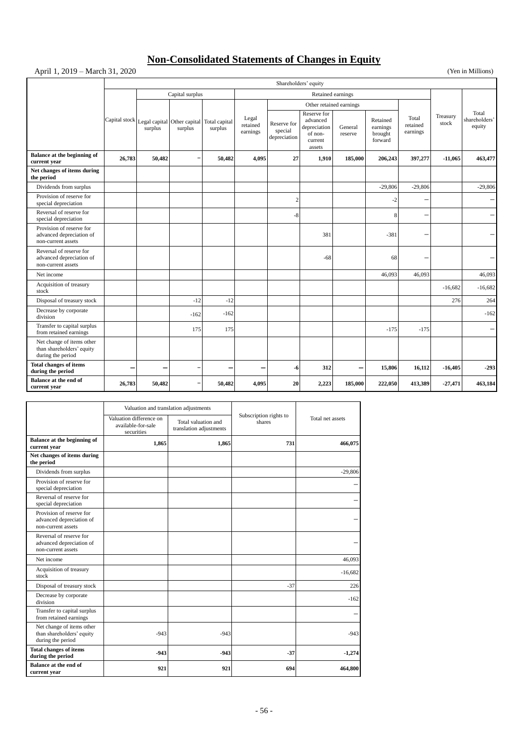# **Non-Consolidated Statements of Changes in Equity**

# April 1, 2019 – March 31, 2020 (Yen in Millions)

|                                                                             | Shareholders' equity                 |                                                      |                          |                          |                               |                                        |                                                                         |                    |                                            |                               |                   |                                  |
|-----------------------------------------------------------------------------|--------------------------------------|------------------------------------------------------|--------------------------|--------------------------|-------------------------------|----------------------------------------|-------------------------------------------------------------------------|--------------------|--------------------------------------------|-------------------------------|-------------------|----------------------------------|
|                                                                             | Capital surplus<br>Retained earnings |                                                      |                          |                          |                               |                                        |                                                                         |                    |                                            |                               |                   |                                  |
|                                                                             |                                      |                                                      |                          |                          |                               | Other retained earnings                |                                                                         |                    |                                            |                               |                   |                                  |
|                                                                             |                                      | Capital stock Legal capital Other capital<br>surplus | surplus                  | Total capital<br>surplus | Legal<br>retained<br>earnings | Reserve for<br>special<br>depreciation | Reserve for<br>advanced<br>depreciation<br>of non-<br>current<br>assets | General<br>reserve | Retained<br>earnings<br>brought<br>forward | Total<br>retained<br>earnings | Treasury<br>stock | Total<br>shareholders'<br>equity |
| Balance at the beginning of<br>current year                                 | 26,783                               | 50,482                                               | $\overline{\phantom{0}}$ | 50,482                   | 4,095                         | 27                                     | 1,910                                                                   | 185,000            | 206,243                                    | 397,277                       | $-11,065$         | 463,477                          |
| Net changes of items during<br>the period                                   |                                      |                                                      |                          |                          |                               |                                        |                                                                         |                    |                                            |                               |                   |                                  |
| Dividends from surplus                                                      |                                      |                                                      |                          |                          |                               |                                        |                                                                         |                    | $-29,806$                                  | $-29,806$                     |                   | $-29,806$                        |
| Provision of reserve for<br>special depreciation                            |                                      |                                                      |                          |                          |                               | $\overline{2}$                         |                                                                         |                    | $-2$                                       |                               |                   |                                  |
| Reversal of reserve for<br>special depreciation                             |                                      |                                                      |                          |                          |                               | $-8$                                   |                                                                         |                    | 8                                          | -                             |                   |                                  |
| Provision of reserve for<br>advanced depreciation of<br>non-current assets  |                                      |                                                      |                          |                          |                               |                                        | 381                                                                     |                    | $-381$                                     |                               |                   |                                  |
| Reversal of reserve for<br>advanced depreciation of<br>non-current assets   |                                      |                                                      |                          |                          |                               |                                        | -68                                                                     |                    | 68                                         |                               |                   |                                  |
| Net income                                                                  |                                      |                                                      |                          |                          |                               |                                        |                                                                         |                    | 46,093                                     | 46,093                        |                   | 46,093                           |
| Acquisition of treasury<br>stock                                            |                                      |                                                      |                          |                          |                               |                                        |                                                                         |                    |                                            |                               | $-16,682$         | $-16,682$                        |
| Disposal of treasury stock                                                  |                                      |                                                      | $-12$                    | $-12$                    |                               |                                        |                                                                         |                    |                                            |                               | 276               | 264                              |
| Decrease by corporate<br>division                                           |                                      |                                                      | $-162$                   | $-162$                   |                               |                                        |                                                                         |                    |                                            |                               |                   | $-162$                           |
| Transfer to capital surplus<br>from retained earnings                       |                                      |                                                      | 175                      | 175                      |                               |                                        |                                                                         |                    | $-175$                                     | $-175$                        |                   |                                  |
| Net change of items other<br>than shareholders' equity<br>during the period |                                      |                                                      |                          |                          |                               |                                        |                                                                         |                    |                                            |                               |                   |                                  |
| <b>Total changes of items</b><br>during the period                          | -                                    |                                                      |                          |                          |                               | -6                                     | 312                                                                     | -                  | 15,806                                     | 16,112                        | $-16,405$         | $-293$                           |
| <b>Balance at the end of</b><br>current year                                | 26,783                               | 50,482                                               |                          | 50,482                   | 4,095                         | 20                                     | 2,223                                                                   | 185,000            | 222,050                                    | 413,389                       | $-27,471$         | 463,184                          |

|                                                                             | Valuation and translation adjustments                       |                                                |                                  |                  |  |
|-----------------------------------------------------------------------------|-------------------------------------------------------------|------------------------------------------------|----------------------------------|------------------|--|
|                                                                             | Valuation difference on<br>available-for-sale<br>securities | Total valuation and<br>translation adjustments | Subscription rights to<br>shares | Total net assets |  |
| Balance at the beginning of<br>current year                                 | 1.865                                                       | 1.865                                          | 731                              | 466,075          |  |
| Net changes of items during<br>the period                                   |                                                             |                                                |                                  |                  |  |
| Dividends from surplus                                                      |                                                             |                                                |                                  | $-29,806$        |  |
| Provision of reserve for<br>special depreciation                            |                                                             |                                                |                                  |                  |  |
| Reversal of reserve for<br>special depreciation                             |                                                             |                                                |                                  |                  |  |
| Provision of reserve for<br>advanced depreciation of<br>non-current assets  |                                                             |                                                |                                  |                  |  |
| Reversal of reserve for<br>advanced depreciation of<br>non-current assets   |                                                             |                                                |                                  |                  |  |
| Net income                                                                  |                                                             |                                                |                                  | 46,093           |  |
| Acquisition of treasury<br>stock                                            |                                                             |                                                |                                  | $-16,682$        |  |
| Disposal of treasury stock                                                  |                                                             |                                                | $-37$                            | 226              |  |
| Decrease by corporate<br>division                                           |                                                             |                                                |                                  | $-162$           |  |
| Transfer to capital surplus<br>from retained earnings                       |                                                             |                                                |                                  |                  |  |
| Net change of items other<br>than shareholders' equity<br>during the period | $-943$                                                      | $-943$                                         |                                  | $-943$           |  |
| <b>Total changes of items</b><br>during the period                          | $-943$                                                      | $-943$                                         | $-37$                            | $-1,274$         |  |
| <b>Balance at the end of</b><br>current year                                | 921                                                         | 921                                            | 694                              | 464,800          |  |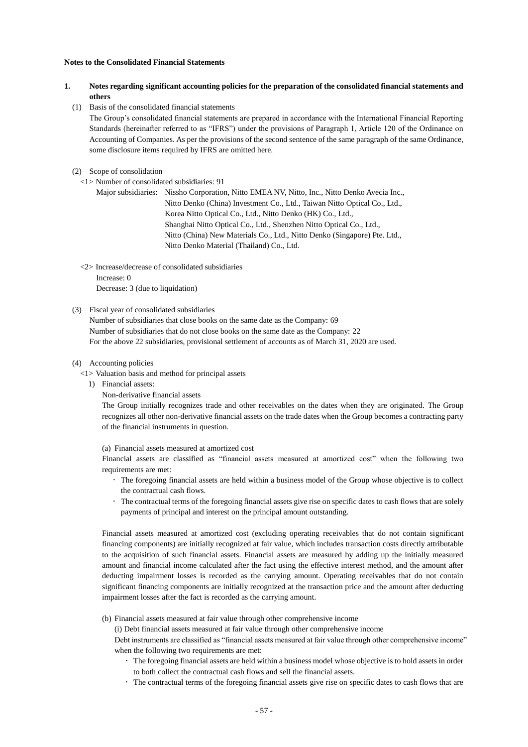#### **Notes to the Consolidated Financial Statements**

- **1. Notes regarding significant accounting policies for the preparation of the consolidated financial statements and others**
	- (1) Basis of the consolidated financial statements

The Group's consolidated financial statements are prepared in accordance with the International Financial Reporting Standards (hereinafter referred to as "IFRS") under the provisions of Paragraph 1, Article 120 of the Ordinance on Accounting of Companies. As per the provisions of the second sentence of the same paragraph of the same Ordinance, some disclosure items required by IFRS are omitted here.

- (2) Scope of consolidation
	- <1> Number of consolidated subsidiaries: 91

Major subsidiaries: Nissho Corporation, Nitto EMEA NV, Nitto, Inc., Nitto Denko Avecia Inc., Nitto Denko (China) Investment Co., Ltd., Taiwan Nitto Optical Co., Ltd., Korea Nitto Optical Co., Ltd., Nitto Denko (HK) Co., Ltd., Shanghai Nitto Optical Co., Ltd., Shenzhen Nitto Optical Co., Ltd., Nitto (China) New Materials Co., Ltd., Nitto Denko (Singapore) Pte. Ltd., Nitto Denko Material (Thailand) Co., Ltd.

<2> Increase/decrease of consolidated subsidiaries Increase: 0

Decrease: 3 (due to liquidation)

#### (3) Fiscal year of consolidated subsidiaries

Number of subsidiaries that close books on the same date as the Company: 69 Number of subsidiaries that do not close books on the same date as the Company: 22 For the above 22 subsidiaries, provisional settlement of accounts as of March 31, 2020 are used.

### (4) Accounting policies

- <1> Valuation basis and method for principal assets
	- 1) Financial assets:
		- Non-derivative financial assets

The Group initially recognizes trade and other receivables on the dates when they are originated. The Group recognizes all other non-derivative financial assets on the trade dates when the Group becomes a contracting party of the financial instruments in question.

(a) Financial assets measured at amortized cost

Financial assets are classified as "financial assets measured at amortized cost" when the following two requirements are met:

- The foregoing financial assets are held within a business model of the Group whose objective is to collect the contractual cash flows.
- The contractual terms of the foregoing financial assets give rise on specific dates to cash flows that are solely payments of principal and interest on the principal amount outstanding.

Financial assets measured at amortized cost (excluding operating receivables that do not contain significant financing components) are initially recognized at fair value, which includes transaction costs directly attributable to the acquisition of such financial assets. Financial assets are measured by adding up the initially measured amount and financial income calculated after the fact using the effective interest method, and the amount after deducting impairment losses is recorded as the carrying amount. Operating receivables that do not contain significant financing components are initially recognized at the transaction price and the amount after deducting impairment losses after the fact is recorded as the carrying amount.

(b) Financial assets measured at fair value through other comprehensive income

(i) Debt financial assets measured at fair value through other comprehensive income

Debt instruments are classified as "financial assets measured at fair value through other comprehensive income" when the following two requirements are met:

- The foregoing financial assets are held within a business model whose objective is to hold assets in order to both collect the contractual cash flows and sell the financial assets.
- The contractual terms of the foregoing financial assets give rise on specific dates to cash flows that are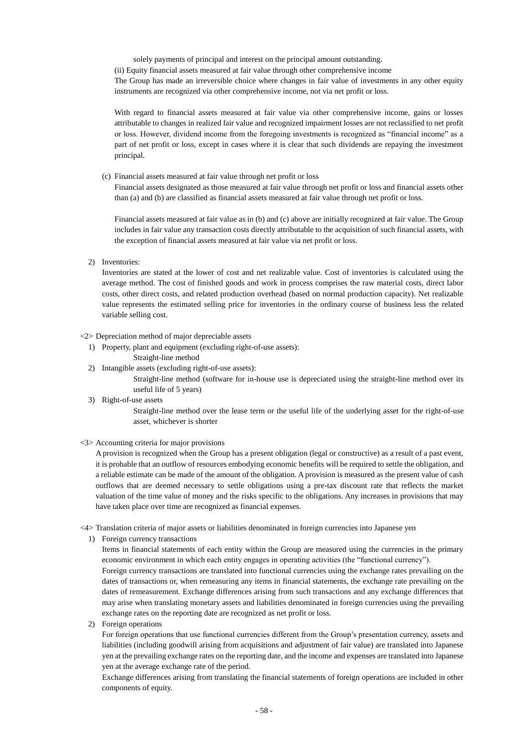solely payments of principal and interest on the principal amount outstanding.

(ii) Equity financial assets measured at fair value through other comprehensive income

The Group has made an irreversible choice where changes in fair value of investments in any other equity instruments are recognized via other comprehensive income, not via net profit or loss.

With regard to financial assets measured at fair value via other comprehensive income, gains or losses attributable to changes in realized fair value and recognized impairment losses are not reclassified to net profit or loss. However, dividend income from the foregoing investments is recognized as "financial income" as a part of net profit or loss, except in cases where it is clear that such dividends are repaying the investment principal.

(c) Financial assets measured at fair value through net profit or loss

Financial assets designated as those measured at fair value through net profit or loss and financial assets other than (a) and (b) are classified as financial assets measured at fair value through net profit or loss.

Financial assets measured at fair value as in (b) and (c) above are initially recognized at fair value. The Group includes in fair value any transaction costs directly attributable to the acquisition of such financial assets, with the exception of financial assets measured at fair value via net profit or loss.

2) Inventories:

Inventories are stated at the lower of cost and net realizable value. Cost of inventories is calculated using the average method. The cost of finished goods and work in process comprises the raw material costs, direct labor costs, other direct costs, and related production overhead (based on normal production capacity). Net realizable value represents the estimated selling price for inventories in the ordinary course of business less the related variable selling cost.

#### <2> Depreciation method of major depreciable assets

- 1) Property, plant and equipment (excluding right-of-use assets):
	- Straight-line method
- 2) Intangible assets (excluding right-of-use assets):

Straight-line method (software for in-house use is depreciated using the straight-line method over its useful life of 5 years)

3) Right-of-use assets

Straight-line method over the lease term or the useful life of the underlying asset for the right-of-use asset, whichever is shorter

<3> Accounting criteria for major provisions

A provision is recognized when the Group has a present obligation (legal or constructive) as a result of a past event, it is probable that an outflow of resources embodying economic benefits will be required to settle the obligation, and a reliable estimate can be made of the amount of the obligation. A provision is measured as the present value of cash outflows that are deemed necessary to settle obligations using a pre-tax discount rate that reflects the market valuation of the time value of money and the risks specific to the obligations. Any increases in provisions that may have taken place over time are recognized as financial expenses.

<4> Translation criteria of major assets or liabilities denominated in foreign currencies into Japanese yen

1) Foreign currency transactions

Items in financial statements of each entity within the Group are measured using the currencies in the primary economic environment in which each entity engages in operating activities (the "functional currency").

Foreign currency transactions are translated into functional currencies using the exchange rates prevailing on the dates of transactions or, when remeasuring any items in financial statements, the exchange rate prevailing on the dates of remeasurement. Exchange differences arising from such transactions and any exchange differences that may arise when translating monetary assets and liabilities denominated in foreign currencies using the prevailing exchange rates on the reporting date are recognized as net profit or loss.

2) Foreign operations

For foreign operations that use functional currencies different from the Group's presentation currency, assets and liabilities (including goodwill arising from acquisitions and adjustment of fair value) are translated into Japanese yen at the prevailing exchange rates on the reporting date, and the income and expenses are translated into Japanese yen at the average exchange rate of the period.

Exchange differences arising from translating the financial statements of foreign operations are included in other components of equity.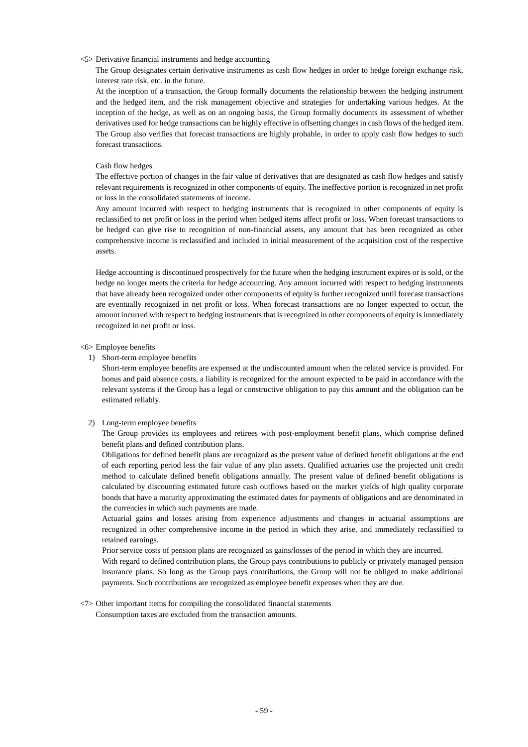#### <5> Derivative financial instruments and hedge accounting

The Group designates certain derivative instruments as cash flow hedges in order to hedge foreign exchange risk, interest rate risk, etc. in the future.

At the inception of a transaction, the Group formally documents the relationship between the hedging instrument and the hedged item, and the risk management objective and strategies for undertaking various hedges. At the inception of the hedge, as well as on an ongoing basis, the Group formally documents its assessment of whether derivatives used for hedge transactions can be highly effective in offsetting changes in cash flows of the hedged item. The Group also verifies that forecast transactions are highly probable, in order to apply cash flow hedges to such forecast transactions.

#### Cash flow hedges

The effective portion of changes in the fair value of derivatives that are designated as cash flow hedges and satisfy relevant requirements is recognized in other components of equity. The ineffective portion is recognized in net profit or loss in the consolidated statements of income.

Any amount incurred with respect to hedging instruments that is recognized in other components of equity is reclassified to net profit or loss in the period when hedged items affect profit or loss. When forecast transactions to be hedged can give rise to recognition of non-financial assets, any amount that has been recognized as other comprehensive income is reclassified and included in initial measurement of the acquisition cost of the respective assets.

Hedge accounting is discontinued prospectively for the future when the hedging instrument expires or is sold, or the hedge no longer meets the criteria for hedge accounting. Any amount incurred with respect to hedging instruments that have already been recognized under other components of equity is further recognized until forecast transactions are eventually recognized in net profit or loss. When forecast transactions are no longer expected to occur, the amount incurred with respect to hedging instruments that is recognized in other components of equity is immediately recognized in net profit or loss.

#### <6> Employee benefits

1) Short-term employee benefits

Short-term employee benefits are expensed at the undiscounted amount when the related service is provided. For bonus and paid absence costs, a liability is recognized for the amount expected to be paid in accordance with the relevant systems if the Group has a legal or constructive obligation to pay this amount and the obligation can be estimated reliably.

#### 2) Long-term employee benefits

The Group provides its employees and retirees with post-employment benefit plans, which comprise defined benefit plans and defined contribution plans.

Obligations for defined benefit plans are recognized as the present value of defined benefit obligations at the end of each reporting period less the fair value of any plan assets. Qualified actuaries use the projected unit credit method to calculate defined benefit obligations annually. The present value of defined benefit obligations is calculated by discounting estimated future cash outflows based on the market yields of high quality corporate bonds that have a maturity approximating the estimated dates for payments of obligations and are denominated in the currencies in which such payments are made.

Actuarial gains and losses arising from experience adjustments and changes in actuarial assumptions are recognized in other comprehensive income in the period in which they arise, and immediately reclassified to retained earnings.

Prior service costs of pension plans are recognized as gains/losses of the period in which they are incurred. With regard to defined contribution plans, the Group pays contributions to publicly or privately managed pension insurance plans. So long as the Group pays contributions, the Group will not be obliged to make additional payments. Such contributions are recognized as employee benefit expenses when they are due.

#### <7> Other important items for compiling the consolidated financial statements Consumption taxes are excluded from the transaction amounts.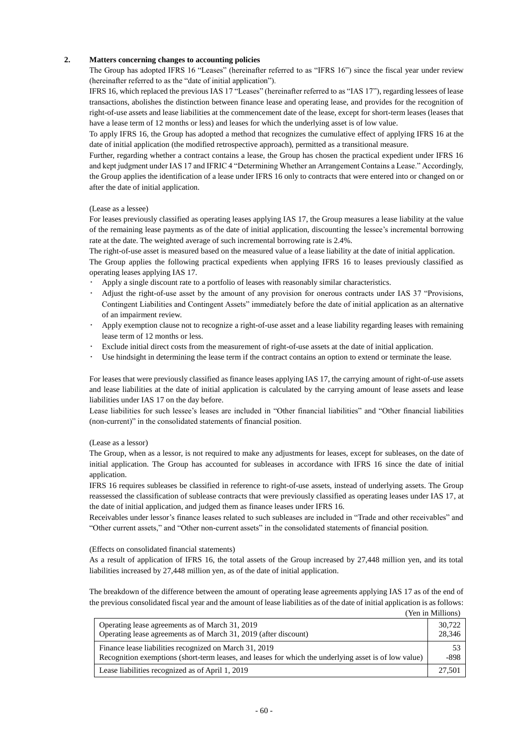## **2. Matters concerning changes to accounting policies**

The Group has adopted IFRS 16 "Leases" (hereinafter referred to as "IFRS 16") since the fiscal year under review (hereinafter referred to as the "date of initial application").

IFRS 16, which replaced the previous IAS 17 "Leases" (hereinafter referred to as "IAS 17"), regarding lessees of lease transactions, abolishes the distinction between finance lease and operating lease, and provides for the recognition of right-of-use assets and lease liabilities at the commencement date of the lease, except for short-term leases (leases that have a lease term of 12 months or less) and leases for which the underlying asset is of low value.

To apply IFRS 16, the Group has adopted a method that recognizes the cumulative effect of applying IFRS 16 at the date of initial application (the modified retrospective approach), permitted as a transitional measure.

Further, regarding whether a contract contains a lease, the Group has chosen the practical expedient under IFRS 16 and kept judgment under IAS 17 and IFRIC 4 "Determining Whether an Arrangement Contains a Lease." Accordingly, the Group applies the identification of a lease under IFRS 16 only to contracts that were entered into or changed on or after the date of initial application.

#### (Lease as a lessee)

For leases previously classified as operating leases applying IAS 17, the Group measures a lease liability at the value of the remaining lease payments as of the date of initial application, discounting the lessee's incremental borrowing rate at the date. The weighted average of such incremental borrowing rate is 2.4%.

The right-of-use asset is measured based on the measured value of a lease liability at the date of initial application.

The Group applies the following practical expedients when applying IFRS 16 to leases previously classified as operating leases applying IAS 17.

- ・ Apply a single discount rate to a portfolio of leases with reasonably similar characteristics.
- Adjust the right-of-use asset by the amount of any provision for onerous contracts under IAS 37 "Provisions, Contingent Liabilities and Contingent Assets" immediately before the date of initial application as an alternative of an impairment review.
- ・ Apply exemption clause not to recognize a right-of-use asset and a lease liability regarding leases with remaining lease term of 12 months or less.
- Exclude initial direct costs from the measurement of right-of-use assets at the date of initial application.
- Use hindsight in determining the lease term if the contract contains an option to extend or terminate the lease.

For leases that were previously classified as finance leases applying IAS 17, the carrying amount of right-of-use assets and lease liabilities at the date of initial application is calculated by the carrying amount of lease assets and lease liabilities under IAS 17 on the day before.

Lease liabilities for such lessee's leases are included in "Other financial liabilities" and "Other financial liabilities (non-current)" in the consolidated statements of financial position.

#### (Lease as a lessor)

The Group, when as a lessor, is not required to make any adjustments for leases, except for subleases, on the date of initial application. The Group has accounted for subleases in accordance with IFRS 16 since the date of initial application.

IFRS 16 requires subleases be classified in reference to right-of-use assets, instead of underlying assets. The Group reassessed the classification of sublease contracts that were previously classified as operating leases under IAS 17, at the date of initial application, and judged them as finance leases under IFRS 16.

Receivables under lessor's finance leases related to such subleases are included in "Trade and other receivables" and "Other current assets," and "Other non-current assets" in the consolidated statements of financial position.

#### (Effects on consolidated financial statements)

As a result of application of IFRS 16, the total assets of the Group increased by 27,448 million yen, and its total liabilities increased by 27,448 million yen, as of the date of initial application.

The breakdown of the difference between the amount of operating lease agreements applying IAS 17 as of the end of the previous consolidated fiscal year and the amount of lease liabilities as of the date of initial application is as follows:

|                                                                                                       | (Yen in Millions) |
|-------------------------------------------------------------------------------------------------------|-------------------|
| Operating lease agreements as of March 31, 2019                                                       | 30,722            |
| Operating lease agreements as of March 31, 2019 (after discount)                                      | 28,346            |
| Finance lease liabilities recognized on March 31, 2019                                                | 53                |
| Recognition exemptions (short-term leases, and leases for which the underlying asset is of low value) | -898              |
| Lease liabilities recognized as of April 1, 2019                                                      | 27.501            |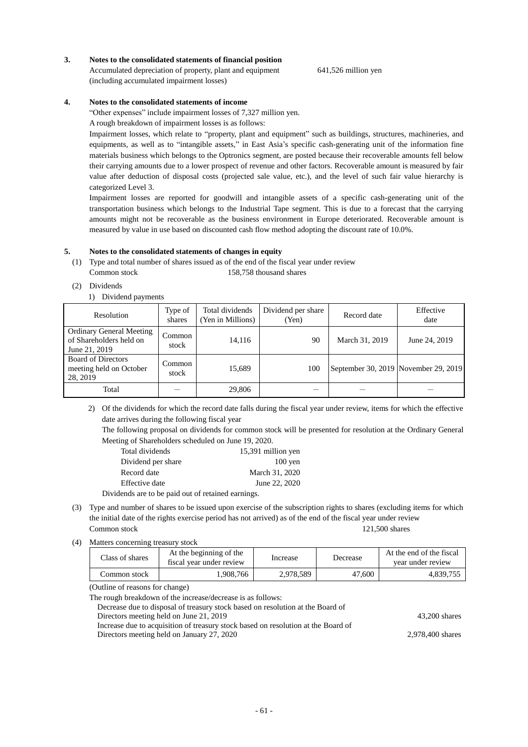- Dividends are to be paid out of retained earnings. (3) Type and number of shares to be issued upon exercise of the subscription rights to shares (excluding items for which the initial date of the rights exercise period has not arrived) as of the end of the fiscal year under review
	-
- (4) Matters concerning treasury stock

| Class of shares | At the beginning of the<br>fiscal year under review | Increase  | Decrease | At the end of the fiscal<br>vear under review |
|-----------------|-----------------------------------------------------|-----------|----------|-----------------------------------------------|
| Common stock-   | .908.766                                            | 2.978.589 | 47,600   | 4.839.755                                     |

(Outline of reasons for change)

The rough breakdown of the increase/decrease is as follows:

| Decrease due to disposal of treasury stock based on resolution at the Board of    |                  |
|-----------------------------------------------------------------------------------|------------------|
| Directors meeting held on June 21, 2019                                           | 43.200 shares    |
| Increase due to acquisition of treasury stock based on resolution at the Board of |                  |
| Directors meeting held on January 27, 2020                                        | 2.978.400 shares |
|                                                                                   |                  |

date arrives during the following fiscal year The following proposal on dividends for common stock will be presented for resolution at the Ordinary General Meeting of Shareholders scheduled on June 19, 2020.

2) Of the dividends for which the record date falls during the fiscal year under review, items for which the effective

| <b>Ordinary General Meeting</b><br>of Shareholders held on<br>June 21, 2019 | Common<br>stock | 14.116 | 90  | March 31, 2019                       | June 24, 2019 |
|-----------------------------------------------------------------------------|-----------------|--------|-----|--------------------------------------|---------------|
| <b>Board of Directors</b><br>meeting held on October<br>28, 2019            | Common<br>stock | 15.689 | 100 | September 30, 2019 November 29, 2019 |               |
| Total                                                                       |                 | 29,806 |     |                                      |               |

**5. Notes to the consolidated statements of changes in equity** (1) Type and total number of shares issued as of the end of the fiscal year under review

shares

Common stock 158,758 thousand shares

Total dividends 15,391 million yen Dividend per share 100 yen Record date March 31, 2020 Effective date June 22, 2020

Total dividends (Yen in Millions)

(2) Dividends

1) Dividend payments

Resolution Type of

| Notes to the consolidated statements of income |
|------------------------------------------------|

(including accumulated impairment losses)

"Other expenses" include impairment losses of 7,327 million yen.

A rough breakdown of impairment losses is as follows:

Impairment losses, which relate to "property, plant and equipment" such as buildings, structures, machineries, and equipments, as well as to "intangible assets," in East Asia's specific cash-generating unit of the information fine materials business which belongs to the Optronics segment, are posted because their recoverable amounts fell below their carrying amounts due to a lower prospect of revenue and other factors. Recoverable amount is measured by fair value after deduction of disposal costs (projected sale value, etc.), and the level of such fair value hierarchy is categorized Level 3.

Impairment losses are reported for goodwill and intangible assets of a specific cash-generating unit of the transportation business which belongs to the Industrial Tape segment. This is due to a forecast that the carrying amounts might not be recoverable as the business environment in Europe deteriorated. Recoverable amount is measured by value in use based on discounted cash flow method adopting the discount rate of 10.0%.

#### **3. Notes to the consolidated statements of financial position** Accumulated depreciation of property, plant and equipment

641,526 million yen

Dividend per share<br>
(Yen) Record date Effective<br>
date

date

Common stock 121,500 shares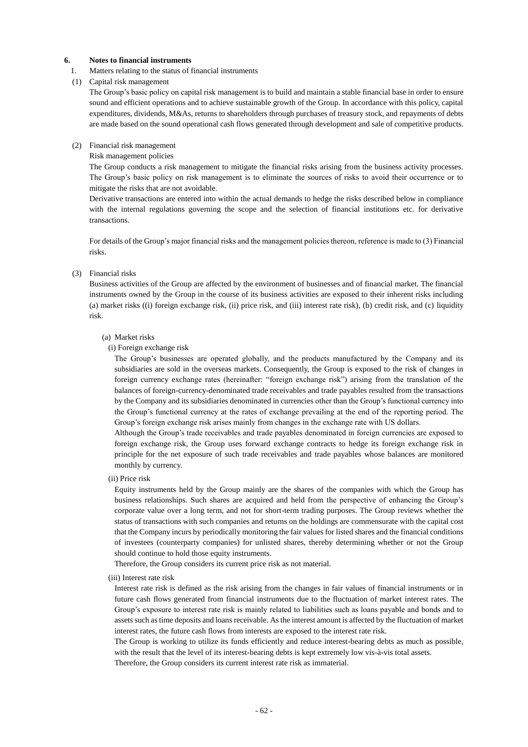### **6. Notes to financial instruments**

1. Matters relating to the status of financial instruments

#### (1) Capital risk management

The Group's basic policy on capital risk management is to build and maintain a stable financial base in order to ensure sound and efficient operations and to achieve sustainable growth of the Group. In accordance with this policy, capital expenditures, dividends, M&As, returns to shareholders through purchases of treasury stock, and repayments of debts are made based on the sound operational cash flows generated through development and sale of competitive products.

#### (2) Financial risk management

#### Risk management policies

The Group conducts a risk management to mitigate the financial risks arising from the business activity processes. The Group's basic policy on risk management is to eliminate the sources of risks to avoid their occurrence or to mitigate the risks that are not avoidable.

Derivative transactions are entered into within the actual demands to hedge the risks described below in compliance with the internal regulations governing the scope and the selection of financial institutions etc. for derivative transactions.

For details of the Group's major financial risks and the management policies thereon, reference is made to (3) Financial risks.

#### (3) Financial risks

Business activities of the Group are affected by the environment of businesses and of financial market. The financial instruments owned by the Group in the course of its business activities are exposed to their inherent risks including (a) market risks ((i) foreign exchange risk, (ii) price risk, and (iii) interest rate risk), (b) credit risk, and (c) liquidity risk.

#### (a) Market risks

#### (i) Foreign exchange risk

The Group's businesses are operated globally, and the products manufactured by the Company and its subsidiaries are sold in the overseas markets. Consequently, the Group is exposed to the risk of changes in foreign currency exchange rates (hereinafter: "foreign exchange risk") arising from the translation of the balances of foreign-currency-denominated trade receivables and trade payables resulted from the transactions by the Company and its subsidiaries denominated in currencies other than the Group's functional currency into the Group's functional currency at the rates of exchange prevailing at the end of the reporting period. The Group's foreign exchange risk arises mainly from changes in the exchange rate with US dollars.

Although the Group's trade receivables and trade payables denominated in foreign currencies are exposed to foreign exchange risk, the Group uses forward exchange contracts to hedge its foreign exchange risk in principle for the net exposure of such trade receivables and trade payables whose balances are monitored monthly by currency.

(ii) Price risk

Equity instruments held by the Group mainly are the shares of the companies with which the Group has business relationships. Such shares are acquired and held from the perspective of enhancing the Group's corporate value over a long term, and not for short-term trading purposes. The Group reviews whether the status of transactions with such companies and returns on the holdings are commensurate with the capital cost that the Company incurs by periodically monitoring the fair values for listed shares and the financial conditions of investees (counterparty companies) for unlisted shares, thereby determining whether or not the Group should continue to hold those equity instruments.

Therefore, the Group considers its current price risk as not material.

(iii) Interest rate risk

Interest rate risk is defined as the risk arising from the changes in fair values of financial instruments or in future cash flows generated from financial instruments due to the fluctuation of market interest rates. The Group's exposure to interest rate risk is mainly related to liabilities such as loans payable and bonds and to assets such as time deposits and loans receivable. As the interest amount is affected by the fluctuation of market interest rates, the future cash flows from interests are exposed to the interest rate risk.

The Group is working to utilize its funds efficiently and reduce interest-bearing debts as much as possible, with the result that the level of its interest-bearing debts is kept extremely low vis-à-vis total assets.

Therefore, the Group considers its current interest rate risk as immaterial.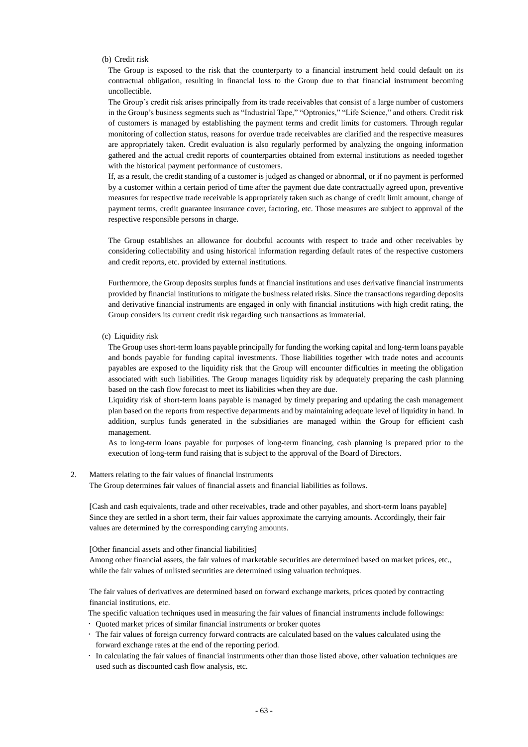(b) Credit risk

The Group is exposed to the risk that the counterparty to a financial instrument held could default on its contractual obligation, resulting in financial loss to the Group due to that financial instrument becoming uncollectible.

The Group's credit risk arises principally from its trade receivables that consist of a large number of customers in the Group's business segments such as "Industrial Tape," "Optronics," "Life Science," and others. Credit risk of customers is managed by establishing the payment terms and credit limits for customers. Through regular monitoring of collection status, reasons for overdue trade receivables are clarified and the respective measures are appropriately taken. Credit evaluation is also regularly performed by analyzing the ongoing information gathered and the actual credit reports of counterparties obtained from external institutions as needed together with the historical payment performance of customers.

If, as a result, the credit standing of a customer is judged as changed or abnormal, or if no payment is performed by a customer within a certain period of time after the payment due date contractually agreed upon, preventive measures for respective trade receivable is appropriately taken such as change of credit limit amount, change of payment terms, credit guarantee insurance cover, factoring, etc. Those measures are subject to approval of the respective responsible persons in charge.

The Group establishes an allowance for doubtful accounts with respect to trade and other receivables by considering collectability and using historical information regarding default rates of the respective customers and credit reports, etc. provided by external institutions.

Furthermore, the Group deposits surplus funds at financial institutions and uses derivative financial instruments provided by financial institutions to mitigate the business related risks. Since the transactions regarding deposits and derivative financial instruments are engaged in only with financial institutions with high credit rating, the Group considers its current credit risk regarding such transactions as immaterial.

(c) Liquidity risk

The Group uses short-term loans payable principally for funding the working capital and long-term loans payable and bonds payable for funding capital investments. Those liabilities together with trade notes and accounts payables are exposed to the liquidity risk that the Group will encounter difficulties in meeting the obligation associated with such liabilities. The Group manages liquidity risk by adequately preparing the cash planning based on the cash flow forecast to meet its liabilities when they are due.

Liquidity risk of short-term loans payable is managed by timely preparing and updating the cash management plan based on the reports from respective departments and by maintaining adequate level of liquidity in hand. In addition, surplus funds generated in the subsidiaries are managed within the Group for efficient cash management.

As to long-term loans payable for purposes of long-term financing, cash planning is prepared prior to the execution of long-term fund raising that is subject to the approval of the Board of Directors.

#### 2. Matters relating to the fair values of financial instruments

The Group determines fair values of financial assets and financial liabilities as follows.

[Cash and cash equivalents, trade and other receivables, trade and other payables, and short-term loans payable] Since they are settled in a short term, their fair values approximate the carrying amounts. Accordingly, their fair values are determined by the corresponding carrying amounts.

#### [Other financial assets and other financial liabilities]

Among other financial assets, the fair values of marketable securities are determined based on market prices, etc., while the fair values of unlisted securities are determined using valuation techniques.

The fair values of derivatives are determined based on forward exchange markets, prices quoted by contracting financial institutions, etc.

The specific valuation techniques used in measuring the fair values of financial instruments include followings:

- Quoted market prices of similar financial instruments or broker quotes
- The fair values of foreign currency forward contracts are calculated based on the values calculated using the forward exchange rates at the end of the reporting period.
- In calculating the fair values of financial instruments other than those listed above, other valuation techniques are used such as discounted cash flow analysis, etc.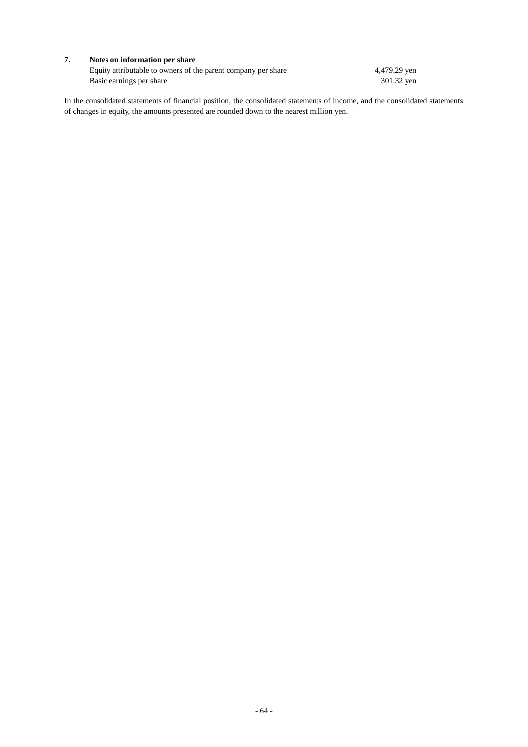## **7. Notes on information per share**

Equity attributable to owners of the parent company per share 4,479.29 yen Basic earnings per share 301.32 yen

In the consolidated statements of financial position, the consolidated statements of income, and the consolidated statements of changes in equity, the amounts presented are rounded down to the nearest million yen.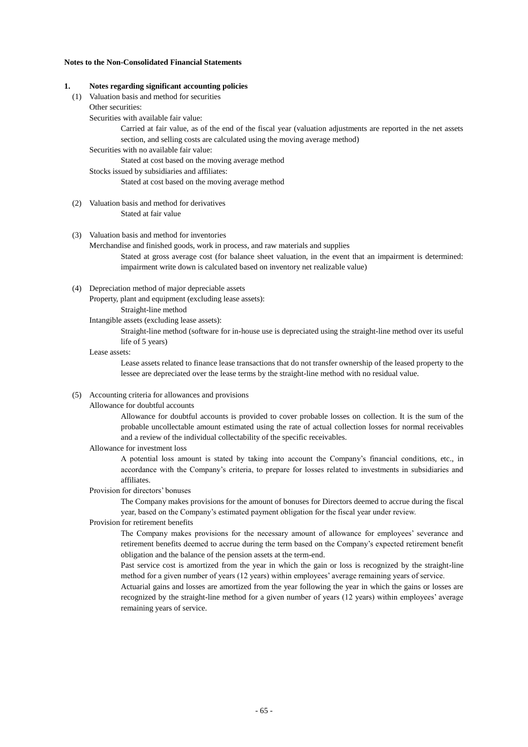## **Notes to the Non-Consolidated Financial Statements**

#### **1. Notes regarding significant accounting policies**

- (1) Valuation basis and method for securities
	- Other securities:

Securities with available fair value:

Carried at fair value, as of the end of the fiscal year (valuation adjustments are reported in the net assets section, and selling costs are calculated using the moving average method)

Securities with no available fair value:

Stated at cost based on the moving average method

Stocks issued by subsidiaries and affiliates:

Stated at cost based on the moving average method

(2) Valuation basis and method for derivatives Stated at fair value

## (3) Valuation basis and method for inventories

Merchandise and finished goods, work in process, and raw materials and supplies

Stated at gross average cost (for balance sheet valuation, in the event that an impairment is determined: impairment write down is calculated based on inventory net realizable value)

(4) Depreciation method of major depreciable assets

Property, plant and equipment (excluding lease assets):

Straight-line method

Intangible assets (excluding lease assets):

Straight-line method (software for in-house use is depreciated using the straight-line method over its useful life of 5 years)

#### Lease assets:

Lease assets related to finance lease transactions that do not transfer ownership of the leased property to the lessee are depreciated over the lease terms by the straight-line method with no residual value.

(5) Accounting criteria for allowances and provisions

### Allowance for doubtful accounts

Allowance for doubtful accounts is provided to cover probable losses on collection. It is the sum of the probable uncollectable amount estimated using the rate of actual collection losses for normal receivables and a review of the individual collectability of the specific receivables.

#### Allowance for investment loss

A potential loss amount is stated by taking into account the Company's financial conditions, etc., in accordance with the Company's criteria, to prepare for losses related to investments in subsidiaries and affiliates.

#### Provision for directors' bonuses

The Company makes provisions for the amount of bonuses for Directors deemed to accrue during the fiscal year, based on the Company's estimated payment obligation for the fiscal year under review.

### Provision for retirement benefits

The Company makes provisions for the necessary amount of allowance for employees' severance and retirement benefits deemed to accrue during the term based on the Company's expected retirement benefit obligation and the balance of the pension assets at the term-end.

Past service cost is amortized from the year in which the gain or loss is recognized by the straight-line method for a given number of years (12 years) within employees' average remaining years of service.

Actuarial gains and losses are amortized from the year following the year in which the gains or losses are recognized by the straight-line method for a given number of years (12 years) within employees' average remaining years of service.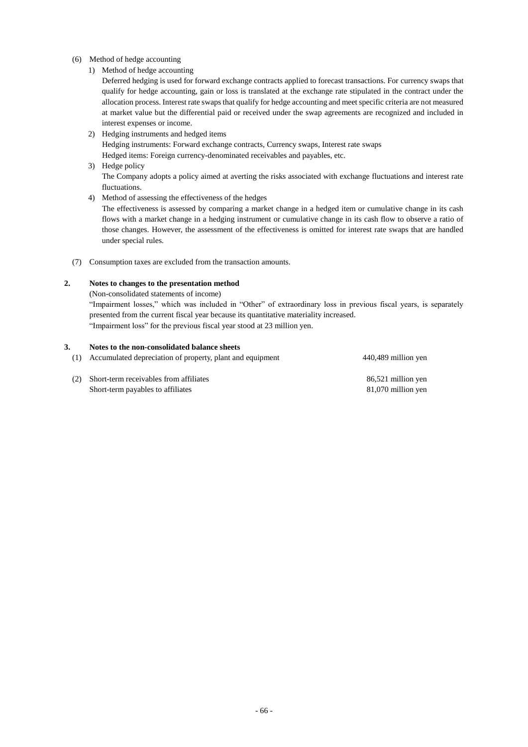## (6) Method of hedge accounting

1) Method of hedge accounting

Deferred hedging is used for forward exchange contracts applied to forecast transactions. For currency swaps that qualify for hedge accounting, gain or loss is translated at the exchange rate stipulated in the contract under the allocation process. Interest rate swaps that qualify for hedge accounting and meet specific criteria are not measured at market value but the differential paid or received under the swap agreements are recognized and included in interest expenses or income.

- 2) Hedging instruments and hedged items Hedging instruments: Forward exchange contracts, Currency swaps, Interest rate swaps Hedged items: Foreign currency-denominated receivables and payables, etc.
- 3) Hedge policy

The Company adopts a policy aimed at averting the risks associated with exchange fluctuations and interest rate fluctuations.

4) Method of assessing the effectiveness of the hedges

The effectiveness is assessed by comparing a market change in a hedged item or cumulative change in its cash flows with a market change in a hedging instrument or cumulative change in its cash flow to observe a ratio of those changes. However, the assessment of the effectiveness is omitted for interest rate swaps that are handled under special rules.

(7) Consumption taxes are excluded from the transaction amounts.

## **2. Notes to changes to the presentation method**

(Non-consolidated statements of income)

"Impairment losses," which was included in "Other" of extraordinary loss in previous fiscal years, is separately presented from the current fiscal year because its quantitative materiality increased. "Impairment loss" for the previous fiscal year stood at 23 million yen.

## **3. Notes to the non-consolidated balance sheets**

| (1) Accumulated depreciation of property, plant and equipment | 440,489 million yen |
|---------------------------------------------------------------|---------------------|
| (2) Short-term receivables from affiliates                    | 86,521 million yen  |
| Short-term payables to affiliates                             | 81,070 million yen  |